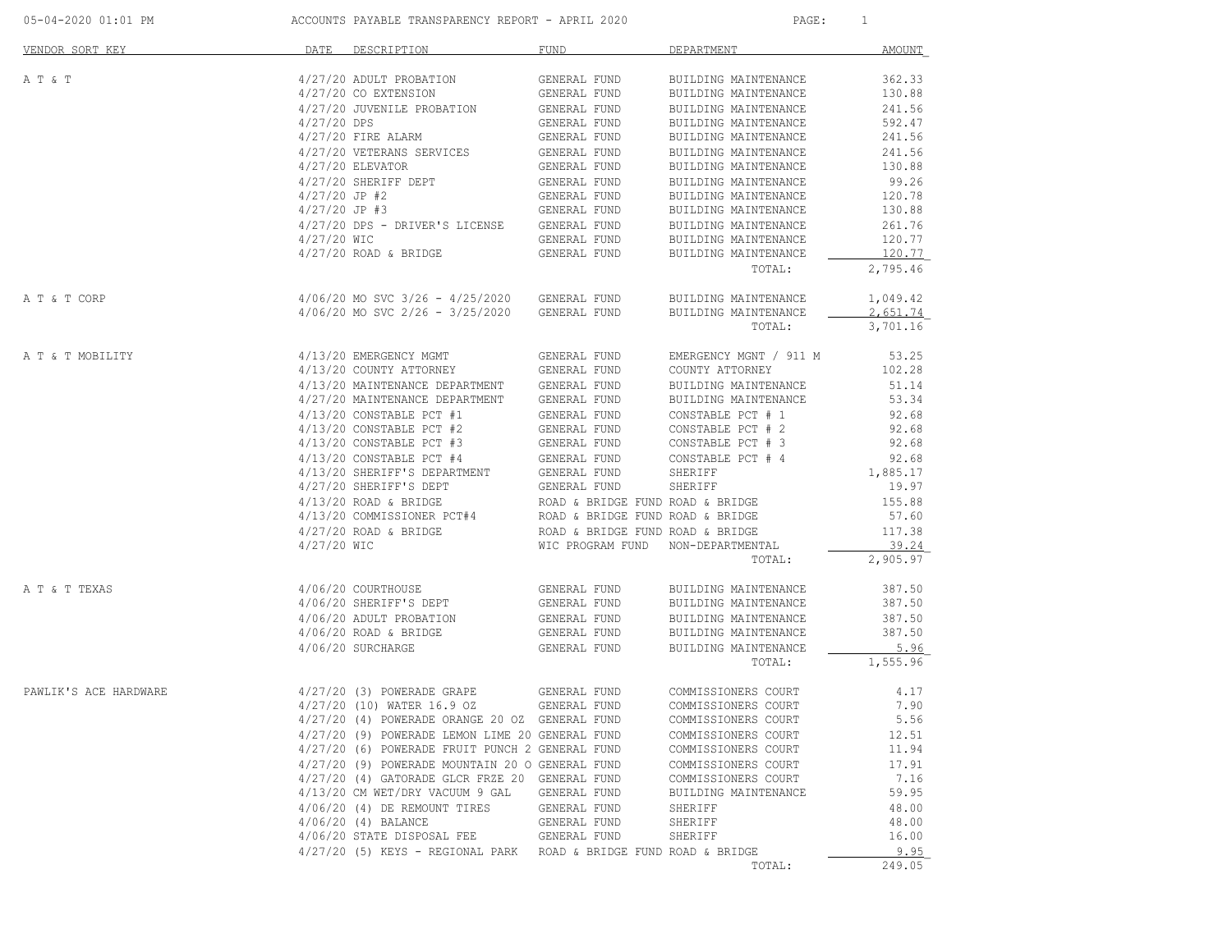| 05-04-2020 01:01 PM   |                 | ACCOUNTS PAYABLE TRANSPARENCY REPORT - APRIL 2020                                                                       |                                  | PAGE: 1                           |          |
|-----------------------|-----------------|-------------------------------------------------------------------------------------------------------------------------|----------------------------------|-----------------------------------|----------|
| VENDOR SORT KEY       |                 | DATE DESCRIPTION                                                                                                        | FUND                             | DEPARTMENT                        | AMOUNT   |
| A T & T               |                 | 4/27/20 ADULT PROBATION                                                                                                 | GENERAL FUND                     | BUILDING MAINTENANCE              | 362.33   |
|                       |                 | 4/27/20 CO EXTENSION                                                                                                    | GENERAL FUND                     | BUILDING MAINTENANCE              | 130.88   |
|                       |                 | 4/27/20 JUVENILE PROBATION                                                                                              | GENERAL FUND                     | BUILDING MAINTENANCE              | 241.56   |
|                       | $4/27/20$ DPS   |                                                                                                                         | GENERAL FUND                     | BUILDING MAINTENANCE              | 592.47   |
|                       |                 | $4/27/20$ FIRE ALARM                                                                                                    | GENERAL FUND                     | BUILDING MAINTENANCE              | 241.56   |
|                       |                 | 4/27/20 VETERANS SERVICES                                                                                               | GENERAL FUND                     | BUILDING MAINTENANCE              | 241.56   |
|                       |                 | $4/27/20$ ELEVATOR                                                                                                      | GENERAL FUND                     | BUILDING MAINTENANCE              | 130.88   |
|                       |                 | 4/27/20 SHERIFF DEPT                                                                                                    | <b>GENERAL FUND</b>              | BUILDING MAINTENANCE              | 99.26    |
|                       | $4/27/20$ JP #2 |                                                                                                                         | GENERAL FUND                     | BUILDING MAINTENANCE              | 120.78   |
|                       | 4/27/20 JP #3   |                                                                                                                         | GENERAL FUND                     | BUILDING MAINTENANCE              | 130.88   |
|                       |                 | 4/27/20 DPS - DRIVER'S LICENSE GENERAL FUND                                                                             |                                  | BUILDING MAINTENANCE              | 261.76   |
|                       | 4/27/20 WIC     |                                                                                                                         |                                  | GENERAL FUND BUILDING MAINTENANCE | 120.77   |
|                       |                 | $4/27/20$ ROAD & BRIDGE                                                                                                 | GENERAL FUND                     | BUILDING MAINTENANCE              | 120.77   |
|                       |                 |                                                                                                                         |                                  | TOTAL:                            | 2,795.46 |
| A T & T CORP          |                 | $4/06/20$ MO SVC $3/26$ - $4/25/2020$ GENERAL FUND                                                                      |                                  | BUILDING MAINTENANCE              | 1,049.42 |
|                       |                 | $4/06/20$ MO SVC 2/26 - 3/25/2020 GENERAL FUND                                                                          |                                  | BUILDING MAINTENANCE              | 2,651.74 |
|                       |                 |                                                                                                                         |                                  | TOTAL:                            | 3,701.16 |
| A T & T MOBILITY      |                 | 4/13/20 EMERGENCY MGMT                                                                                                  | GENERAL FUND                     | EMERGENCY MGNT / 911 M            | 53.25    |
|                       |                 | 4/13/20 COUNTY ATTORNEY GENERAL FUND                                                                                    |                                  | COUNTY ATTORNEY                   | 102.28   |
|                       |                 | 4/13/20 MAINTENANCE DEPARTMENT GENERAL FUND                                                                             |                                  | BUILDING MAINTENANCE              | 51.14    |
|                       |                 | 4/27/20 MAINTENANCE DEPARTMENT GENERAL FUND                                                                             |                                  | BUILDING MAINTENANCE              | 53.34    |
|                       |                 | $4/13/20$ CONSTABLE PCT #1                                                                                              | GENERAL FUND                     | CONSTABLE PCT # 1                 | 92.68    |
|                       |                 | $4/13/20$ CONSTABLE PCT #2                                                                                              | GENERAL FUND                     | CONSTABLE PCT # 2                 | 92.68    |
|                       |                 |                                                                                                                         |                                  |                                   | 92.68    |
|                       |                 | $4/13/20$ CONSTABLE PCT #3<br>$4/13/20$ CONSTABLE PCT #4<br>$4/13/20$ CONSTABLE PCT #4<br>GENERAL FUND CONSTABLE PCT #4 |                                  |                                   | 92.68    |
|                       |                 | 4/13/20 SHERIFF'S DEPARTMENT GENERAL FUND                                                                               |                                  | SHERIFF                           | 1,885.17 |
|                       |                 | 4/27/20 SHERIFF'S DEPT                                                                                                  | GENERAL FUND                     | SHERIFF                           | 19.97    |
|                       |                 | $4/13/20$ ROAD & BRIDGE                                                                                                 | ROAD & BRIDGE FUND ROAD & BRIDGE |                                   | 155.88   |
|                       |                 | 4/13/20 COMMISSIONER PCT#4                                                                                              | ROAD & BRIDGE FUND ROAD & BRIDGE |                                   | 57.60    |
|                       |                 | $4/27/20$ ROAD & BRIDGE                                                                                                 | ROAD & BRIDGE FUND ROAD & BRIDGE |                                   | 117.38   |
|                       | 4/27/20 WIC     |                                                                                                                         | WIC PROGRAM FUND                 | NON-DEPARTMENTAL                  | 39.24    |
|                       |                 |                                                                                                                         |                                  | TOTAL:                            | 2,905.97 |
| A T & T TEXAS         |                 | 4/06/20 COURTHOUSE                                                                                                      | GENERAL FUND                     | BUILDING MAINTENANCE              | 387.50   |
|                       |                 | 4/06/20 SHERIFF'S DEPT GENERAL FUND                                                                                     |                                  | BUILDING MAINTENANCE              | 387.50   |
|                       |                 | 4/06/20 ADULT PROBATION                                                                                                 | GENERAL FUND                     | BUILDING MAINTENANCE              | 387.50   |
|                       |                 | $4/06/20$ ROAD & BRIDGE                                                                                                 |                                  | GENERAL FUND BUILDING MAINTENANCE | 387.50   |
|                       |                 | 4/06/20 SURCHARGE                                                                                                       | GENERAL FUND                     | BUILDING MAINTENANCE              | 5.96     |
|                       |                 |                                                                                                                         |                                  | TOTAL:                            | 1,555.96 |
| PAWLIK'S ACE HARDWARE |                 | 4/27/20 (3) POWERADE GRAPE                                                                                              | GENERAL FUND                     | COMMISSIONERS COURT               | 4.17     |
|                       |                 | 4/27/20 (10) WATER 16.9 OZ                                                                                              | GENERAL FUND                     | COMMISSIONERS COURT               | 7.90     |
|                       |                 | 4/27/20 (4) POWERADE ORANGE 20 OZ GENERAL FUND                                                                          |                                  | COMMISSIONERS COURT               | 5.56     |
|                       |                 | 4/27/20 (9) POWERADE LEMON LIME 20 GENERAL FUND                                                                         |                                  | COMMISSIONERS COURT               | 12.51    |
|                       |                 | 4/27/20 (6) POWERADE FRUIT PUNCH 2 GENERAL FUND                                                                         |                                  | COMMISSIONERS COURT               | 11.94    |
|                       |                 | 4/27/20 (9) POWERADE MOUNTAIN 20 O GENERAL FUND                                                                         |                                  | COMMISSIONERS COURT               | 17.91    |
|                       |                 | 4/27/20 (4) GATORADE GLCR FRZE 20 GENERAL FUND                                                                          |                                  | COMMISSIONERS COURT               | 7.16     |
|                       |                 | 4/13/20 CM WET/DRY VACUUM 9 GAL                                                                                         | GENERAL FUND                     | BUILDING MAINTENANCE              | 59.95    |
|                       |                 | 4/06/20 (4) DE REMOUNT TIRES                                                                                            | GENERAL FUND                     | SHERIFF                           | 48.00    |
|                       |                 | 4/06/20 (4) BALANCE                                                                                                     | GENERAL FUND                     | SHERIFF                           | 48.00    |
|                       |                 | 4/06/20 STATE DISPOSAL FEE                                                                                              | GENERAL FUND                     | SHERIFF                           | 16.00    |
|                       |                 | 4/27/20 (5) KEYS - REGIONAL PARK ROAD & BRIDGE FUND ROAD & BRIDGE                                                       |                                  |                                   | 9.95     |
|                       |                 |                                                                                                                         |                                  | TOTAL:                            | 249.05   |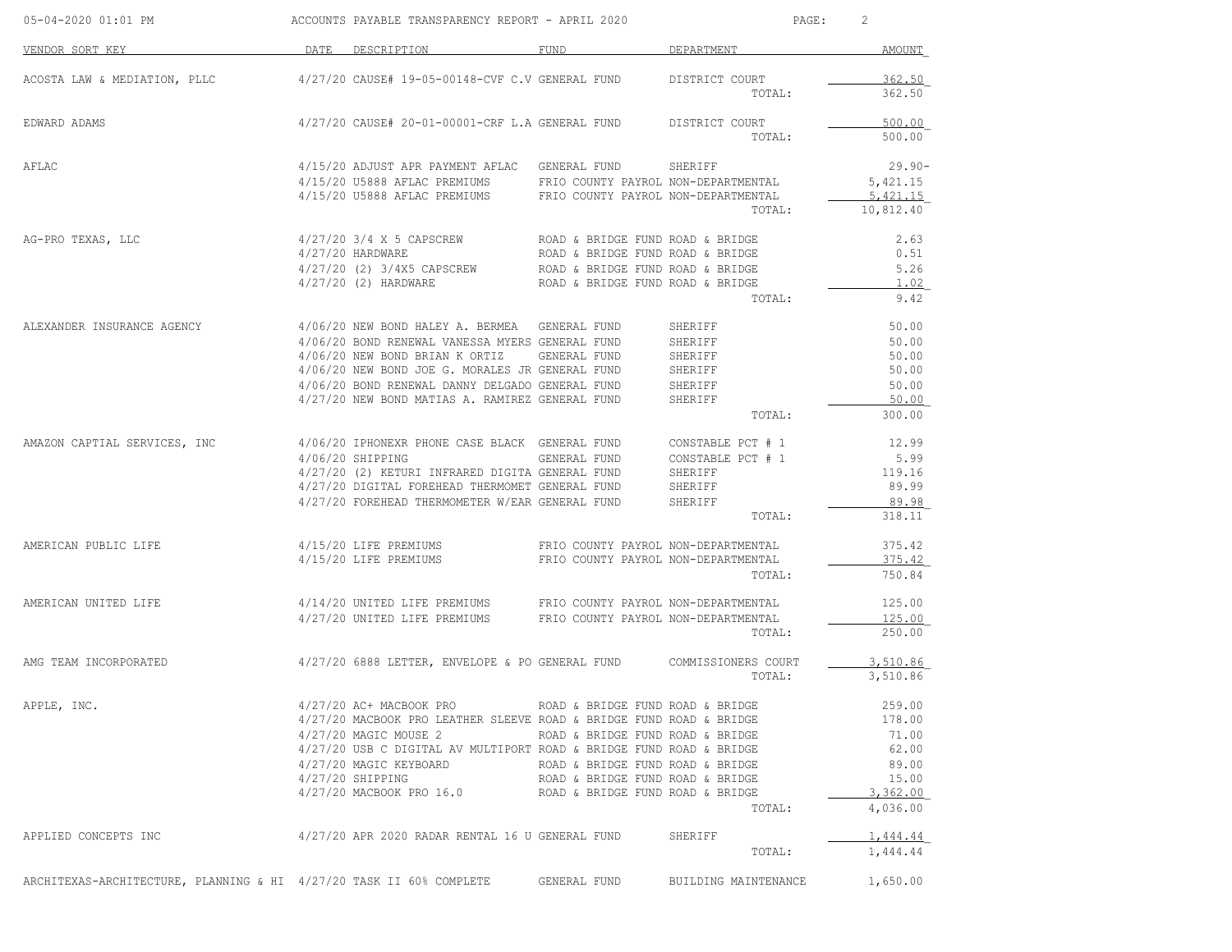| 05-04-2020 01:01 PM                                                 | ACCOUNTS PAYABLE TRANSPARENCY REPORT - APRIL 2020                   |                                     |                      | 2<br>PAGE:             |
|---------------------------------------------------------------------|---------------------------------------------------------------------|-------------------------------------|----------------------|------------------------|
| VENDOR SORT KEY                                                     | DATE DESCRIPTION                                                    | FUND                                | DEPARTMENT           | AMOUNT                 |
| ACOSTA LAW & MEDIATION, PLLC                                        | 4/27/20 CAUSE# 19-05-00148-CVF C.V GENERAL FUND                     |                                     | DISTRICT COURT       | 362.50                 |
|                                                                     |                                                                     |                                     | TOTAL:               | 362.50                 |
| EDWARD ADAMS                                                        | 4/27/20 CAUSE# 20-01-00001-CRF L.A GENERAL FUND                     |                                     | DISTRICT COURT       | 500.00                 |
|                                                                     |                                                                     |                                     | TOTAL:               | 500.00                 |
| AFLAC                                                               | 4/15/20 ADJUST APR PAYMENT AFLAC GENERAL FUND                       |                                     | SHERIFF              | $29.90 -$              |
|                                                                     | 4/15/20 U5888 AFLAC PREMIUMS                                        | FRIO COUNTY PAYROL NON-DEPARTMENTAL |                      | 5,421.15               |
|                                                                     | 4/15/20 U5888 AFLAC PREMIUMS                                        | FRIO COUNTY PAYROL NON-DEPARTMENTAL | TOTAL:               | 5, 421.15<br>10,812.40 |
| AG-PRO TEXAS, LLC                                                   | 4/27/20 3/4 X 5 CAPSCREW                                            | ROAD & BRIDGE FUND ROAD & BRIDGE    |                      | 2.63                   |
|                                                                     | 4/27/20 HARDWARE                                                    | ROAD & BRIDGE FUND ROAD & BRIDGE    |                      | 0.51                   |
|                                                                     | 4/27/20 (2) 3/4X5 CAPSCREW                                          | ROAD & BRIDGE FUND ROAD & BRIDGE    |                      | 5.26                   |
|                                                                     | 4/27/20 (2) HARDWARE                                                | ROAD & BRIDGE FUND ROAD & BRIDGE    |                      | 1.02                   |
|                                                                     |                                                                     |                                     | TOTAL:               | 9.42                   |
| ALEXANDER INSURANCE AGENCY                                          | 4/06/20 NEW BOND HALEY A. BERMEA GENERAL FUND                       |                                     | SHERIFF              | 50.00                  |
|                                                                     | 4/06/20 BOND RENEWAL VANESSA MYERS GENERAL FUND                     |                                     | SHERIFF              | 50.00                  |
|                                                                     | 4/06/20 NEW BOND BRIAN K ORTIZ                                      | GENERAL FUND                        | SHERIFF              | 50.00                  |
|                                                                     | 4/06/20 NEW BOND JOE G. MORALES JR GENERAL FUND                     |                                     | SHERIFF              | 50.00                  |
|                                                                     | 4/06/20 BOND RENEWAL DANNY DELGADO GENERAL FUND                     |                                     | SHERIFF              | 50.00                  |
|                                                                     | 4/27/20 NEW BOND MATIAS A. RAMIREZ GENERAL FUND                     |                                     | SHERIFF              | 50.00                  |
|                                                                     |                                                                     |                                     | TOTAL:               | 300.00                 |
| AMAZON CAPTIAL SERVICES, INC                                        | 4/06/20 IPHONEXR PHONE CASE BLACK GENERAL FUND                      |                                     | CONSTABLE PCT # 1    | 12.99                  |
|                                                                     | $4/06/20$ SHIPPING                                                  | GENERAL FUND                        | CONSTABLE PCT # 1    | 5.99                   |
|                                                                     | 4/27/20 (2) KETURI INFRARED DIGITA GENERAL FUND                     |                                     | SHERIFF              | 119.16                 |
|                                                                     | 4/27/20 DIGITAL FOREHEAD THERMOMET GENERAL FUND                     |                                     | SHERIFF              | 89.99                  |
|                                                                     | 4/27/20 FOREHEAD THERMOMETER W/EAR GENERAL FUND                     |                                     | SHERIFF              | 89.98                  |
|                                                                     |                                                                     |                                     | TOTAL:               | 318.11                 |
| AMERICAN PUBLIC LIFE                                                | 4/15/20 LIFE PREMIUMS                                               | FRIO COUNTY PAYROL NON-DEPARTMENTAL |                      | 375.42                 |
|                                                                     | 4/15/20 LIFE PREMIUMS                                               | FRIO COUNTY PAYROL NON-DEPARTMENTAL |                      | 375.42                 |
|                                                                     |                                                                     |                                     | TOTAL:               | 750.84                 |
| AMERICAN UNITED LIFE                                                | 4/14/20 UNITED LIFE PREMIUMS                                        | FRIO COUNTY PAYROL NON-DEPARTMENTAL |                      | 125.00                 |
|                                                                     | 4/27/20 UNITED LIFE PREMIUMS                                        | FRIO COUNTY PAYROL NON-DEPARTMENTAL |                      | 125.00                 |
|                                                                     |                                                                     |                                     | TOTAL:               | 250.00                 |
| AMG TEAM INCORPORATED                                               | $4/27/20$ 6888 LETTER, ENVELOPE & PO GENERAL FUND                   |                                     | COMMISSIONERS COURT  | 3,510.86               |
|                                                                     |                                                                     |                                     | TOTAL:               | 3,510.86               |
| APPLE, INC.                                                         | 4/27/20 AC+ MACBOOK PRO                                             | ROAD & BRIDGE FUND ROAD & BRIDGE    |                      | 259.00                 |
|                                                                     | 4/27/20 MACBOOK PRO LEATHER SLEEVE ROAD & BRIDGE FUND ROAD & BRIDGE |                                     |                      | 178.00                 |
|                                                                     | 4/27/20 MAGIC MOUSE 2                                               | ROAD & BRIDGE FUND ROAD & BRIDGE    |                      | 71.00                  |
|                                                                     | 4/27/20 USB C DIGITAL AV MULTIPORT ROAD & BRIDGE FUND ROAD & BRIDGE |                                     |                      | 62.00                  |
|                                                                     | 4/27/20 MAGIC KEYBOARD                                              | ROAD & BRIDGE FUND ROAD & BRIDGE    |                      | 89.00                  |
|                                                                     | $4/27/20$ SHIPPING                                                  | ROAD & BRIDGE FUND ROAD & BRIDGE    |                      | 15.00                  |
|                                                                     | 4/27/20 MACBOOK PRO 16.0                                            | ROAD & BRIDGE FUND ROAD & BRIDGE    |                      | 3,362.00               |
|                                                                     |                                                                     |                                     | TOTAL:               | 4,036.00               |
| APPLIED CONCEPTS INC                                                | 4/27/20 APR 2020 RADAR RENTAL 16 U GENERAL FUND                     |                                     | SHERIFF              | 1,444.44               |
|                                                                     |                                                                     |                                     | TOTAL:               | 1,444.44               |
| ARCHITEXAS-ARCHITECTURE, PLANNING & HI 4/27/20 TASK II 60% COMPLETE |                                                                     | GENERAL FUND                        | BUILDING MAINTENANCE | 1,650.00               |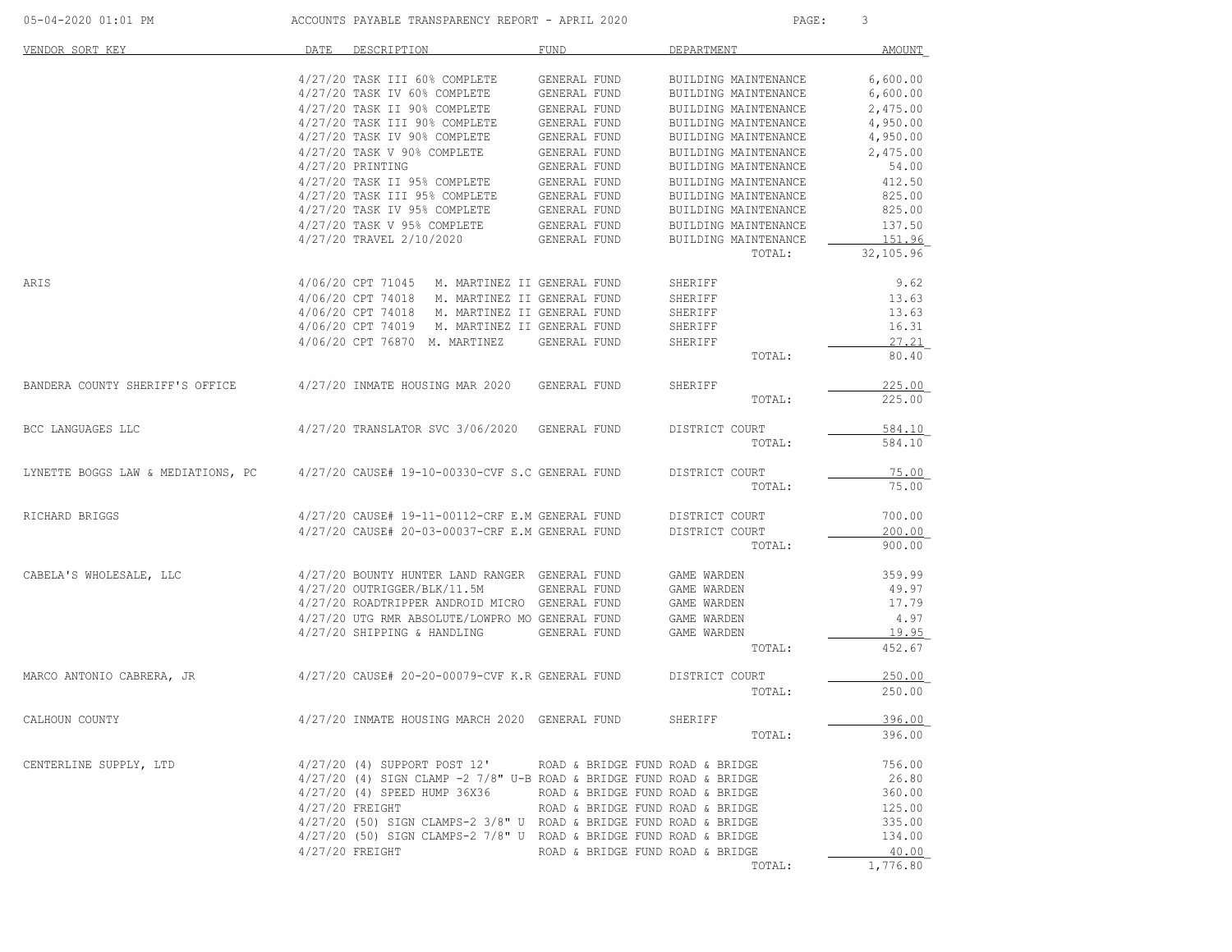| 05-04-2020 01:01 PM                |             | ACCOUNTS PAYABLE TRANSPARENCY REPORT - APRIL 2020                     |                                  | PAGE:                            | 3             |
|------------------------------------|-------------|-----------------------------------------------------------------------|----------------------------------|----------------------------------|---------------|
| VENDOR SORT KEY                    | <b>DATE</b> | DESCRIPTION                                                           | <b>FUND</b>                      | DEPARTMENT                       | <b>AMOUNT</b> |
|                                    |             | 4/27/20 TASK III 60% COMPLETE                                         | GENERAL FUND                     | BUILDING MAINTENANCE             | 6,600.00      |
|                                    |             | 4/27/20 TASK IV 60% COMPLETE                                          | GENERAL FUND                     | BUILDING MAINTENANCE             | 6,600.00      |
|                                    |             | 4/27/20 TASK II 90% COMPLETE                                          | GENERAL FUND                     | BUILDING MAINTENANCE             | 2,475.00      |
|                                    |             | 4/27/20 TASK III 90% COMPLETE                                         | GENERAL FUND                     | BUILDING MAINTENANCE             | 4,950.00      |
|                                    |             | 4/27/20 TASK IV 90% COMPLETE                                          | GENERAL FUND                     | BUILDING MAINTENANCE             | 4,950.00      |
|                                    |             | 4/27/20 TASK V 90% COMPLETE                                           | GENERAL FUND                     | BUILDING MAINTENANCE             | 2,475.00      |
|                                    |             | 4/27/20 PRINTING                                                      | GENERAL FUND                     | BUILDING MAINTENANCE             | 54.00         |
|                                    |             | 4/27/20 TASK II 95% COMPLETE                                          | GENERAL FUND                     | BUILDING MAINTENANCE             | 412.50        |
|                                    |             | 4/27/20 TASK III 95% COMPLETE                                         | GENERAL FUND                     | BUILDING MAINTENANCE             | 825.00        |
|                                    |             | 4/27/20 TASK IV 95% COMPLETE                                          | GENERAL FUND                     | BUILDING MAINTENANCE             | 825.00        |
|                                    |             | 4/27/20 TASK V 95% COMPLETE                                           | GENERAL FUND                     | BUILDING MAINTENANCE             | 137.50        |
|                                    |             | 4/27/20 TRAVEL 2/10/2020                                              | GENERAL FUND                     | BUILDING MAINTENANCE             | 151.96        |
|                                    |             |                                                                       |                                  | TOTAL:                           | 32,105.96     |
| ARIS                               |             | 4/06/20 CPT 71045 M. MARTINEZ II GENERAL FUND                         |                                  | SHERIFF                          | 9.62          |
|                                    |             | 4/06/20 CPT 74018<br>M. MARTINEZ II GENERAL FUND                      |                                  | SHERIFF                          | 13.63         |
|                                    |             | 4/06/20 CPT 74018<br>M. MARTINEZ II GENERAL FUND                      |                                  | SHERIFF                          | 13.63         |
|                                    |             | 4/06/20 CPT 74019<br>M. MARTINEZ II GENERAL FUND                      |                                  | SHERIFF                          | 16.31         |
|                                    |             | 4/06/20 CPT 76870 M. MARTINEZ                                         | GENERAL FUND                     | SHERIFF                          | 27.21         |
|                                    |             |                                                                       |                                  | TOTAL:                           | 80.40         |
| BANDERA COUNTY SHERIFF'S OFFICE    |             | 4/27/20 INMATE HOUSING MAR 2020                                       | GENERAL FUND                     | SHERIFF                          | 225.00        |
|                                    |             |                                                                       |                                  | TOTAL:                           | 225.00        |
| BCC LANGUAGES LLC                  |             | 4/27/20 TRANSLATOR SVC 3/06/2020 GENERAL FUND                         |                                  | DISTRICT COURT                   | 584.10        |
|                                    |             |                                                                       |                                  | TOTAL:                           | 584.10        |
| LYNETTE BOGGS LAW & MEDIATIONS, PC |             | 4/27/20 CAUSE# 19-10-00330-CVF S.C GENERAL FUND                       |                                  | DISTRICT COURT                   | 75.00         |
|                                    |             |                                                                       |                                  | TOTAL:                           | 75.00         |
| RICHARD BRIGGS                     |             | 4/27/20 CAUSE# 19-11-00112-CRF E.M GENERAL FUND                       |                                  | DISTRICT COURT                   | 700.00        |
|                                    |             | 4/27/20 CAUSE# 20-03-00037-CRF E.M GENERAL FUND                       |                                  | DISTRICT COURT                   | 200.00        |
|                                    |             |                                                                       |                                  | TOTAL:                           | 900.00        |
| CABELA'S WHOLESALE, LLC            |             | 4/27/20 BOUNTY HUNTER LAND RANGER GENERAL FUND                        |                                  | GAME WARDEN                      | 359.99        |
|                                    |             | 4/27/20 OUTRIGGER/BLK/11.5M                                           | GENERAL FUND                     | GAME WARDEN                      | 49.97         |
|                                    |             | 4/27/20 ROADTRIPPER ANDROID MICRO GENERAL FUND                        |                                  | GAME WARDEN                      | 17.79         |
|                                    |             | 4/27/20 UTG RMR ABSOLUTE/LOWPRO MO GENERAL FUND                       |                                  | GAME WARDEN                      | 4.97          |
|                                    |             | 4/27/20 SHIPPING & HANDLING                                           | GENERAL FUND                     | GAME WARDEN                      | 19.95         |
|                                    |             |                                                                       |                                  | TOTAL:                           | 452.67        |
| MARCO ANTONIO CABRERA, JR          |             | 4/27/20 CAUSE# 20-20-00079-CVF K.R GENERAL FUND                       |                                  | DISTRICT COURT                   | 250.00        |
|                                    |             |                                                                       |                                  | TOTAL:                           | 250.00        |
| CALHOUN COUNTY                     |             | 4/27/20 INMATE HOUSING MARCH 2020 GENERAL FUND                        |                                  | SHERIFF                          | 396.00        |
|                                    |             |                                                                       |                                  | TOTAL:                           | 396.00        |
| CENTERLINE SUPPLY, LTD             |             | 4/27/20 (4) SUPPORT POST 12' ROAD & BRIDGE FUND ROAD & BRIDGE         |                                  |                                  | 756.00        |
|                                    |             | $4/27/20$ (4) SIGN CLAMP -2 7/8" U-B ROAD & BRIDGE FUND ROAD & BRIDGE |                                  |                                  | 26.80         |
|                                    |             | 4/27/20 (4) SPEED HUMP 36X36                                          | ROAD & BRIDGE FUND ROAD & BRIDGE |                                  | 360.00        |
|                                    |             | 4/27/20 FREIGHT                                                       | ROAD & BRIDGE FUND ROAD & BRIDGE |                                  | 125.00        |
|                                    |             | 4/27/20 (50) SIGN CLAMPS-2 3/8" U ROAD & BRIDGE FUND ROAD & BRIDGE    |                                  |                                  | 335.00        |
|                                    |             | $4/27/20$ (50) SIGN CLAMPS-2 7/8" U ROAD & BRIDGE FUND ROAD & BRIDGE  |                                  |                                  | 134.00        |
|                                    |             | 4/27/20 FREIGHT                                                       |                                  | ROAD & BRIDGE FUND ROAD & BRIDGE | 40.00         |
|                                    |             |                                                                       |                                  | TOTAL:                           | 1,776.80      |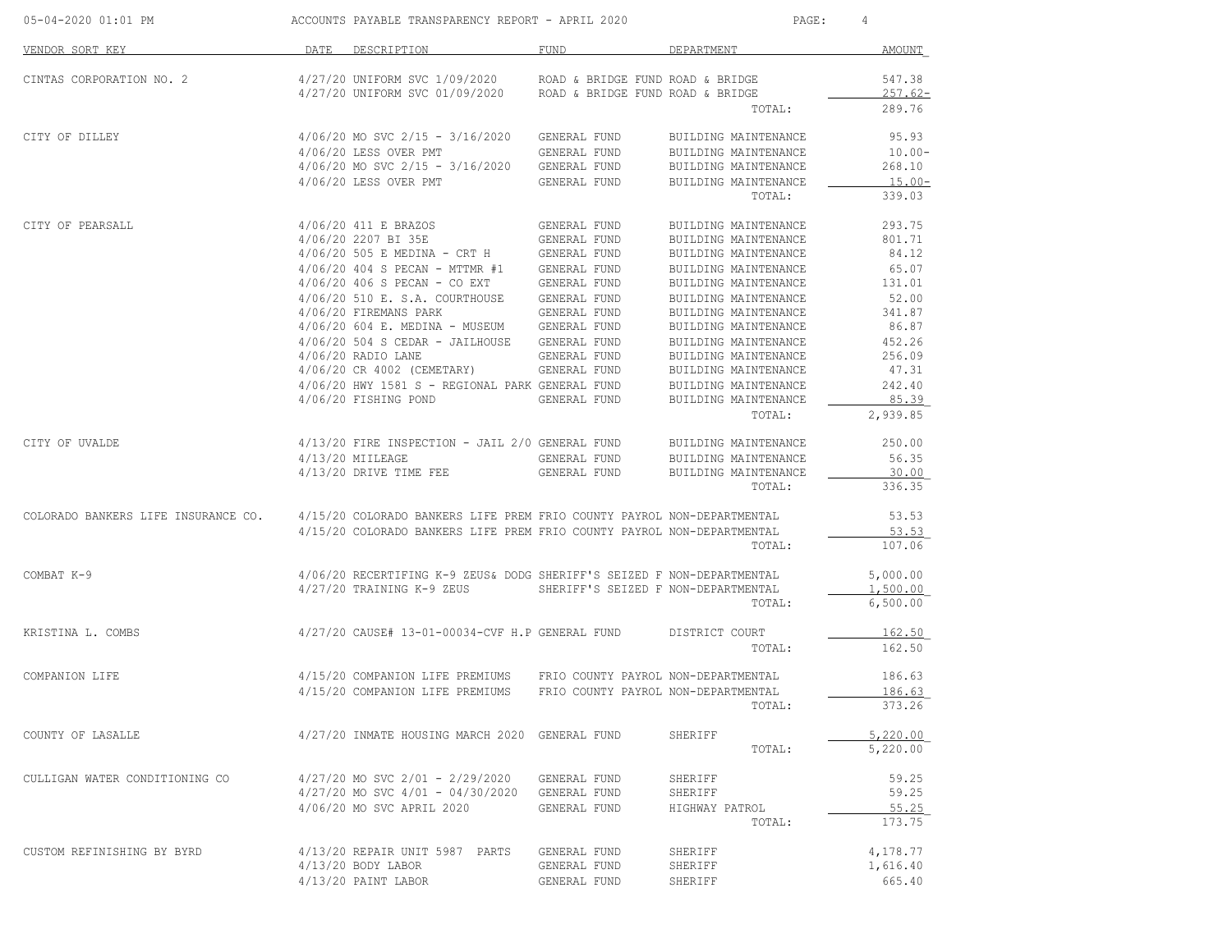| 05-04-2020 01:01 PM                 | ACCOUNTS PAYABLE TRANSPARENCY REPORT - APRIL 2020 |                                                                        |                                                                      | PAGE:<br>4                                   |                     |  |
|-------------------------------------|---------------------------------------------------|------------------------------------------------------------------------|----------------------------------------------------------------------|----------------------------------------------|---------------------|--|
| VENDOR SORT KEY                     |                                                   | DATE DESCRIPTION                                                       | FUND                                                                 | DEPARTMENT                                   | <b>AMOUNT</b>       |  |
| CINTAS CORPORATION NO. 2            |                                                   | 4/27/20 UNIFORM SVC 1/09/2020<br>4/27/20 UNIFORM SVC 01/09/2020        | ROAD & BRIDGE FUND ROAD & BRIDGE<br>ROAD & BRIDGE FUND ROAD & BRIDGE |                                              | 547.38<br>$257.62-$ |  |
|                                     |                                                   |                                                                        |                                                                      | TOTAL:                                       | 289.76              |  |
| CITY OF DILLEY                      |                                                   | 4/06/20 MO SVC 2/15 - 3/16/2020                                        | GENERAL FUND                                                         | BUILDING MAINTENANCE                         | 95.93               |  |
|                                     |                                                   | $4/06/20$ LESS OVER PMT                                                | GENERAL FUND                                                         | BUILDING MAINTENANCE                         | $10.00 -$           |  |
|                                     |                                                   | $4/06/20$ MO SVC $2/15 - 3/16/2020$ GENERAL FUND                       |                                                                      | BUILDING MAINTENANCE                         | 268.10              |  |
|                                     |                                                   | 4/06/20 LESS OVER PMT                                                  | GENERAL FUND                                                         | BUILDING MAINTENANCE                         | $15.00 -$           |  |
|                                     |                                                   |                                                                        |                                                                      | TOTAL:                                       | 339.03              |  |
| CITY OF PEARSALL                    |                                                   | 4/06/20 411 E BRAZOS                                                   | GENERAL FUND                                                         | BUILDING MAINTENANCE                         | 293.75              |  |
|                                     |                                                   | 4/06/20 2207 BI 35E                                                    | GENERAL FUND                                                         | BUILDING MAINTENANCE                         | 801.71              |  |
|                                     |                                                   | $4/06/20$ 505 E MEDINA - CRT H                                         | GENERAL FUND                                                         | BUILDING MAINTENANCE                         | 84.12               |  |
|                                     |                                                   | $4/06/20$ 404 S PECAN - MTTMR #1                                       | GENERAL FUND                                                         | BUILDING MAINTENANCE                         | 65.07               |  |
|                                     |                                                   | $4/06/20$ 406 S PECAN - CO EXT                                         | GENERAL FUND                                                         | BUILDING MAINTENANCE                         | 131.01              |  |
|                                     |                                                   | 4/06/20 510 E. S.A. COURTHOUSE<br>4/06/20 FIREMANS PARK                | GENERAL FUND<br>GENERAL FUND                                         | BUILDING MAINTENANCE<br>BUILDING MAINTENANCE | 52.00<br>341.87     |  |
|                                     |                                                   | 4/06/20 604 E. MEDINA - MUSEUM GENERAL FUND                            |                                                                      | BUILDING MAINTENANCE                         | 86.87               |  |
|                                     |                                                   | 4/06/20 504 S CEDAR - JAILHOUSE GENERAL FUND                           |                                                                      | BUILDING MAINTENANCE                         | 452.26              |  |
|                                     |                                                   | $4/06/20$ RADIO LANE                                                   | GENERAL FUND                                                         | BUILDING MAINTENANCE                         | 256.09              |  |
|                                     |                                                   | 4/06/20 CR 4002 (CEMETARY)                                             | GENERAL FUND                                                         | BUILDING MAINTENANCE                         | 47.31               |  |
|                                     |                                                   | 4/06/20 HWY 1581 S - REGIONAL PARK GENERAL FUND                        |                                                                      | BUILDING MAINTENANCE                         | 242.40              |  |
|                                     |                                                   | 4/06/20 FISHING POND                                                   | GENERAL FUND                                                         | BUILDING MAINTENANCE                         | 85.39               |  |
|                                     |                                                   |                                                                        |                                                                      | TOTAL:                                       | 2,939.85            |  |
| CITY OF UVALDE                      |                                                   | 4/13/20 FIRE INSPECTION - JAIL 2/0 GENERAL FUND                        |                                                                      | BUILDING MAINTENANCE                         | 250.00              |  |
|                                     |                                                   | 4/13/20 MITLEAGE                                                       | GENERAL FUND                                                         | BUILDING MAINTENANCE                         | 56.35               |  |
|                                     |                                                   | $4/13/20$ DRIVE TIME FEE                                               | GENERAL FUND                                                         | BUILDING MAINTENANCE                         | 30.00               |  |
|                                     |                                                   |                                                                        |                                                                      | TOTAL:                                       | 336.35              |  |
| COLORADO BANKERS LIFE INSURANCE CO. |                                                   | 4/15/20 COLORADO BANKERS LIFE PREM FRIO COUNTY PAYROL NON-DEPARTMENTAL |                                                                      |                                              | 53.53               |  |
|                                     |                                                   | 4/15/20 COLORADO BANKERS LIFE PREM FRIO COUNTY PAYROL NON-DEPARTMENTAL |                                                                      |                                              | 53.53               |  |
|                                     |                                                   |                                                                        |                                                                      | TOTAL:                                       | 107.06              |  |
| COMBAT K-9                          |                                                   | 4/06/20 RECERTIFING K-9 ZEUS& DODG SHERIFF'S SEIZED F NON-DEPARTMENTAL |                                                                      |                                              | 5,000.00            |  |
|                                     |                                                   | $4/27/20$ TRAINING K-9 ZEUS                                            | SHERIFF'S SEIZED F NON-DEPARTMENTAL                                  |                                              | 1,500.00            |  |
|                                     |                                                   |                                                                        |                                                                      | TOTAL:                                       | 6,500.00            |  |
| KRISTINA L. COMBS                   |                                                   | $4/27/20$ CAUSE# 13-01-00034-CVF H.P GENERAL FUND DISTRICT COURT       |                                                                      |                                              | 162.50              |  |
|                                     |                                                   |                                                                        |                                                                      | TOTAL:                                       | 162.50              |  |
| COMPANION LIFE                      |                                                   | 4/15/20 COMPANION LIFE PREMIUMS FRIO COUNTY PAYROL NON-DEPARTMENTAL    |                                                                      |                                              | 186.63              |  |
|                                     |                                                   | 4/15/20 COMPANION LIFE PREMIUMS FRIO COUNTY PAYROL NON-DEPARTMENTAL    |                                                                      |                                              | 186.63              |  |
|                                     |                                                   |                                                                        |                                                                      | TOTAL:                                       | 373.26              |  |
| COUNTY OF LASALLE                   |                                                   | 4/27/20 INMATE HOUSING MARCH 2020 GENERAL FUND                         |                                                                      | SHERIFF                                      | 5,220.00            |  |
|                                     |                                                   |                                                                        |                                                                      | TOTAL:                                       | 5,220.00            |  |
| CULLIGAN WATER CONDITIONING CO      |                                                   | $4/27/20$ MO SVC $2/01 - 2/29/2020$                                    | GENERAL FUND                                                         | SHERIFF                                      | 59.25               |  |
|                                     |                                                   | 4/27/20 MO SVC 4/01 - 04/30/2020                                       | GENERAL FUND                                                         | SHERIFF                                      | 59.25               |  |
|                                     |                                                   | 4/06/20 MO SVC APRIL 2020                                              | GENERAL FUND                                                         | HIGHWAY PATROL                               | 55.25               |  |
|                                     |                                                   |                                                                        |                                                                      | TOTAL:                                       | 173.75              |  |
| CUSTOM REFINISHING BY BYRD          |                                                   | 4/13/20 REPAIR UNIT 5987 PARTS                                         | GENERAL FUND                                                         | SHERIFF                                      | 4,178.77            |  |
|                                     |                                                   | 4/13/20 BODY LABOR                                                     | GENERAL FUND                                                         | SHERIFF                                      | 1,616.40            |  |
|                                     |                                                   | $4/13/20$ PAINT LABOR                                                  | GENERAL FUND                                                         | SHERIFF                                      | 665.40              |  |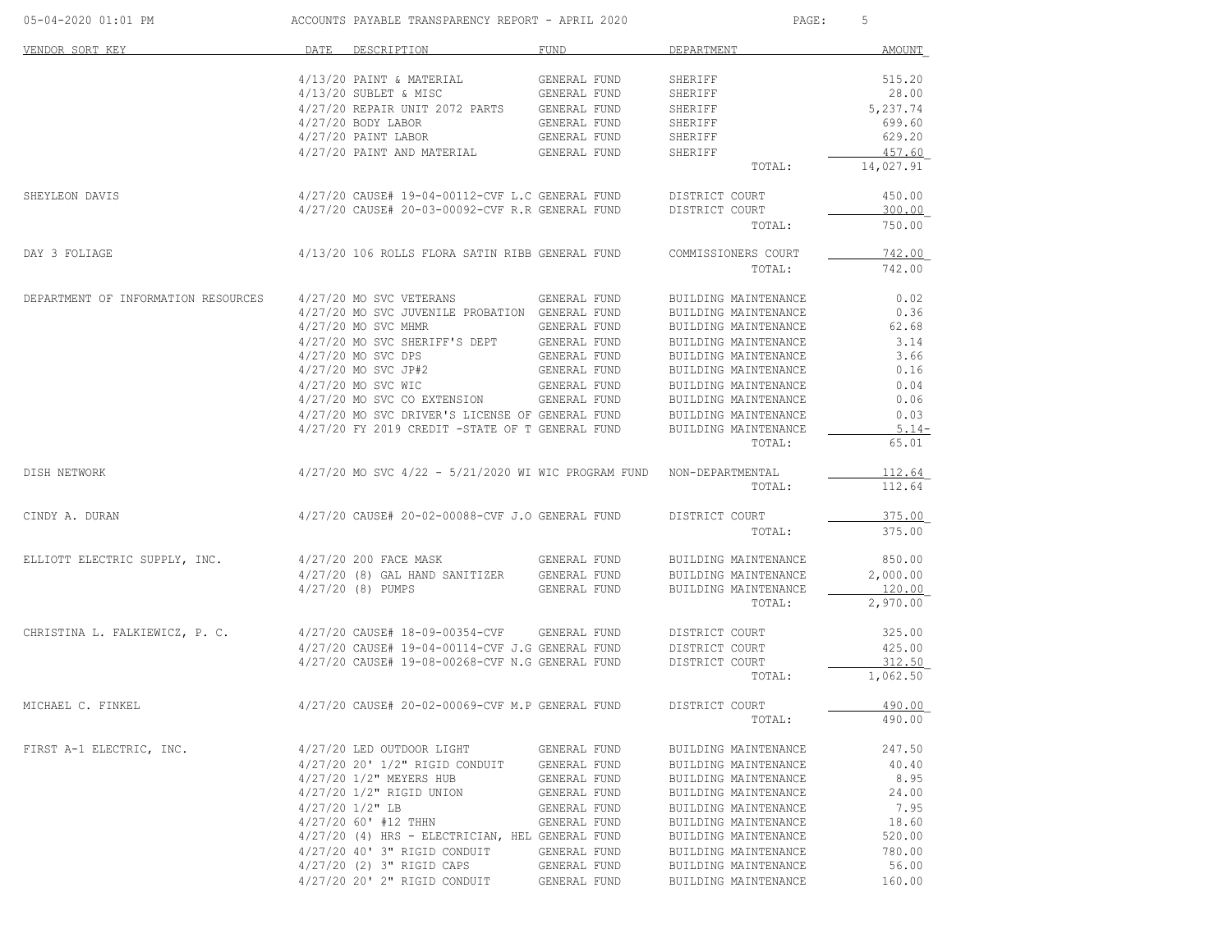| 05-04-2020 01:01 PM                                                                       | ACCOUNTS PAYABLE TRANSPARENCY REPORT - APRIL 2020                          |                     | PAGE:                       | -5        |
|-------------------------------------------------------------------------------------------|----------------------------------------------------------------------------|---------------------|-----------------------------|-----------|
| VENDOR SORT KEY                                                                           | DATE DESCRIPTION                                                           | FUND                | DEPARTMENT                  | AMOUNT    |
|                                                                                           | 4/13/20 PAINT & MATERIAL                                                   | GENERAL FUND        | SHERIFF                     | 515.20    |
|                                                                                           | $4/13/20$ SUBLET & MISC                                                    | <b>GENERAL FUND</b> | SHERIFF                     | 28.00     |
|                                                                                           | 4/27/20 REPAIR UNIT 2072 PARTS GENERAL FUND                                |                     | SHERIFF                     | 5,237.74  |
|                                                                                           | 4/27/20 BODY LABOR                                                         | GENERAL FUND        | SHERIFF                     | 699.60    |
|                                                                                           | 4/27/20 PAINT LABOR                                                        | GENERAL FUND        | SHERIFF                     | 629.20    |
|                                                                                           | 4/27/20 PAINT AND MATERIAL                                                 | GENERAL FUND        | SHERIFF                     | 457.60    |
|                                                                                           |                                                                            |                     | TOTAL:                      | 14,027.91 |
| SHEYLEON DAVIS                                                                            | $4/27/20$ CAUSE# 19-04-00112-CVF L.C GENERAL FUND DISTRICT COURT           |                     |                             | 450.00    |
|                                                                                           | 4/27/20 CAUSE# 20-03-00092-CVF R.R GENERAL FUND DISTRICT COURT             |                     |                             | 300.00    |
|                                                                                           |                                                                            |                     | TOTAL:                      | 750.00    |
| DAY 3 FOLIAGE                                                                             | 4/13/20 106 ROLLS FLORA SATIN RIBB GENERAL FUND        COMMISSIONERS COURT |                     |                             | 742.00    |
|                                                                                           |                                                                            |                     | TOTAL:                      | 742.00    |
| DEPARTMENT OF INFORMATION RESOURCES                                                       | 4/27/20 MO SVC VETERANS                                                    | GENERAL FUND        | BUILDING MAINTENANCE        | 0.02      |
|                                                                                           | 4/27/20 MO SVC JUVENILE PROBATION GENERAL FUND                             |                     | BUILDING MAINTENANCE        | 0.36      |
|                                                                                           | GENERAL FUND<br>4/27/20 MO SVC MHMR                                        |                     | BUILDING MAINTENANCE        | 62.68     |
|                                                                                           | 4/27/20 MO SVC SHERIFF'S DEPT GENERAL FUND                                 |                     | BUILDING MAINTENANCE        | 3.14      |
|                                                                                           | 4/27/20 MO SVC DPS                                                         | GENERAL FUND        | BUILDING MAINTENANCE        | 3.66      |
|                                                                                           | 4/27/20 MO SVC JP#2                                                        | GENERAL FUND        | BUILDING MAINTENANCE        | 0.16      |
|                                                                                           | 4/27/20 MO SVC WIC                                                         | GENERAL FUND        | BUILDING MAINTENANCE        | 0.04      |
|                                                                                           | 4/27/20 MO SVC CO EXTENSION GENERAL FUND BUILDING MAINTENANCE              |                     |                             | 0.06      |
|                                                                                           | 4/27/20 MO SVC DRIVER'S LICENSE OF GENERAL FUND                            |                     | BUILDING MAINTENANCE        | 0.03      |
|                                                                                           | 4/27/20 FY 2019 CREDIT -STATE OF T GENERAL FUND                            |                     | BUILDING MAINTENANCE        | $5.14 -$  |
|                                                                                           |                                                                            |                     | TOTAL:                      | 65.01     |
| DISH NETWORK                                                                              | $4/27/20$ MO SVC $4/22$ - $5/21/2020$ WI WIC PROGRAM FUND MON-DEPARTMENTAL |                     |                             | 112.64    |
|                                                                                           |                                                                            |                     | TOTAL:                      | 112.64    |
| CINDY A. DURAN                                                                            | 4/27/20 CAUSE# 20-02-00088-CVF J.O GENERAL FUND                            |                     | DISTRICT COURT              | 375.00    |
|                                                                                           |                                                                            |                     | TOTAL:                      | 375.00    |
| ELLIOTT ELECTRIC SUPPLY, INC.                                                             | 4/27/20 200 FACE MASK                                                      | GENERAL FUND        | BUILDING MAINTENANCE 850.00 |           |
|                                                                                           | 4/27/20 (8) GAL HAND SANITIZER GENERAL FUND                                |                     | BUILDING MAINTENANCE        | 2,000.00  |
|                                                                                           | 4/27/20 (8) PUMPS                                                          | GENERAL FUND        | BUILDING MAINTENANCE        | 120.00    |
|                                                                                           |                                                                            |                     | TOTAL:                      | 2,970.00  |
| CHRISTINA L. FALKIEWICZ, P. C. 4/27/20 CAUSE# 18-09-00354-CVF GENERAL FUND DISTRICT COURT |                                                                            |                     |                             | 325.00    |
|                                                                                           | 4/27/20 CAUSE# 19-04-00114-CVF J.G GENERAL FUND                            |                     | DISTRICT COURT              | 425.00    |
|                                                                                           | 4/27/20 CAUSE# 19-08-00268-CVF N.G GENERAL FUND DISTRICT COURT             |                     |                             | 312.50    |
|                                                                                           |                                                                            |                     | TOTAL:                      | 1,062.50  |
| MICHAEL C. FINKEL                                                                         | 4/27/20 CAUSE# 20-02-00069-CVF M.P GENERAL FUND                            |                     | DISTRICT COURT              | 490.00    |
|                                                                                           |                                                                            |                     | TOTAL:                      | 490.00    |
| FIRST A-1 ELECTRIC, INC.                                                                  | 4/27/20 LED OUTDOOR LIGHT                                                  | GENERAL FUND        | BUILDING MAINTENANCE        | 247.50    |
|                                                                                           | 4/27/20 20' 1/2" RIGID CONDUIT                                             | GENERAL FUND        | BUILDING MAINTENANCE        | 40.40     |
|                                                                                           | 4/27/20 1/2" MEYERS HUB                                                    | GENERAL FUND        | BUILDING MAINTENANCE        | 8.95      |
|                                                                                           | 4/27/20 1/2" RIGID UNION                                                   | GENERAL FUND        | BUILDING MAINTENANCE        | 24.00     |
|                                                                                           | $4/27/20$ $1/2$ " LB                                                       | GENERAL FUND        | BUILDING MAINTENANCE        | 7.95      |
|                                                                                           | $4/27/20$ 60' #12 THHN                                                     | GENERAL FUND        | BUILDING MAINTENANCE        | 18.60     |
|                                                                                           | 4/27/20 (4) HRS - ELECTRICIAN, HEL GENERAL FUND                            |                     | BUILDING MAINTENANCE        | 520.00    |
|                                                                                           | 4/27/20 40' 3" RIGID CONDUIT                                               | GENERAL FUND        | BUILDING MAINTENANCE        | 780.00    |
|                                                                                           | 4/27/20 (2) 3" RIGID CAPS                                                  | GENERAL FUND        | BUILDING MAINTENANCE        | 56.00     |
|                                                                                           | 4/27/20 20' 2" RIGID CONDUIT                                               | GENERAL FUND        | BUILDING MAINTENANCE        | 160.00    |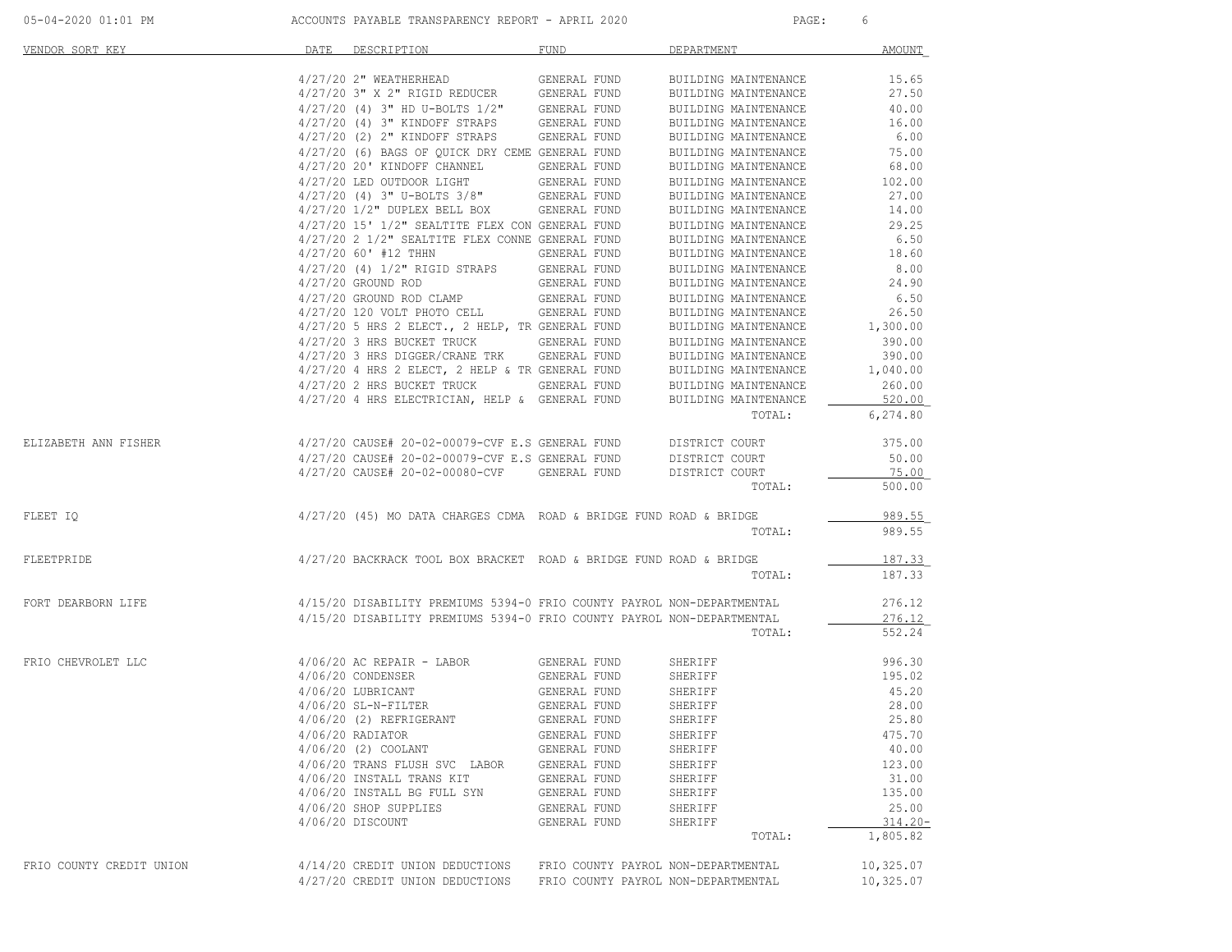| VENDOR SORT KEY          | DATE DESCRIPTION                                                                                                                                                   | FUND                                | DEPARTMENT                                   | AMOUNT          |
|--------------------------|--------------------------------------------------------------------------------------------------------------------------------------------------------------------|-------------------------------------|----------------------------------------------|-----------------|
|                          | 4/27/20 2" WEATHERHEAD GENERAL FUND                                                                                                                                |                                     | BUILDING MAINTENANCE                         | 15.65           |
|                          | $4/27/20$ 3" X 2" RIGID REDUCER GENERAL FUND<br>$4/27/20$ (4) 3" HD U-BOLTS $1/2$ " GENERAL FUND                                                                   |                                     | BUILDING MAINTENANCE                         | 27.50           |
|                          |                                                                                                                                                                    |                                     | BUILDING MAINTENANCE                         | 40.00           |
|                          | 4/27/20 (4) 3" KINDOFF STRAPS GENERAL FUND<br>4/27/20 (2) 2" KINDOFF STRAPS GENERAL FUND                                                                           |                                     | BUILDING MAINTENANCE                         | 16.00           |
|                          |                                                                                                                                                                    |                                     | BUILDING MAINTENANCE                         | 6.00            |
|                          | 4/27/20 (6) BAGS OF QUICK DRY CEME GENERAL FUND<br>4/27/20 20' KINDOFF CHANNEL                                                                                     | GENERAL FUND                        | BUILDING MAINTENANCE<br>BUILDING MAINTENANCE | 75.00<br>68.00  |
|                          | 4/27/20 LED OUTDOOR LIGHT GENERAL FUND                                                                                                                             |                                     | BUILDING MAINTENANCE                         | 102.00          |
|                          |                                                                                                                                                                    |                                     | BUILDING MAINTENANCE                         | 27.00           |
|                          | $\begin{array}{lll} 4/27/20 & (4) & 3" & \text{U-BOLTS} & 3/8" & \text{GENERAL FUND} \\ 4/27/20 & 1/2" & \text{DUELEX BELL BOX} & \text{GENERAL FUND} \end{array}$ |                                     | BUILDING MAINTENANCE                         | 14.00           |
|                          | 4/27/20 15' 1/2" SEALTITE FLEX CON GENERAL FUND                                                                                                                    |                                     | BUILDING MAINTENANCE                         | 29.25           |
|                          | 4/27/20 2 1/2" SEALTITE FLEX CONNE GENERAL FUND                                                                                                                    |                                     | BUILDING MAINTENANCE                         | 6.50            |
|                          | 4/27/20 60' #12 THHN                                                                                                                                               | GENERAL FUND                        | BUILDING MAINTENANCE                         | 18.60           |
|                          | 4/27/20 (4) 1/2" RIGID STRAPS GENERAL FUND                                                                                                                         |                                     | BUILDING MAINTENANCE                         | 8.00            |
|                          | 4/27/20 GROUND ROD                                                                                                                                                 | GENERAL FUND                        | BUILDING MAINTENANCE                         | 24.90           |
|                          | 4/27/20 GROUND ROD CLAMP<br>4/27/20 120 VOLT PHOTO CELL                                                                                                            | GENERAL FUND                        | BUILDING MAINTENANCE                         | 6.50<br>26.50   |
|                          | 4/27/20 5 HRS 2 ELECT., 2 HELP, TR GENERAL FUND                                                                                                                    | GENERAL FUND                        | BUILDING MAINTENANCE<br>BUILDING MAINTENANCE | 1,300.00        |
|                          | 4/27/20 3 HRS BUCKET TRUCK GENERAL FUND                                                                                                                            |                                     | BUILDING MAINTENANCE                         | 390.00          |
|                          | 4/27/20 3 HRS DIGGER/CRANE TRK GENERAL FUND                                                                                                                        |                                     | BUILDING MAINTENANCE                         | 390.00          |
|                          | $4/27/20$ 4 HRS 2 ELECT, 2 HELP & TR GENERAL FUND                                                                                                                  |                                     | BUILDING MAINTENANCE                         | 1,040.00        |
|                          | 4/27/20 2 HRS BUCKET TRUCK                                                                                                                                         | <b>GENERAL FUND</b>                 | BUILDING MAINTENANCE                         | 260.00          |
|                          | 4/27/20 4 HRS ELECTRICIAN, HELP & GENERAL FUND                                                                                                                     |                                     | BUILDING MAINTENANCE                         | 520.00          |
|                          |                                                                                                                                                                    |                                     | TOTAL:                                       | 6, 274.80       |
| ELIZABETH ANN FISHER     | $4/27/20$ CAUSE# 20-02-00079-CVF E.S GENERAL FUND DISTRICT COURT                                                                                                   |                                     |                                              | 375.00          |
|                          | 4/27/20 CAUSE# 20-02-00079-CVF E.S GENERAL FUND                                                                                                                    |                                     | DISTRICT COURT                               | 50.00           |
|                          | 4/27/20 CAUSE# 20-02-00080-CVF GENERAL FUND                                                                                                                        |                                     | DISTRICT COURT                               | 75.00           |
|                          |                                                                                                                                                                    |                                     | TOTAL:                                       | 500.00          |
| FLEET IQ                 | 4/27/20 (45) MO DATA CHARGES CDMA ROAD & BRIDGE FUND ROAD & BRIDGE                                                                                                 |                                     |                                              | 989.55          |
|                          |                                                                                                                                                                    |                                     | TOTAL:                                       | 989.55          |
| FLEETPRIDE               | $4/27/20$ BACKRACK TOOL BOX BRACKET ROAD & BRIDGE FUND ROAD & BRIDGE                                                                                               |                                     |                                              | 187.33          |
|                          |                                                                                                                                                                    |                                     | TOTAL:                                       | 187.33          |
| FORT DEARBORN LIFE       | 4/15/20 DISABILITY PREMIUMS 5394-0 FRIO COUNTY PAYROL NON-DEPARTMENTAL                                                                                             |                                     |                                              | 276.12          |
|                          | 4/15/20 DISABILITY PREMIUMS 5394-0 FRIO COUNTY PAYROL NON-DEPARTMENTAL                                                                                             |                                     |                                              | 276.12          |
|                          |                                                                                                                                                                    |                                     | TOTAL:                                       | 552.24          |
| FRIO CHEVROLET LLC       | $4/06/20$ AC REPAIR - LABOR                                                                                                                                        | GENERAL FUND                        | SHERIFF                                      | 996.30          |
|                          | 4/06/20 CONDENSER                                                                                                                                                  | GENERAL FUND                        | SHERIFF                                      | 195.02          |
|                          | 4/06/20 LUBRICANT                                                                                                                                                  | GENERAL FUND                        | SHERIFF                                      | 45.20           |
|                          | $4/06/20$ SL-N-FILTER                                                                                                                                              | GENERAL FUND                        | SHERIFF                                      | 28.00           |
|                          | 4/06/20 (2) REFRIGERANT                                                                                                                                            | GENERAL FUND                        | SHERIFF                                      | 25.80           |
|                          | 4/06/20 RADIATOR                                                                                                                                                   | GENERAL FUND                        | SHERIFF                                      | 475.70          |
|                          | 4/06/20 (2) COOLANT                                                                                                                                                | GENERAL FUND                        | SHERIFF                                      | 40.00           |
|                          | 4/06/20 TRANS FLUSH SVC LABOR<br>4/06/20 INSTALL TRANS KIT                                                                                                         | GENERAL FUND<br>GENERAL FUND        | SHERIFF<br>SHERIFF                           | 123.00<br>31.00 |
|                          | 4/06/20 INSTALL BG FULL SYN                                                                                                                                        | GENERAL FUND                        | SHERIFF                                      | 135.00          |
|                          | 4/06/20 SHOP SUPPLIES                                                                                                                                              | GENERAL FUND                        | SHERIFF                                      | 25.00           |
|                          | 4/06/20 DISCOUNT                                                                                                                                                   | GENERAL FUND                        | SHERIFF                                      | $314.20 -$      |
|                          |                                                                                                                                                                    |                                     | TOTAL:                                       | 1,805.82        |
| FRIO COUNTY CREDIT UNION | 4/14/20 CREDIT UNION DEDUCTIONS                                                                                                                                    | FRIO COUNTY PAYROL NON-DEPARTMENTAL |                                              | 10,325.07       |
|                          | 4/27/20 CREDIT UNION DEDUCTIONS                                                                                                                                    | FRIO COUNTY PAYROL NON-DEPARTMENTAL |                                              | 10, 325.07      |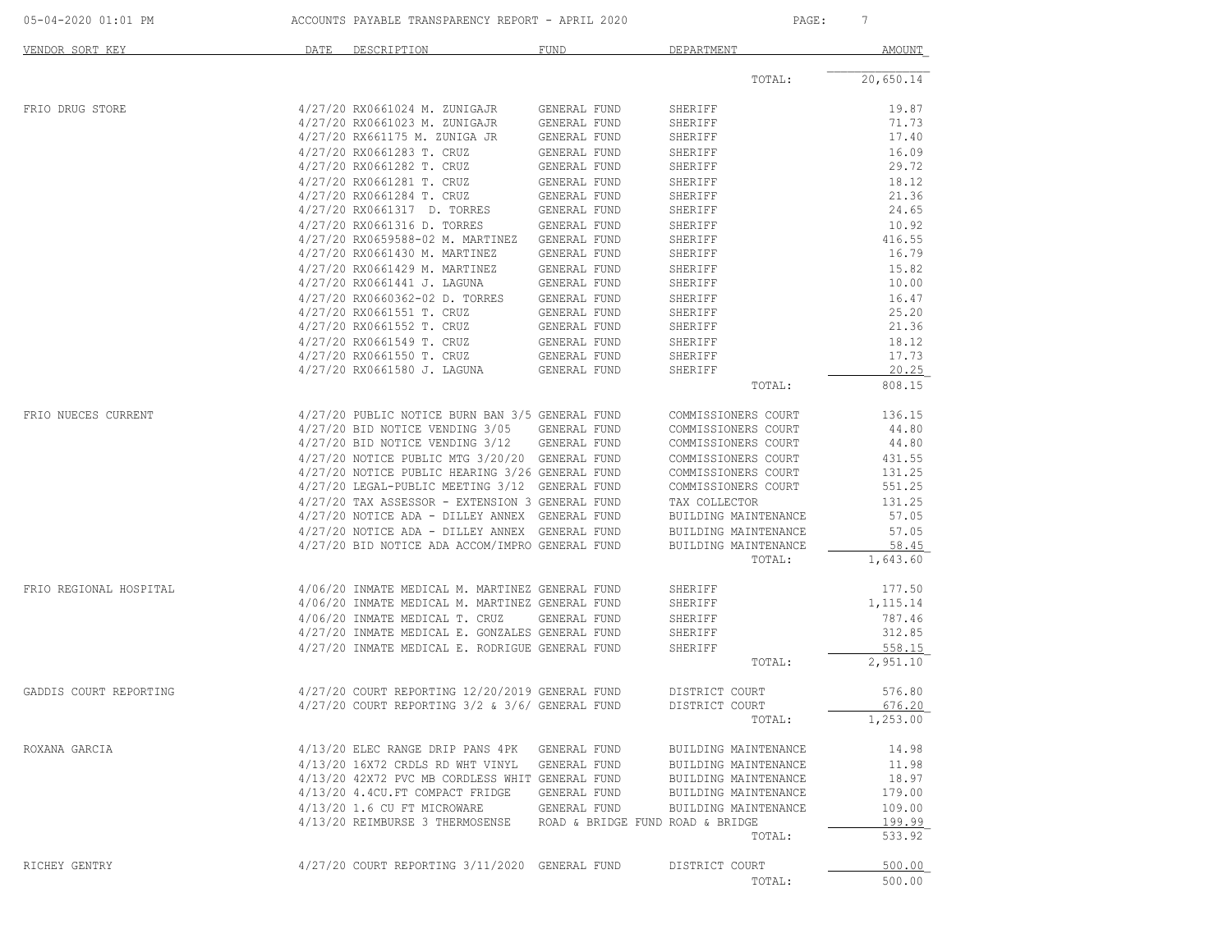| 05-04-2020 01:01 PM |  |  |  |
|---------------------|--|--|--|
|                     |  |  |  |

05-1 PM ACCOUNTS PAYABLE TRANSPARENCY REPORT - APRIL 2020 PAGE: 7

| VENDOR SORT KEY        | DATE | DESCRIPTION                                           | FUND                             | DEPARTMENT           | AMOUNT    |
|------------------------|------|-------------------------------------------------------|----------------------------------|----------------------|-----------|
|                        |      |                                                       |                                  | TOTAL:               | 20,650.14 |
| FRIO DRUG STORE        |      | 4/27/20 RX0661024 M. ZUNIGAJR                         | GENERAL FUND                     | SHERIFF              | 19.87     |
|                        |      | 4/27/20 RX0661023 M. ZUNIGAJR                         | GENERAL FUND                     | SHERIFF              | 71.73     |
|                        |      | 4/27/20 RX661175 M. ZUNIGA JR                         | GENERAL FUND                     | SHERIFF              | 17.40     |
|                        |      | 4/27/20 RX0661283 T. CRUZ                             | GENERAL FUND                     | SHERIFF              | 16.09     |
|                        |      | 4/27/20 RX0661282 T. CRUZ                             | GENERAL FUND                     | SHERIFF              | 29.72     |
|                        |      | 4/27/20 RX0661281 T. CRUZ                             | GENERAL FUND                     | SHERIFF              | 18.12     |
|                        |      | 4/27/20 RX0661284 T. CRUZ                             | GENERAL FUND                     | SHERIFF              | 21.36     |
|                        |      | 4/27/20 RX0661317 D. TORRES                           | GENERAL FUND                     | SHERIFF              | 24.65     |
|                        |      | 4/27/20 RX0661316 D. TORRES                           | GENERAL FUND                     | SHERIFF              | 10.92     |
|                        |      | 4/27/20 RX0659588-02 M. MARTINEZ                      | GENERAL FUND                     | SHERIFF              | 416.55    |
|                        |      | 4/27/20 RX0661430 M. MARTINEZ                         | GENERAL FUND                     | SHERIFF              | 16.79     |
|                        |      | 4/27/20 RX0661429 M. MARTINEZ                         | GENERAL FUND                     | SHERIFF              | 15.82     |
|                        |      | 4/27/20 RX0661441 J. LAGUNA                           | GENERAL FUND                     | SHERIFF              | 10.00     |
|                        |      | 4/27/20 RX0660362-02 D. TORRES                        | GENERAL FUND                     | SHERIFF              | 16.47     |
|                        |      | 4/27/20 RX0661551 T. CRUZ                             | GENERAL FUND                     | SHERIFF              | 25.20     |
|                        |      | 4/27/20 RX0661552 T. CRUZ                             | GENERAL FUND                     | SHERIFF              | 21.36     |
|                        |      | 4/27/20 RX0661549 T. CRUZ                             | GENERAL FUND                     | SHERIFF              | 18.12     |
|                        |      | 4/27/20 RX0661550 T. CRUZ                             | GENERAL FUND                     | SHERIFF              | 17.73     |
|                        |      | 4/27/20 RX0661580 J. LAGUNA                           | GENERAL FUND                     | SHERIFF              | 20.25     |
|                        |      |                                                       |                                  | TOTAL:               | 808.15    |
| FRIO NUECES CURRENT    |      | 4/27/20 PUBLIC NOTICE BURN BAN 3/5 GENERAL FUND       |                                  | COMMISSIONERS COURT  | 136.15    |
|                        |      | 4/27/20 BID NOTICE VENDING 3/05                       | GENERAL FUND                     | COMMISSIONERS COURT  | 44.80     |
|                        |      | $4/27/20$ BID NOTICE VENDING $3/12$                   | GENERAL FUND                     | COMMISSIONERS COURT  | 44.80     |
|                        |      | 4/27/20 NOTICE PUBLIC MTG 3/20/20 GENERAL FUND        |                                  | COMMISSIONERS COURT  | 431.55    |
|                        |      | 4/27/20 NOTICE PUBLIC HEARING 3/26 GENERAL FUND       |                                  | COMMISSIONERS COURT  | 131.25    |
|                        |      | 4/27/20 LEGAL-PUBLIC MEETING 3/12 GENERAL FUND        |                                  | COMMISSIONERS COURT  | 551.25    |
|                        |      | 4/27/20 TAX ASSESSOR - EXTENSION 3 GENERAL FUND       |                                  | TAX COLLECTOR        | 131.25    |
|                        |      | 4/27/20 NOTICE ADA - DILLEY ANNEX GENERAL FUND        |                                  | BUILDING MAINTENANCE | 57.05     |
|                        |      | 4/27/20 NOTICE ADA - DILLEY ANNEX GENERAL FUND        |                                  | BUILDING MAINTENANCE | 57.05     |
|                        |      | 4/27/20 BID NOTICE ADA ACCOM/IMPRO GENERAL FUND       |                                  | BUILDING MAINTENANCE | 58.45     |
|                        |      |                                                       |                                  | TOTAL:               | 1,643.60  |
| FRIO REGIONAL HOSPITAL |      | 4/06/20 INMATE MEDICAL M. MARTINEZ GENERAL FUND       |                                  | SHERIFF              | 177.50    |
|                        |      | 4/06/20 INMATE MEDICAL M. MARTINEZ GENERAL FUND       |                                  | SHERIFF              | 1,115.14  |
|                        |      | 4/06/20 INMATE MEDICAL T. CRUZ                        | GENERAL FUND                     | SHERIFF              | 787.46    |
|                        |      | 4/27/20 INMATE MEDICAL E. GONZALES GENERAL FUND       |                                  | SHERIFF              | 312.85    |
|                        |      | 4/27/20 INMATE MEDICAL E. RODRIGUE GENERAL FUND       |                                  | SHERIFF              | 558.15    |
|                        |      |                                                       |                                  | TOTAL:               | 2,951.10  |
| GADDIS COURT REPORTING |      | 4/27/20 COURT REPORTING 12/20/2019 GENERAL FUND       |                                  | DISTRICT COURT       | 576.80    |
|                        |      | $4/27/20$ COURT REPORTING $3/2$ & $3/6/$ GENERAL FUND |                                  | DISTRICT COURT       | 676.20    |
|                        |      |                                                       |                                  | TOTAL:               | 1,253.00  |
| ROXANA GARCIA          |      | 4/13/20 ELEC RANGE DRIP PANS 4PK GENERAL FUND         |                                  | BUILDING MAINTENANCE | 14.98     |
|                        |      | 4/13/20 16X72 CRDLS RD WHT VINYL                      | GENERAL FUND                     | BUILDING MAINTENANCE | 11.98     |
|                        |      | 4/13/20 42X72 PVC MB CORDLESS WHIT GENERAL FUND       |                                  | BUILDING MAINTENANCE | 18.97     |
|                        |      | 4/13/20 4.4CU.FT COMPACT FRIDGE                       | GENERAL FUND                     | BUILDING MAINTENANCE | 179.00    |
|                        |      | 4/13/20 1.6 CU FT MICROWARE                           | GENERAL FUND                     | BUILDING MAINTENANCE | 109.00    |
|                        |      | 4/13/20 REIMBURSE 3 THERMOSENSE                       | ROAD & BRIDGE FUND ROAD & BRIDGE |                      | 199.99    |
|                        |      |                                                       |                                  | TOTAL:               | 533.92    |
| RICHEY GENTRY          |      | 4/27/20 COURT REPORTING 3/11/2020 GENERAL FUND        |                                  | DISTRICT COURT       | 500.00    |
|                        |      |                                                       |                                  | TOTAL:               | 500.00    |
|                        |      |                                                       |                                  |                      |           |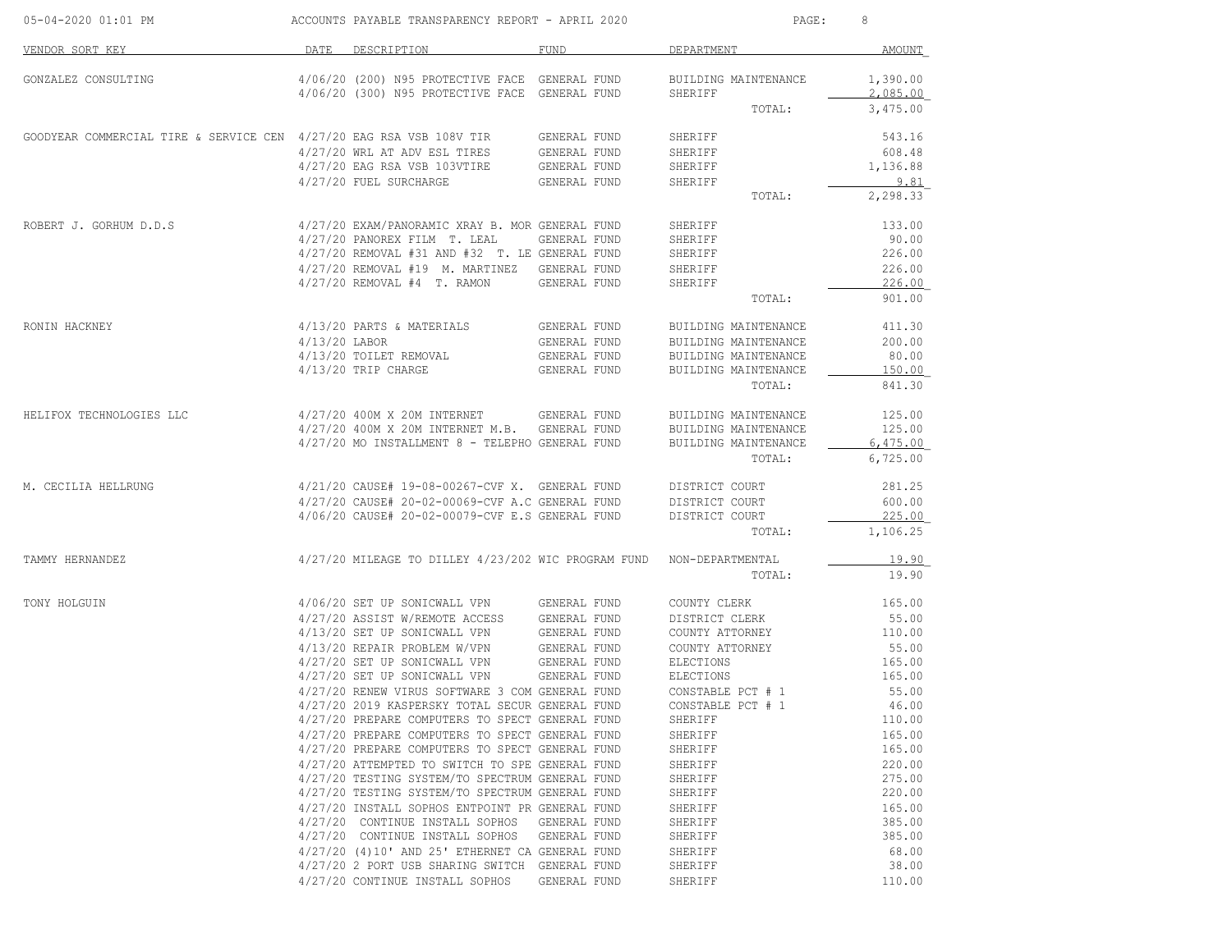| 05-04-2020 01:01 PM                                                 |                 | ACCOUNTS PAYABLE TRANSPARENCY REPORT - APRIL 2020                                                |                              | PAGE:                             | 8                    |
|---------------------------------------------------------------------|-----------------|--------------------------------------------------------------------------------------------------|------------------------------|-----------------------------------|----------------------|
| VENDOR SORT KEY                                                     | DATE            | DESCRIPTION                                                                                      | FUND                         | DEPARTMENT                        | AMOUNT               |
| GONZALEZ CONSULTING                                                 |                 | 4/06/20 (200) N95 PROTECTIVE FACE GENERAL FUND<br>4/06/20 (300) N95 PROTECTIVE FACE GENERAL FUND |                              | BUILDING MAINTENANCE<br>SHERIFF   | 1,390.00<br>2,085.00 |
|                                                                     |                 |                                                                                                  |                              | TOTAL:                            | 3,475.00             |
| GOODYEAR COMMERCIAL TIRE & SERVICE CEN 4/27/20 EAG RSA VSB 108V TIR |                 |                                                                                                  | GENERAL FUND                 | SHERIFF                           | 543.16               |
|                                                                     |                 | 4/27/20 WRL AT ADV ESL TIRES                                                                     | GENERAL FUND                 | SHERIFF                           | 608.48               |
|                                                                     |                 | 4/27/20 EAG RSA VSB 103VTIRE                                                                     | GENERAL FUND                 | SHERIFF                           | 1,136.88             |
|                                                                     |                 | 4/27/20 FUEL SURCHARGE                                                                           | GENERAL FUND                 | SHERIFF<br>TOTAL:                 | 9.81<br>2,298.33     |
|                                                                     |                 |                                                                                                  |                              |                                   |                      |
| ROBERT J. GORHUM D.D.S                                              |                 | 4/27/20 EXAM/PANORAMIC XRAY B. MOR GENERAL FUND                                                  |                              | SHERIFF                           | 133.00               |
|                                                                     |                 | 4/27/20 PANOREX FILM T. LEAL                                                                     | GENERAL FUND                 | SHERIFF                           | 90.00                |
|                                                                     |                 | 4/27/20 REMOVAL #31 AND #32 T. LE GENERAL FUND                                                   |                              | SHERIFF                           | 226.00               |
|                                                                     |                 | 4/27/20 REMOVAL #19 M. MARTINEZ                                                                  | GENERAL FUND                 | SHERIFF                           | 226.00               |
|                                                                     |                 | $4/27/20$ REMOVAL #4 T. RAMON                                                                    | GENERAL FUND                 | SHERIFF                           | 226.00               |
|                                                                     |                 |                                                                                                  |                              | TOTAL:                            | 901.00               |
| RONIN HACKNEY                                                       |                 | 4/13/20 PARTS & MATERIALS                                                                        | GENERAL FUND                 | BUILDING MAINTENANCE              | 411.30               |
|                                                                     | $4/13/20$ LABOR |                                                                                                  | GENERAL FUND                 | BUILDING MAINTENANCE              | 200.00               |
|                                                                     |                 | 4/13/20 TOILET REMOVAL                                                                           | GENERAL FUND                 | BUILDING MAINTENANCE              | 80.00                |
|                                                                     |                 | 4/13/20 TRIP CHARGE                                                                              | GENERAL FUND                 | BUILDING MAINTENANCE              | 150.00               |
|                                                                     |                 |                                                                                                  |                              | TOTAL:                            | 841.30               |
| HELIFOX TECHNOLOGIES LLC                                            |                 | 4/27/20 400M X 20M INTERNET                                                                      | GENERAL FUND                 | BUILDING MAINTENANCE              | 125.00               |
|                                                                     |                 | 4/27/20 400M X 20M INTERNET M.B.                                                                 | GENERAL FUND                 | BUILDING MAINTENANCE              | 125.00               |
|                                                                     |                 | 4/27/20 MO INSTALLMENT 8 - TELEPHO GENERAL FUND                                                  |                              | BUILDING MAINTENANCE              | 6,475.00             |
|                                                                     |                 |                                                                                                  |                              | TOTAL:                            | 6,725.00             |
| M. CECILIA HELLRUNG                                                 |                 | $4/21/20$ CAUSE# 19-08-00267-CVF X. GENERAL FUND                                                 |                              | DISTRICT COURT                    | 281.25               |
|                                                                     |                 | 4/27/20 CAUSE# 20-02-00069-CVF A.C GENERAL FUND                                                  |                              | DISTRICT COURT                    | 600.00               |
|                                                                     |                 | 4/06/20 CAUSE# 20-02-00079-CVF E.S GENERAL FUND                                                  |                              | DISTRICT COURT                    | 225.00               |
|                                                                     |                 |                                                                                                  |                              | TOTAL:                            | 1,106.25             |
|                                                                     |                 |                                                                                                  |                              |                                   |                      |
| TAMMY HERNANDEZ                                                     |                 | 4/27/20 MILEAGE TO DILLEY 4/23/202 WIC PROGRAM FUND NON-DEPARTMENTAL                             |                              | TOTAL:                            | 19.90<br>19.90       |
|                                                                     |                 |                                                                                                  |                              |                                   |                      |
| TONY HOLGUIN                                                        |                 | 4/06/20 SET UP SONICWALL VPN<br>4/27/20 ASSIST W/REMOTE ACCESS                                   | GENERAL FUND                 | COUNTY CLERK                      | 165.00               |
|                                                                     |                 | 4/13/20 SET UP SONICWALL VPN                                                                     | GENERAL FUND<br>GENERAL FUND | DISTRICT CLERK<br>COUNTY ATTORNEY | 55.00<br>110.00      |
|                                                                     |                 | 4/13/20 REPAIR PROBLEM W/VPN                                                                     | GENERAL FUND                 | COUNTY ATTORNEY                   | 55.00                |
|                                                                     |                 | 4/27/20 SET UP SONICWALL VPN                                                                     | GENERAL FUND                 | ELECTIONS                         | 165.00               |
|                                                                     |                 | 4/27/20 SET UP SONICWALL VPN                                                                     | GENERAL FUND                 | ELECTIONS                         | 165.00               |
|                                                                     |                 | 4/27/20 RENEW VIRUS SOFTWARE 3 COM GENERAL FUND                                                  |                              | CONSTABLE PCT # 1                 | 55.00                |
|                                                                     |                 | 4/27/20 2019 KASPERSKY TOTAL SECUR GENERAL FUND                                                  |                              | CONSTABLE PCT # 1                 | 46.00                |
|                                                                     |                 | 4/27/20 PREPARE COMPUTERS TO SPECT GENERAL FUND                                                  |                              | SHERIFF                           | 110.00               |
|                                                                     |                 | 4/27/20 PREPARE COMPUTERS TO SPECT GENERAL FUND                                                  |                              | SHERIFF                           | 165.00               |
|                                                                     |                 | 4/27/20 PREPARE COMPUTERS TO SPECT GENERAL FUND                                                  |                              | SHERIFF                           | 165.00               |
|                                                                     |                 | 4/27/20 ATTEMPTED TO SWITCH TO SPE GENERAL FUND                                                  |                              | SHERIFF                           | 220.00               |
|                                                                     |                 | 4/27/20 TESTING SYSTEM/TO SPECTRUM GENERAL FUND                                                  |                              | SHERIFF                           | 275.00               |
|                                                                     |                 | 4/27/20 TESTING SYSTEM/TO SPECTRUM GENERAL FUND                                                  |                              | SHERIFF                           | 220.00               |
|                                                                     |                 | 4/27/20 INSTALL SOPHOS ENTPOINT PR GENERAL FUND                                                  |                              | SHERIFF                           | 165.00               |
|                                                                     |                 | 4/27/20 CONTINUE INSTALL SOPHOS                                                                  | GENERAL FUND                 | SHERIFF                           | 385.00               |
|                                                                     |                 | 4/27/20 CONTINUE INSTALL SOPHOS                                                                  | GENERAL FUND                 | SHERIFF                           | 385.00               |
|                                                                     |                 | 4/27/20 (4)10' AND 25' ETHERNET CA GENERAL FUND                                                  |                              | SHERIFF                           | 68.00                |
|                                                                     |                 | 4/27/20 2 PORT USB SHARING SWITCH GENERAL FUND                                                   |                              | SHERIFF                           | 38.00                |
|                                                                     |                 | 4/27/20 CONTINUE INSTALL SOPHOS                                                                  | GENERAL FUND                 | SHERIFF                           | 110.00               |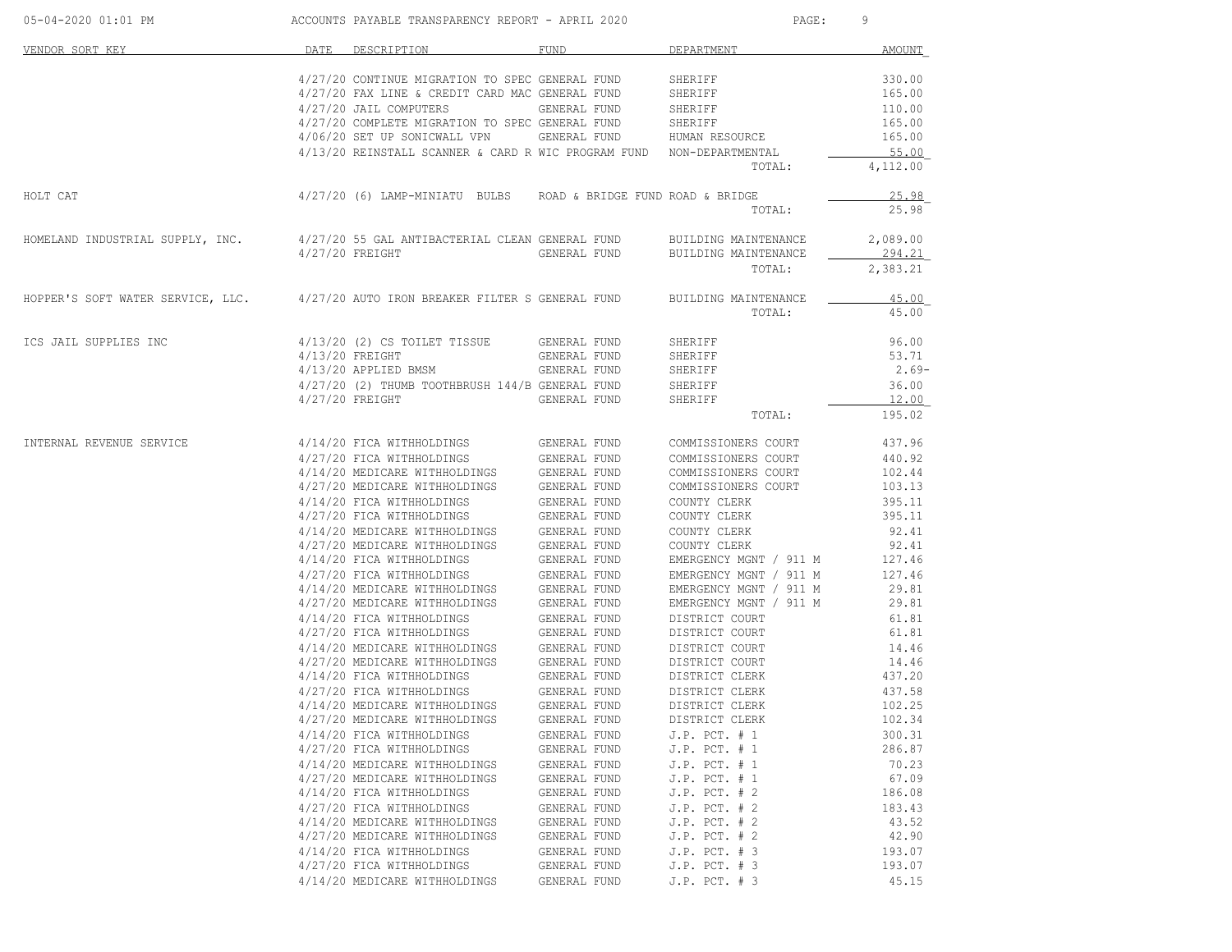| 05-04-2020 01:01 PM                                                               |      | ACCOUNTS PAYABLE TRANSPARENCY REPORT - APRIL 2020                                                                      |                             | PAGE:                                            | 9              |
|-----------------------------------------------------------------------------------|------|------------------------------------------------------------------------------------------------------------------------|-----------------------------|--------------------------------------------------|----------------|
| VENDOR SORT KEY                                                                   | DATE | DESCRIPTION                                                                                                            | FUND                        | DEPARTMENT                                       | AMOUNT         |
|                                                                                   |      | 4/27/20 CONTINUE MIGRATION TO SPEC GENERAL FUND                                                                        |                             | SHERIFF                                          | 330.00         |
|                                                                                   |      | 4/27/20 FAX LINE & CREDIT CARD MAC GENERAL FUND                                                                        |                             | SHERIFF                                          | 165.00         |
|                                                                                   |      | 4/27/20 JAIL COMPUTERS                                                                                                 | GENERAL FUND                | SHERIFF                                          | 110.00         |
|                                                                                   |      | 4/27/20 COMPLETE MIGRATION TO SPEC GENERAL FUND                                                                        |                             | SHERIFF                                          | 165.00         |
|                                                                                   |      | 4/06/20 SET UP SONICWALL VPN                                                                                           | GENERAL FUND HUMAN RESOURCE |                                                  | 165.00         |
|                                                                                   |      | 4/13/20 REINSTALL SCANNER & CARD R WIC PROGRAM FUND NON-DEPARTMENTAL                                                   |                             |                                                  | 55.00          |
|                                                                                   |      |                                                                                                                        |                             | TOTAL:                                           | 4,112.00       |
| HOLT CAT                                                                          |      | $4/27/20$ (6) LAMP-MINIATU BULBS ROAD & BRIDGE FUND ROAD & BRIDGE                                                      |                             |                                                  | 25.98          |
|                                                                                   |      |                                                                                                                        |                             | TOTAL:                                           | 25.98          |
| HOMELAND INDUSTRIAL SUPPLY, INC.                                                  |      | 4/27/20 55 GAL ANTIBACTERIAL CLEAN GENERAL FUND                                                                        |                             | BUILDING MAINTENANCE                             | 2,089.00       |
|                                                                                   |      | $4/27/20$ FREIGHT                                                                                                      | GENERAL FUND                | BUILDING MAINTENANCE                             | 294.21         |
|                                                                                   |      |                                                                                                                        |                             | TOTAL:                                           | 2,383.21       |
| HOPPER'S SOFT WATER SERVICE, LLC. 4/27/20 AUTO IRON BREAKER FILTER S GENERAL FUND |      |                                                                                                                        |                             | BUILDING MAINTENANCE                             | 45.00          |
|                                                                                   |      |                                                                                                                        |                             | TOTAL:                                           | 45.00          |
| ICS JAIL SUPPLIES INC                                                             |      | 4/13/20 (2) CS TOILET TISSUE                                                                                           | GENERAL FUND                | SHERIFF                                          | 96.00          |
|                                                                                   |      | $4/13/20$ FREIGHT                                                                                                      | GENERAL FUND                | SHERIFF                                          | 53.71          |
|                                                                                   |      | 4/13/20 APPLIED BMSM                                                                                                   | GENERAL FUND                | SHERIFF                                          | $2.69-$        |
|                                                                                   |      | 4/27/20 (2) THUMB TOOTHBRUSH 144/B GENERAL FUND                                                                        |                             | SHERIFF                                          | 36.00          |
|                                                                                   |      | $4/27/20$ FREIGHT                                                                                                      | GENERAL FUND                | SHERIFF                                          | 12.00          |
|                                                                                   |      |                                                                                                                        |                             | TOTAL:                                           | 195.02         |
| INTERNAL REVENUE SERVICE                                                          |      | 4/14/20 FICA WITHHOLDINGS                                                                                              | GENERAL FUND                | COMMISSIONERS COURT                              | 437.96         |
|                                                                                   |      | 4/27/20 FICA WITHHOLDINGS GENERAL FUND                                                                                 |                             | COMMISSIONERS COURT                              | 440.92         |
|                                                                                   |      | $4/14/20$ MEDICARE WITHHOLDINGS GENERAL FUND                                                                           |                             | COMMISSIONERS COURT                              | 102.44         |
|                                                                                   |      | 4/27/20 MEDICARE WITHHOLDINGS                                                                                          | GENERAL FUND                | COMMISSIONERS COURT                              | 103.13         |
|                                                                                   |      | 4/14/20 FICA WITHHOLDINGS                                                                                              | GENERAL FUND                | COUNTY CLERK                                     | 395.11         |
|                                                                                   |      | $4/27/20$ FICA WITHHOLDINGS GENERAL FUND $4/14/20$ MEDICARE WITHHOLDINGS GENERAL FUND                                  |                             | COUNTY CLERK                                     | 395.11         |
|                                                                                   |      |                                                                                                                        |                             | COUNTY CLERK                                     | 92.41          |
|                                                                                   |      | 4/27/20 MEDICARE WITHHOLDINGS<br>4/14/20 FICA WITHHOLDINGS                                                             | GENERAL FUND                | COUNTY CLERK                                     | 92.41          |
|                                                                                   |      | 4/14/20 FICA WITHHOLDINGS                                                                                              | GENERAL FUND                | EMERGENCY MGNT / 911 M                           | 127.46         |
|                                                                                   |      | $4/27/20 \mbox{ FICA WITHHOLDINGS} \mbox{ GENERAL FUND} \\ 4/14/20 \mbox{ MEDICARE WITHHOLDINGS} \mbox{ GENERAL FUND}$ |                             | EMERGENCY MGNT / 911 M                           | 127.46         |
|                                                                                   |      | 4/27/20 MEDICARE WITHHOLDINGS GENERAL FUND                                                                             |                             | EMERGENCY MGNT / 911 M<br>EMERGENCY MGNT / 911 M | 29.81<br>29.81 |
|                                                                                   |      | 4/14/20 FICA WITHHOLDINGS                                                                                              | GENERAL FUND                | DISTRICT COURT                                   | 61.81          |
|                                                                                   |      | 4/27/20 FICA WITHHOLDINGS GENERAL FUND                                                                                 |                             | DISTRICT COURT                                   | 61.81          |
|                                                                                   |      |                                                                                                                        |                             | DISTRICT COURT                                   | 14.46          |
|                                                                                   |      | $4/14/20$ MEDICARE WITHHOLDINGS GENERAL FUND $4/27/20$ MEDICARE WITHHOLDINGS GENERAL FUND                              |                             | DISTRICT COURT                                   | 14.46          |
|                                                                                   |      | 4/14/20 FICA WITHHOLDINGS                                                                                              | GENERAL FUND                | DISTRICT CLERK                                   | 437.20         |
|                                                                                   |      | 4/27/20 FICA WITHHOLDINGS                                                                                              | GENERAL FUND                | DISTRICT CLERK                                   | 437.58         |
|                                                                                   |      | 4/14/20 MEDICARE WITHHOLDINGS                                                                                          | GENERAL FUND                | DISTRICT CLERK                                   | 102.25         |
|                                                                                   |      | 4/27/20 MEDICARE WITHHOLDINGS                                                                                          | GENERAL FUND                | DISTRICT CLERK                                   | 102.34         |
|                                                                                   |      | 4/14/20 FICA WITHHOLDINGS                                                                                              | GENERAL FUND                | $J.P.$ PCT. $# 1$                                | 300.31         |
|                                                                                   |      | 4/27/20 FICA WITHHOLDINGS                                                                                              | GENERAL FUND                | J.P. PCT. # 1                                    | 286.87         |
|                                                                                   |      | 4/14/20 MEDICARE WITHHOLDINGS                                                                                          | GENERAL FUND                | $J.P.$ PCT. $# 1$                                | 70.23          |
|                                                                                   |      | 4/27/20 MEDICARE WITHHOLDINGS                                                                                          | GENERAL FUND                | $J.P.$ PCT. $# 1$                                | 67.09          |
|                                                                                   |      | 4/14/20 FICA WITHHOLDINGS                                                                                              | GENERAL FUND                | $J.P.$ PCT. $# 2$                                | 186.08         |
|                                                                                   |      | 4/27/20 FICA WITHHOLDINGS                                                                                              | GENERAL FUND                | $J.P.$ PCT. $# 2$                                | 183.43         |
|                                                                                   |      | 4/14/20 MEDICARE WITHHOLDINGS                                                                                          | GENERAL FUND                | $J.P.$ PCT. $# 2$                                | 43.52          |
|                                                                                   |      | 4/27/20 MEDICARE WITHHOLDINGS                                                                                          | GENERAL FUND                | $J.P.$ PCT. $# 2$                                | 42.90          |
|                                                                                   |      | 4/14/20 FICA WITHHOLDINGS                                                                                              | GENERAL FUND                | $J.P.$ PCT. $# 3$                                | 193.07         |
|                                                                                   |      | 4/27/20 FICA WITHHOLDINGS                                                                                              | GENERAL FUND                | $J.P.$ PCT. $# 3$                                | 193.07         |
|                                                                                   |      | 4/14/20 MEDICARE WITHHOLDINGS                                                                                          | GENERAL FUND                | $J.P.$ PCT. $# 3$                                | 45.15          |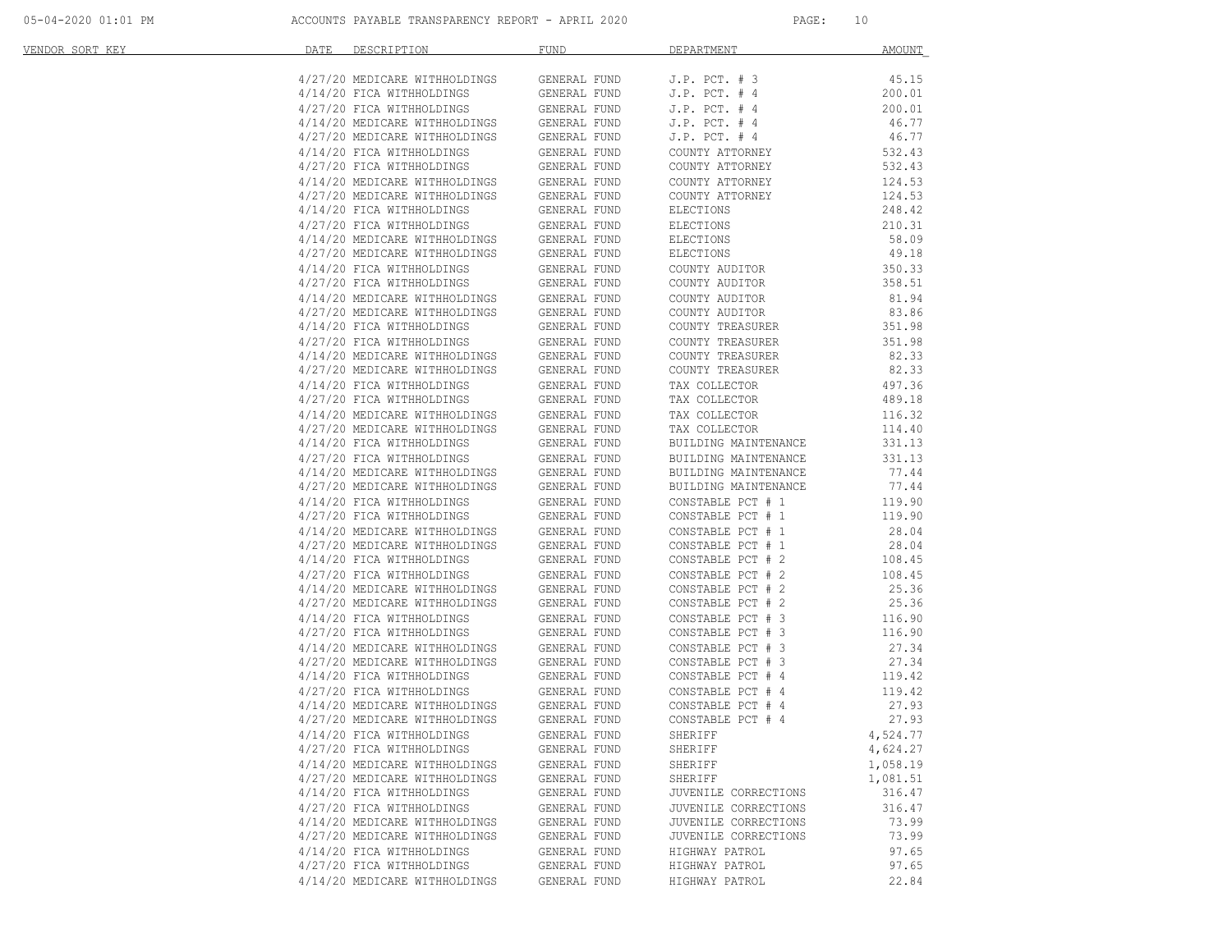05-04-2020 01:01 PM ACCOUNTS PAYABLE TRANSPARENCY REPORT - APRIL 2020 PAGE: 10

| VENDOR SORT KEY | DATE<br>DESCRIPTION                                                                         | <b>FUND</b>                  | <b>DEPARTMENT</b>                            | AMOUNT         |
|-----------------|---------------------------------------------------------------------------------------------|------------------------------|----------------------------------------------|----------------|
|                 | 4/27/20 MEDICARE WITHHOLDINGS                                                               | GENERAL FUND                 | $J.P.$ PCT. $# 3$                            | 45.15          |
|                 | 4/14/20 FICA WITHHOLDINGS                                                                   | GENERAL FUND                 | $J.P.$ PCT. $#4$                             | 200.01         |
|                 | 4/27/20 FICA WITHHOLDINGS                                                                   | GENERAL FUND                 | $J.P.$ PCT. $#4$                             | 200.01         |
|                 | 4/14/20 MEDICARE WITHHOLDINGS                                                               | GENERAL FUND                 | $J.P.$ PCT. $#4$                             | 46.77          |
|                 | 4/27/20 MEDICARE WITHHOLDINGS                                                               | GENERAL FUND                 | $J.P.$ PCT. $#4$                             | 46.77          |
|                 | 4/14/20 FICA WITHHOLDINGS                                                                   | GENERAL FUND                 | COUNTY ATTORNEY                              | 532.43         |
|                 | 4/27/20 FICA WITHHOLDINGS                                                                   | GENERAL FUND                 | COUNTY ATTORNEY                              | 532.43         |
|                 | 4/27/20 FICA WITHHOLDINGS<br>4/14/20 MEDICARE WITHHOLDINGS                                  | GENERAL FUND                 | COUNTY ATTORNEY                              | 124.53         |
|                 | HAZIAZU MEDICARE WITHHOLDINGS<br>4/14/20 FICA WITHHOLDINGS                                  | GENERAL FUND                 | COUNTY ATTORNEY                              | 124.53         |
|                 |                                                                                             | GENERAL FUND                 | ELECTIONS                                    | 248.42         |
|                 | 4/27/20 FICA WITHHOLDINGS                                                                   | GENERAL FUND                 | ELECTIONS                                    | 210.31         |
|                 | 4/14/20 MEDICARE WITHHOLDINGS                                                               | GENERAL FUND                 | ELECTIONS                                    | 58.09          |
|                 | 4/27/20 MEDICARE WITHHOLDINGS                                                               | GENERAL FUND                 | ELECTIONS                                    | 49.18          |
|                 | 4/14/20 FICA WITHHOLDINGS<br>4/27/20 FICA WITHHOLDINGS                                      | GENERAL FUND                 | COUNTY AUDITOR                               | 350.33         |
|                 |                                                                                             | GENERAL FUND                 | COUNTY AUDITOR                               | 358.51         |
|                 | 4/14/20 MEDICARE WITHHOLDINGS<br>4/27/20 MEDICARE WITHHOLDINGS                              | GENERAL FUND                 | COUNTY AUDITOR                               | 81.94          |
|                 |                                                                                             | GENERAL FUND                 | COUNTY AUDITOR                               | 83.86          |
|                 | 4/14/20 FICA WITHHOLDINGS                                                                   | GENERAL FUND                 | COUNTY TREASURER                             | 351.98         |
|                 | 4/27/20 FICA WITHHOLDINGS                                                                   | GENERAL FUND                 | COUNTY TREASURER                             | 351.98         |
|                 | 4/14/20 MEDICARE WITHHOLDINGS                                                               | GENERAL FUND                 | COUNTY TREASURER                             | 82.33          |
|                 | 4/27/20 MEDICARE WITHHOLDINGS<br>4/14/20 FICA WITHHOLDINGS                                  | GENERAL FUND                 | COUNTY TREASURER                             | 82.33          |
|                 | 4/14/20 FICA WITHHOLDINGS                                                                   | GENERAL FUND                 | TAX COLLECTOR                                | 497.36         |
|                 | 4/27/20 FICA WITHHOLDINGS<br>4/27/20 FICA WITHHOLDINGS<br>4/14/20 MEDICARE WITHHOLDINGS     | GENERAL FUND                 | TAX COLLECTOR                                | 489.18         |
|                 |                                                                                             | GENERAL FUND                 | TAX COLLECTOR                                | 116.32         |
|                 | 4/27/20 MEDICARE WITHHOLDINGS<br>4/14/20 FICA WITHHOLDINGS                                  | GENERAL FUND                 | TAX COLLECTOR                                | 114.40         |
|                 |                                                                                             | GENERAL FUND                 | BUILDING MAINTENANCE                         | 331.13         |
|                 | 4/27/20 FICA WITHHOLDINGS<br>4/14/20 MEDICARE WITHHOLDINGS                                  | GENERAL FUND                 | BUILDING MAINTENANCE                         | 331.13         |
|                 | 4/27/20 MEDICARE WITHHOLDINGS                                                               | GENERAL FUND<br>GENERAL FUND | BUILDING MAINTENANCE<br>BUILDING MAINTENANCE | 77.44<br>77.44 |
|                 |                                                                                             | GENERAL FUND                 | CONSTABLE PCT # 1                            | 119.90         |
|                 | 4/14/20 FICA WITHHOLDINGS<br>4/27/20 FICA WITHHOLDINGS                                      | GENERAL FUND                 | CONSTABLE PCT # 1                            | 119.90         |
|                 |                                                                                             | GENERAL FUND                 | CONSTABLE PCT # 1                            | 28.04          |
|                 | 4/14/20 MEDICARE WITHHOLDINGS<br>4/27/20 MEDICARE WITHHOLDINGS                              | GENERAL FUND                 | CONSTABLE PCT # 1                            | 28.04          |
|                 | 4/14/20 FICA WITHHOLDINGS                                                                   | GENERAL FUND                 | CONSTABLE PCT # 2                            | 108.45         |
|                 | 4/27/20 FICA WITHHOLDINGS                                                                   | GENERAL FUND                 | CONSTABLE PCT # 2                            | 108.45         |
|                 | 4/14/20 MEDICARE WITHHOLDINGS                                                               | GENERAL FUND                 | CONSTABLE PCT # 2                            | 25.36          |
|                 | 4/27/20 MEDICARE WITHHOLDINGS                                                               | GENERAL FUND                 | CONSTABLE PCT # 2                            | 25.36          |
|                 | 4/14/20 FICA WITHHOLDINGS                                                                   | GENERAL FUND                 | CONSTABLE PCT # 3                            | 116.90         |
|                 |                                                                                             | GENERAL FUND                 | CONSTABLE PCT # 3                            | 116.90         |
|                 | 4/14/20 FICA WITHHOLDINGS<br>4/27/20 FICA WITHHOLDINGS<br>1/14/00 MEDICARE WITHHOLDINGS     | GENERAL FUND                 | CONSTABLE PCT # 3                            | 27.34          |
|                 |                                                                                             | GENERAL FUND                 | CONSTABLE PCT # 3                            | 27.34          |
|                 | 4/27/20 MEDICARE WITHHOLDINGS<br>4/14/20 FICA WITHHOLDINGS                                  | GENERAL FUND                 | CONSTABLE PCT # 4                            | 119.42         |
|                 | 4/27/20 FICA WITHHOLDINGS<br>4/14/20 MEDICARE WITHHOLDINGS<br>4/27/20 MEDICARE WITHHOLDINGS | GENERAL FUND                 | CONSTABLE PCT # 4                            | 119.42         |
|                 |                                                                                             | GENERAL FUND                 | CONSTABLE PCT # 4                            | 27.93          |
|                 |                                                                                             | GENERAL FUND                 | CONSTABLE PCT # 4                            | 27.93          |
|                 | 4/14/20 FICA WITHHOLDINGS                                                                   | GENERAL FUND                 | SHERIFF                                      | 4,524.77       |
|                 | 4/27/20 FICA WITHHOLDINGS                                                                   | GENERAL FUND                 | SHERIFF                                      | 4,624.27       |
|                 | 4/14/20 MEDICARE WITHHOLDINGS                                                               | GENERAL FUND                 | SHERIFF                                      | 1,058.19       |
|                 | 4/27/20 MEDICARE WITHHOLDINGS                                                               | GENERAL FUND                 | SHERIFF                                      | 1,081.51       |
|                 | 4/14/20 FICA WITHHOLDINGS                                                                   | GENERAL FUND                 | JUVENILE CORRECTIONS                         | 316.47         |
|                 | 4/27/20 FICA WITHHOLDINGS                                                                   | GENERAL FUND                 | JUVENILE CORRECTIONS                         | 316.47         |
|                 | 4/14/20 MEDICARE WITHHOLDINGS                                                               | GENERAL FUND                 | JUVENILE CORRECTIONS                         | 73.99          |
|                 | 4/27/20 MEDICARE WITHHOLDINGS                                                               | GENERAL FUND                 | JUVENILE CORRECTIONS                         | 73.99          |
|                 | 4/14/20 FICA WITHHOLDINGS                                                                   | GENERAL FUND                 | HIGHWAY PATROL                               | 97.65          |
|                 | 4/27/20 FICA WITHHOLDINGS                                                                   | GENERAL FUND                 | HIGHWAY PATROL                               | 97.65          |
|                 | 4/14/20 MEDICARE WITHHOLDINGS                                                               | GENERAL FUND                 | HIGHWAY PATROL                               | 22.84          |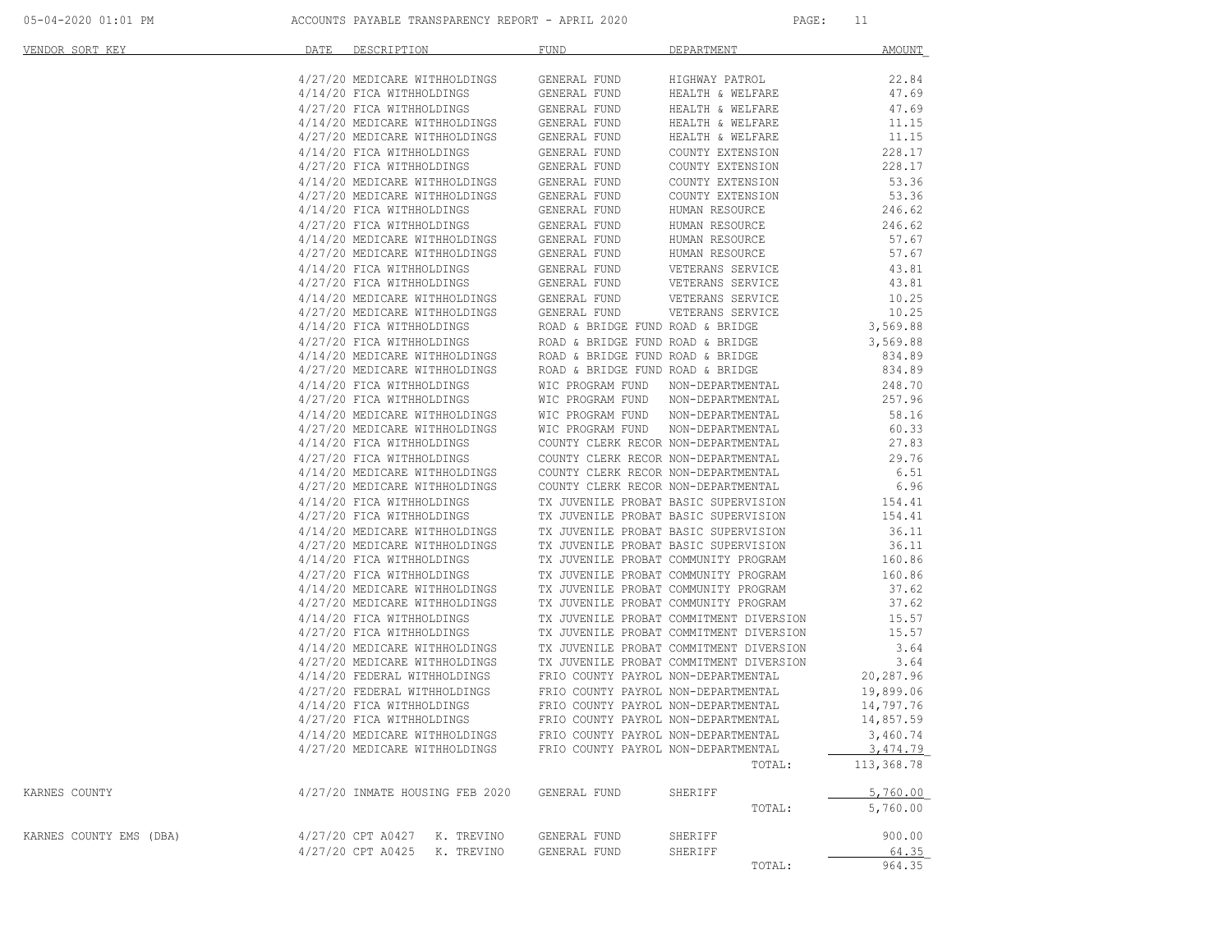05-04-2020 01:01 PM ACCOUNTS PAYABLE TRANSPARENCY REPORT - APRIL 2020 PAGE: 11

| VENDOR SORT KEY         | DATE<br>DESCRIPTION <b>Andrew Programs</b>                                                                                                                | FUND                                                           | DEPARTMENT                                                                         | AMOUNT             |
|-------------------------|-----------------------------------------------------------------------------------------------------------------------------------------------------------|----------------------------------------------------------------|------------------------------------------------------------------------------------|--------------------|
|                         | 4/27/20 MEDICARE WITHHOLDINGS                                                                                                                             | GENERAL FUND                                                   | HIGHWAY PATROL                                                                     | 22.84              |
|                         | 4/14/20 FICA WITHHOLDINGS                                                                                                                                 | GENERAL FUND                                                   | HEALTH & WELFARE                                                                   | 47.69              |
|                         | 4/27/20 FICA WITHHOLDINGS                                                                                                                                 | GENERAL FUND                                                   | HEALTH & WELFARE                                                                   | 47.69              |
|                         | 4/14/20 MEDICARE WITHHOLDINGS                                                                                                                             | GENERAL FUND                                                   | HEALTH & WELFARE                                                                   | 11.15              |
|                         | 4/27/20 MEDICARE WITHHOLDINGS                                                                                                                             | GENERAL FUND                                                   | HEALTH & WELFARE                                                                   | 11.15              |
|                         | 4/14/20 FICA WITHHOLDINGS                                                                                                                                 | GENERAL FUND                                                   | COUNTY EXTENSION                                                                   | 228.17             |
|                         | 4/27/20 FICA WITHHOLDINGS                                                                                                                                 | GENERAL FUND                                                   | COUNTY EXTENSION                                                                   | 228.17             |
|                         | 4/14/20 MEDICARE WITHHOLDINGS                                                                                                                             | GENERAL FUND                                                   | COUNTY EXTENSION                                                                   | 53.36              |
|                         | 4/27/20 MEDICARE WITHHOLDINGS                                                                                                                             | GENERAL FUND                                                   | COUNTY EXTENSION                                                                   | 53.36              |
|                         | 4/14/20 FICA WITHHOLDINGS                                                                                                                                 | GENERAL FUND                                                   | HUMAN RESOURCE                                                                     | 246.62             |
|                         | 4/27/20 FICA WITHHOLDINGS                                                                                                                                 | GENERAL FUND                                                   | HUMAN RESOURCE                                                                     | 246.62             |
|                         | 4/14/20 MEDICARE WITHHOLDINGS<br>4/27/20 MEDICARE WITHHOLDINGS                                                                                            | GENERAL FUND<br>GENERAL FUND<br>GENERAL FUND                   | HUMAN RESOURCE                                                                     | 57.67              |
|                         |                                                                                                                                                           |                                                                | HUMAN RESOURCE                                                                     | 57.67              |
|                         | 4/14/20 FICA WITHHOLDINGS                                                                                                                                 | GENERAL FUND VETERANS SERVICE<br>GENERAL FUND VETERANS SERVICE |                                                                                    | 43.81              |
|                         | 4/27/20 FICA WITHHOLDINGS                                                                                                                                 |                                                                |                                                                                    | 43.81              |
|                         | $4/14/20$ MEDICARE WITHHOLDINGS GENERAL FUND VETERANS SERVICE                                                                                             |                                                                |                                                                                    | 10.25              |
|                         | 4/27/20 MEDICARE WITHHOLDINGS GENERAL FUND                                                                                                                |                                                                | VETERANS SERVICE                                                                   | 10.25              |
|                         | 4/14/20 FICA WITHHOLDINGS                                                                                                                                 | ROAD & BRIDGE FUND ROAD & BRIDGE                               |                                                                                    | 3,569.88           |
|                         | $4/27/20$ FICA WITHHOLDINGS ROAD & BRIDGE FUND ROAD & BRIDGE $4/14/20$ MEDICARE WITHHOLDINGS ROAD & BRIDGE FUND ROAD & BRIDGE                             |                                                                |                                                                                    | 3,569.88<br>834.89 |
|                         |                                                                                                                                                           |                                                                |                                                                                    | 834.89             |
|                         | $4/27/20$ MEDICARE WITHHOLDINGS ROAD & BRIDGE FUND ROAD & BRIDGE $4/14/20$ FICA WITHHOLDINGS WIC PROGRAM FUND NON-DEPARTMENT<br>4/14/20 FICA WITHHOLDINGS | WIC PROGRAM FUND NON-DEPARTMENTAL                              |                                                                                    | 248.70             |
|                         | 4/27/20 FICA WITHHOLDINGS                                                                                                                                 | WIC PROGRAM FUND NON-DEPARTMENTAL                              |                                                                                    | 257.96             |
|                         | 4/14/20 MEDICARE WITHHOLDINGS                                                                                                                             | WIC PROGRAM FUND NON-DEPARTMENTAL                              |                                                                                    | 58.16              |
|                         | 4/27/20 MEDICARE WITHHOLDINGS                                                                                                                             | WIC PROGRAM FUND                                               | NON-DEPARTMENTAL                                                                   | 60.33              |
|                         | 4/14/20 FICA WITHHOLDINGS                                                                                                                                 |                                                                | COUNTY CLERK RECOR NON-DEPARTMENTAL                                                | 27.83              |
|                         | 4/27/20 FICA WITHHOLDINGS                                                                                                                                 | COUNTY CLERK RECOR NON-DEPARTMENTAL                            |                                                                                    | 29.76              |
|                         | 4/14/20 MEDICARE WITHHOLDINGS                                                                                                                             | COUNTY CLERK RECOR NON-DEPARTMENTAL                            |                                                                                    | 6.51               |
|                         | 4/27/20 MEDICARE WITHHOLDINGS                                                                                                                             |                                                                | COUNTY CLERK RECOR NON-DEPARTMENTAL                                                | 6.96               |
|                         | 4/14/20 FICA WITHHOLDINGS                                                                                                                                 |                                                                | TX JUVENILE PROBAT BASIC SUPERVISION                                               | 154.41             |
|                         | 4/27/20 FICA WITHHOLDINGS                                                                                                                                 |                                                                | TX JUVENILE PROBAT BASIC SUPERVISION                                               | 154.41             |
|                         | 4/14/20 MEDICARE WITHHOLDINGS                                                                                                                             |                                                                | TX JUVENILE PROBAT BASIC SUPERVISION                                               | 36.11              |
|                         | 4/27/20 MEDICARE WITHHOLDINGS                                                                                                                             |                                                                | TX JUVENILE PROBAT BASIC SUPERVISION                                               | 36.11              |
|                         | 4/14/20 FICA WITHHOLDINGS                                                                                                                                 |                                                                | TX JUVENILE PROBAT COMMUNITY PROGRAM                                               | 160.86             |
|                         | 4/27/20 FICA WITHHOLDINGS                                                                                                                                 |                                                                | TX JUVENILE PROBAT COMMUNITY PROGRAM                                               | 160.86             |
|                         | 4/14/20 MEDICARE WITHHOLDINGS                                                                                                                             |                                                                | TX JUVENILE PROBAT COMMUNITY PROGRAM                                               | 37.62              |
|                         | 4/27/20 MEDICARE WITHHOLDINGS                                                                                                                             |                                                                | TX JUVENILE PROBAT COMMUNITY PROGRAM                                               | 37.62              |
|                         | 4/14/20 FICA WITHHOLDINGS                                                                                                                                 |                                                                | TX JUVENILE PROBAT COMMITMENT DIVERSION                                            | 15.57              |
|                         | 4/27/20 FICA WITHHOLDINGS                                                                                                                                 |                                                                | TX JUVENILE PROBAT COMMITMENT DIVERSION                                            | 15.57              |
|                         | 4/14/20 MEDICARE WITHHOLDINGS<br>4/27/20 MEDICARE WITHHOLDINGS                                                                                            |                                                                | TX JUVENILE PROBAT COMMITMENT DIVERSION<br>TX JUVENILE PROBAT COMMITMENT DIVERSION | 3.64<br>3.64       |
|                         | 4/14/20 FEDERAL WITHHOLDINGS                                                                                                                              | FRIO COUNTY PAYROL NON-DEPARTMENTAL                            |                                                                                    | 20,287.96          |
|                         | 4/27/20 FEDERAL WITHHOLDINGS FRIO COUNTY PAYROL NON-DEPARTMENTAL                                                                                          |                                                                |                                                                                    | 19,899.06          |
|                         | 4/14/20 FICA WITHHOLDINGS                                                                                                                                 | FRIO COUNTY PAYROL NON-DEPARTMENTAL                            |                                                                                    | 14,797.76          |
|                         | 4/27/20 FICA WITHHOLDINGS                                                                                                                                 | FRIO COUNTY PAYROL NON-DEPARTMENTAL                            |                                                                                    | 14,857.59          |
|                         | 4/14/20 MEDICARE WITHHOLDINGS                                                                                                                             | FRIO COUNTY PAYROL NON-DEPARTMENTAL                            |                                                                                    | 3,460.74           |
|                         | 4/27/20 MEDICARE WITHHOLDINGS                                                                                                                             | FRIO COUNTY PAYROL NON-DEPARTMENTAL                            |                                                                                    | 3,474.79           |
|                         |                                                                                                                                                           |                                                                | TOTAL:                                                                             | 113,368.78         |
| KARNES COUNTY           | 4/27/20 INMATE HOUSING FEB 2020                                                                                                                           | GENERAL FUND                                                   | SHERIFF                                                                            | 5,760.00           |
|                         |                                                                                                                                                           |                                                                | TOTAL:                                                                             | 5,760.00           |
| KARNES COUNTY EMS (DBA) | 4/27/20 CPT A0427 K. TREVINO                                                                                                                              | GENERAL FUND                                                   | SHERIFF                                                                            | 900.00             |
|                         | 4/27/20 CPT A0425 K. TREVINO                                                                                                                              | GENERAL FUND                                                   | SHERIFF                                                                            | 64.35              |
|                         |                                                                                                                                                           |                                                                | TOTAL:                                                                             | 964.35             |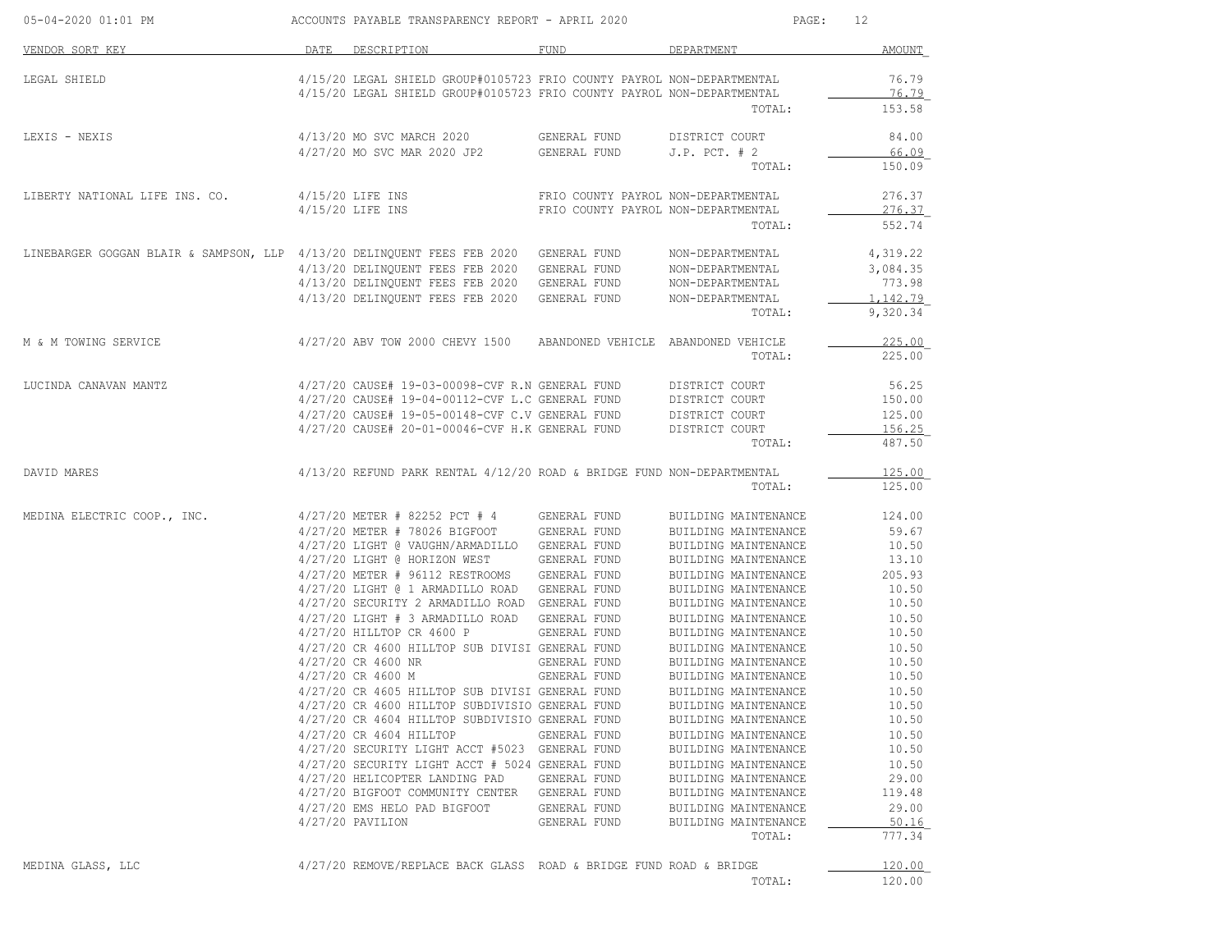| 05-04-2020 01:01 PM                                                                  | ACCOUNTS PAYABLE TRANSPARENCY REPORT - APRIL 2020                                                                                                                                                                                                                                                                                                                                                                                                                                                                                                                                                                                                                                                                                                                                                                                                                                                                               |                                                                                                                                              | PAGE:                                                                                                                                                                                                                                                                                                                                                                                                                                                                                                                                                  | 12                                                                                                                                                                                                              |
|--------------------------------------------------------------------------------------|---------------------------------------------------------------------------------------------------------------------------------------------------------------------------------------------------------------------------------------------------------------------------------------------------------------------------------------------------------------------------------------------------------------------------------------------------------------------------------------------------------------------------------------------------------------------------------------------------------------------------------------------------------------------------------------------------------------------------------------------------------------------------------------------------------------------------------------------------------------------------------------------------------------------------------|----------------------------------------------------------------------------------------------------------------------------------------------|--------------------------------------------------------------------------------------------------------------------------------------------------------------------------------------------------------------------------------------------------------------------------------------------------------------------------------------------------------------------------------------------------------------------------------------------------------------------------------------------------------------------------------------------------------|-----------------------------------------------------------------------------------------------------------------------------------------------------------------------------------------------------------------|
| VENDOR SORT KEY                                                                      | DATE DESCRIPTION                                                                                                                                                                                                                                                                                                                                                                                                                                                                                                                                                                                                                                                                                                                                                                                                                                                                                                                | FUND                                                                                                                                         | DEPARTMENT                                                                                                                                                                                                                                                                                                                                                                                                                                                                                                                                             | AMOUNT                                                                                                                                                                                                          |
| LEGAL SHIELD                                                                         | 4/15/20 LEGAL SHIELD GROUP#0105723 FRIO COUNTY PAYROL NON-DEPARTMENTAL<br>4/15/20 LEGAL SHIELD GROUP#0105723 FRIO COUNTY PAYROL NON-DEPARTMENTAL                                                                                                                                                                                                                                                                                                                                                                                                                                                                                                                                                                                                                                                                                                                                                                                |                                                                                                                                              | TOTAL:                                                                                                                                                                                                                                                                                                                                                                                                                                                                                                                                                 | 76.79<br>76.79<br>153.58                                                                                                                                                                                        |
| LEXIS - NEXIS                                                                        | 4/13/20 MO SVC MARCH 2020<br>4/27/20 MO SVC MAR 2020 JP2                                                                                                                                                                                                                                                                                                                                                                                                                                                                                                                                                                                                                                                                                                                                                                                                                                                                        | GENERAL FUND<br>GENERAL FUND                                                                                                                 | DISTRICT COURT<br>$J.P.$ PCT. $# 2$<br>TOTAL:                                                                                                                                                                                                                                                                                                                                                                                                                                                                                                          | 84.00<br>66.09<br>150.09                                                                                                                                                                                        |
| LIBERTY NATIONAL LIFE INS. CO.                                                       | 4/15/20 LIFE INS<br>4/15/20 LIFE INS                                                                                                                                                                                                                                                                                                                                                                                                                                                                                                                                                                                                                                                                                                                                                                                                                                                                                            | FRIO COUNTY PAYROL NON-DEPARTMENTAL<br>FRIO COUNTY PAYROL NON-DEPARTMENTAL                                                                   | TOTAL:                                                                                                                                                                                                                                                                                                                                                                                                                                                                                                                                                 | 276.37<br>276.37<br>552.74                                                                                                                                                                                      |
| LINEBARGER GOGGAN BLAIR & SAMPSON, LLP 4/13/20 DELINQUENT FEES FEB 2020 GENERAL FUND | 4/13/20 DELINQUENT FEES FEB 2020<br>4/13/20 DELINQUENT FEES FEB 2020<br>4/13/20 DELINQUENT FEES FEB 2020                                                                                                                                                                                                                                                                                                                                                                                                                                                                                                                                                                                                                                                                                                                                                                                                                        | GENERAL FUND<br>GENERAL FUND<br>GENERAL FUND NON-DEPARTMENTAL                                                                                | NON-DEPARTMENTAL<br>NON-DEPARTMENTAL<br>NON-DEPARTMENTAL<br>TOTAL:                                                                                                                                                                                                                                                                                                                                                                                                                                                                                     | 4,319.22<br>3,084.35<br>773.98<br>1,142.79<br>9,320.34                                                                                                                                                          |
| M & M TOWING SERVICE                                                                 | 4/27/20 ABV TOW 2000 CHEVY 1500 ABANDONED VEHICLE ABANDONED VEHICLE                                                                                                                                                                                                                                                                                                                                                                                                                                                                                                                                                                                                                                                                                                                                                                                                                                                             |                                                                                                                                              | TOTAL:                                                                                                                                                                                                                                                                                                                                                                                                                                                                                                                                                 | 225.00<br>225.00                                                                                                                                                                                                |
| LUCINDA CANAVAN MANTZ                                                                | 4/27/20 CAUSE# 19-03-00098-CVF R.N GENERAL FUND<br>4/27/20 CAUSE# 19-04-00112-CVF L.C GENERAL FUND DISTRICT COURT<br>4/27/20 CAUSE# 19-05-00148-CVF C.V GENERAL FUND<br>4/27/20 CAUSE# 20-01-00046-CVF H.K GENERAL FUND                                                                                                                                                                                                                                                                                                                                                                                                                                                                                                                                                                                                                                                                                                         |                                                                                                                                              | DISTRICT COURT<br>DISTRICT COURT<br>DISTRICT COURT<br>TOTAL:                                                                                                                                                                                                                                                                                                                                                                                                                                                                                           | 56.25<br>150.00<br>125.00<br>156.25<br>487.50                                                                                                                                                                   |
| DAVID MARES                                                                          | $4/13/20$ REFUND PARK RENTAL $4/12/20$ ROAD & BRIDGE FUND NON-DEPARTMENTAL                                                                                                                                                                                                                                                                                                                                                                                                                                                                                                                                                                                                                                                                                                                                                                                                                                                      |                                                                                                                                              | TOTAL:                                                                                                                                                                                                                                                                                                                                                                                                                                                                                                                                                 | 125.00<br>125.00                                                                                                                                                                                                |
| MEDINA ELECTRIC COOP., INC.                                                          | $4/27/20$ METER # 82252 PCT # 4 GENERAL FUND<br>4/27/20 METER # 78026 BIGFOOT GENERAL FUND<br>4/27/20 LIGHT @ VAUGHN/ARMADILLO GENERAL FUND<br>4/27/20 LIGHT @ HORIZON WEST GENERAL FUND<br>4/27/20 METER # 96112 RESTROOMS<br>4/27/20 LIGHT @ 1 ARMADILLO ROAD GENERAL FUND<br>4/27/20 SECURITY 2 ARMADILLO ROAD GENERAL FUND<br>4/27/20 LIGHT # 3 ARMADILLO ROAD GENERAL FUND<br>4/27/20 HILLTOP CR 4600 P<br>4/27/20 CR 4600 HILLTOP SUB DIVISI GENERAL FUND<br>4/27/20 CR 4600 NR<br>4/27/20 CR 4600 M<br>4/27/20 CR 4605 HILLTOP SUB DIVISI GENERAL FUND<br>4/27/20 CR 4600 HILLTOP SUBDIVISIO GENERAL FUND<br>4/27/20 CR 4604 HILLTOP SUBDIVISIO GENERAL FUND<br>4/27/20 CR 4604 HILLTOP<br>4/27/20 SECURITY LIGHT ACCT #5023 GENERAL FUND<br>4/27/20 SECURITY LIGHT ACCT # 5024 GENERAL FUND<br>4/27/20 HELICOPTER LANDING PAD<br>4/27/20 BIGFOOT COMMUNITY CENTER<br>4/27/20 EMS HELO PAD BIGFOOT<br>$4/27/20$ PAVILION | GENERAL FUND<br>GENERAL FUND<br>GENERAL FUND<br>GENERAL FUND<br>GENERAL FUND<br>GENERAL FUND<br>GENERAL FUND<br>GENERAL FUND<br>GENERAL FUND | BUILDING MAINTENANCE<br>BUILDING MAINTENANCE<br>BUILDING MAINTENANCE<br>BUILDING MAINTENANCE<br>BUILDING MAINTENANCE<br>BUILDING MAINTENANCE<br>BUILDING MAINTENANCE<br>BUILDING MAINTENANCE<br>BUILDING MAINTENANCE<br>BUILDING MAINTENANCE<br>BUILDING MAINTENANCE<br>BUILDING MAINTENANCE<br>BUILDING MAINTENANCE<br>BUILDING MAINTENANCE<br>BUILDING MAINTENANCE<br>BUILDING MAINTENANCE<br>BUILDING MAINTENANCE<br>BUILDING MAINTENANCE<br>BUILDING MAINTENANCE<br>BUILDING MAINTENANCE<br>BUILDING MAINTENANCE<br>BUILDING MAINTENANCE<br>TOTAL: | 124.00<br>59.67<br>10.50<br>13.10<br>205.93<br>10.50<br>10.50<br>10.50<br>10.50<br>10.50<br>10.50<br>10.50<br>10.50<br>10.50<br>10.50<br>10.50<br>10.50<br>10.50<br>29.00<br>119.48<br>29.00<br>50.16<br>777.34 |
| MEDINA GLASS, LLC                                                                    | 4/27/20 REMOVE/REPLACE BACK GLASS ROAD & BRIDGE FUND ROAD & BRIDGE                                                                                                                                                                                                                                                                                                                                                                                                                                                                                                                                                                                                                                                                                                                                                                                                                                                              |                                                                                                                                              | TOTAL:                                                                                                                                                                                                                                                                                                                                                                                                                                                                                                                                                 | 120.00<br>120.00                                                                                                                                                                                                |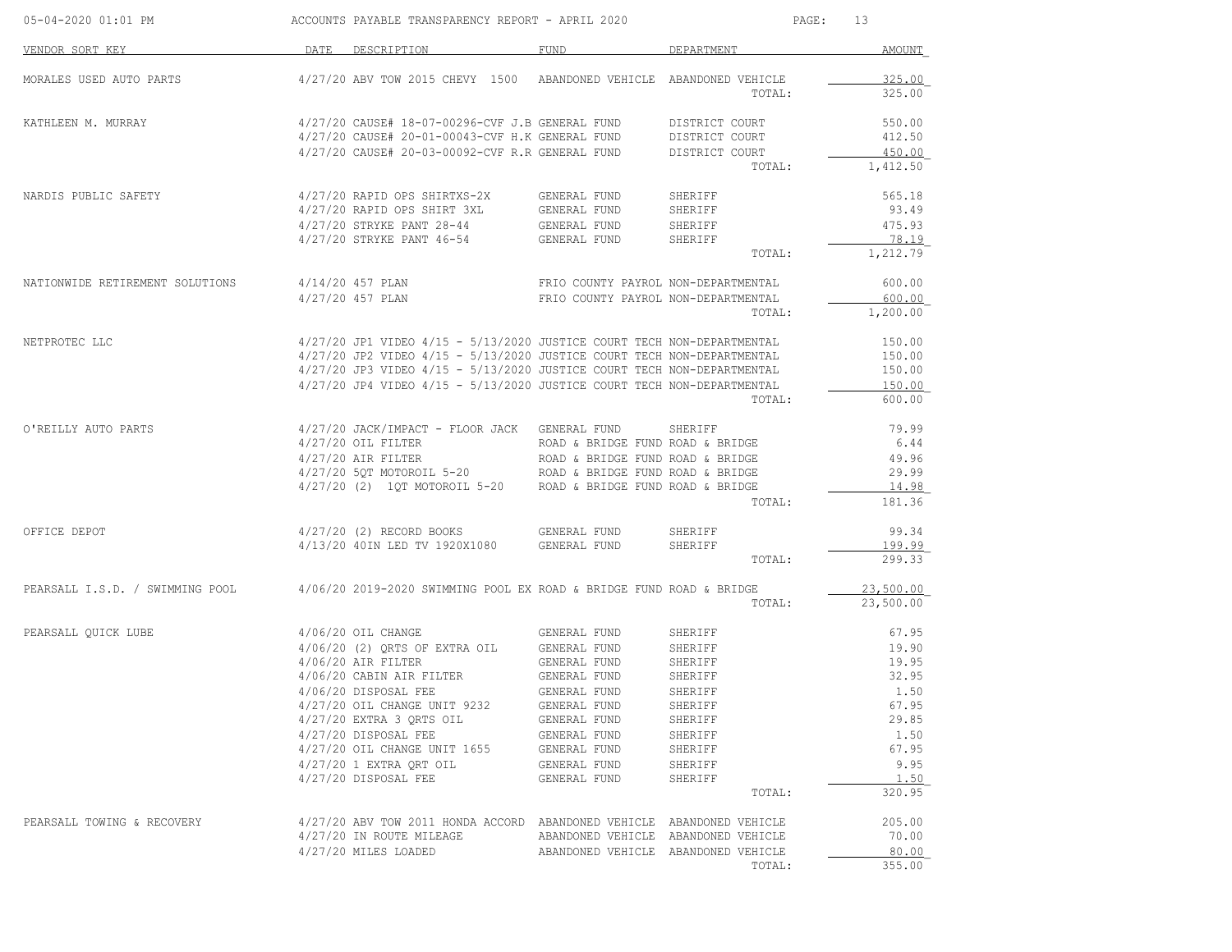| 05-04-2020 01:01 PM                                                                                 | ACCOUNTS PAYABLE TRANSPARENCY REPORT - APRIL 2020                                    |                                     |                    | PAGE: 13          |
|-----------------------------------------------------------------------------------------------------|--------------------------------------------------------------------------------------|-------------------------------------|--------------------|-------------------|
| VENDOR SORT KEY                                                                                     | DATE DESCRIPTION                                                                     | FUND                                | <b>DEPARTMENT</b>  | <b>AMOUNT</b>     |
| MORALES USED AUTO PARTS                                                                             | 4/27/20 ABV TOW 2015 CHEVY 1500 ABANDONED VEHICLE ABANDONED VEHICLE                  |                                     |                    | 325.00            |
|                                                                                                     |                                                                                      |                                     | TOTAL:             | 325.00            |
| KATHLEEN M. MURRAY                                                                                  | 4/27/20 CAUSE# 18-07-00296-CVF J.B GENERAL FUND                                      |                                     | DISTRICT COURT     | 550.00            |
|                                                                                                     | 4/27/20 CAUSE# 20-01-00043-CVF H.K GENERAL FUND                                      |                                     | DISTRICT COURT     | 412.50            |
|                                                                                                     | 4/27/20 CAUSE# 20-03-00092-CVF R.R GENERAL FUND                                      |                                     | DISTRICT COURT     | 450.00            |
|                                                                                                     |                                                                                      |                                     | TOTAL:             | 1,412.50          |
| NARDIS PUBLIC SAFETY                                                                                | 4/27/20 RAPID OPS SHIRTXS-2X                                                         | GENERAL FUND                        | SHERIFF            | 565.18            |
|                                                                                                     | 4/27/20 RAPID OPS SHIRT 3XL                                                          | GENERAL FUND                        | SHERIFF            | 93.49             |
|                                                                                                     | 4/27/20 STRYKE PANT 28-44                                                            | GENERAL FUND                        | SHERIFF            | 475.93            |
|                                                                                                     | 4/27/20 STRYKE PANT 46-54                                                            | GENERAL FUND                        | SHERIFF<br>TOTAL:  | 78.19<br>1,212.79 |
|                                                                                                     |                                                                                      |                                     |                    |                   |
| NATIONWIDE RETIREMENT SOLUTIONS                                                                     | 4/14/20 457 PLAN                                                                     | FRIO COUNTY PAYROL NON-DEPARTMENTAL |                    | 600.00            |
|                                                                                                     | 4/27/20 457 PLAN                                                                     | FRIO COUNTY PAYROL NON-DEPARTMENTAL |                    | 600.00            |
|                                                                                                     |                                                                                      |                                     | TOTAL:             | 1,200.00          |
| NETPROTEC LLC                                                                                       | $4/27/20$ JP1 VIDEO $4/15$ - $5/13/2020$ JUSTICE COURT TECH NON-DEPARTMENTAL         |                                     |                    | 150.00            |
|                                                                                                     | $4/27/20$ JP2 VIDEO $4/15$ - $5/13/2020$ JUSTICE COURT TECH NON-DEPARTMENTAL         |                                     |                    | 150.00            |
|                                                                                                     | $4/27/20$ JP3 VIDEO $4/15$ - $5/13/2020$ JUSTICE COURT TECH NON-DEPARTMENTAL         |                                     |                    | 150.00            |
|                                                                                                     | $4/27/20$ JP4 VIDEO $4/15$ - $5/13/2020$ JUSTICE COURT TECH NON-DEPARTMENTAL         |                                     | TOTAL:             | 150.00<br>600.00  |
|                                                                                                     |                                                                                      |                                     |                    |                   |
| O'REILLY AUTO PARTS                                                                                 | 4/27/20 JACK/IMPACT - FLOOR JACK GENERAL FUND                                        |                                     | SHERIFF            | 79.99             |
|                                                                                                     | $4/27/20$ OIL FILTER                                                                 | ROAD & BRIDGE FUND ROAD & BRIDGE    |                    | 6.44              |
|                                                                                                     | $4/27/20$ AIR FILTER<br>$4/27/20$ 5QT MOTOROIL 5-20 ROAD & BRIDGE FUND ROAD & BRIDGE | ROAD & BRIDGE FUND ROAD & BRIDGE    |                    | 49.96             |
|                                                                                                     | 4/27/20 (2) 1QT MOTOROIL 5-20 ROAD & BRIDGE FUND ROAD & BRIDGE                       |                                     |                    | 29.99<br>14.98    |
|                                                                                                     |                                                                                      |                                     | TOTAL:             | 181.36            |
| OFFICE DEPOT                                                                                        | 4/27/20 (2) RECORD BOOKS GENERAL FUND                                                |                                     | SHERIFF            | 99.34             |
|                                                                                                     | 4/13/20 40IN LED TV 1920X1080 GENERAL FUND                                           |                                     | SHERIFF            | 199.99            |
|                                                                                                     |                                                                                      |                                     | TOTAL:             | 299.33            |
| PEARSALL I.S.D. / SWIMMING POOL 4/06/20 2019-2020 SWIMMING POOL EX ROAD & BRIDGE FUND ROAD & BRIDGE |                                                                                      |                                     |                    | 23,500.00         |
|                                                                                                     |                                                                                      |                                     | TOTAL:             | 23,500.00         |
| PEARSALL QUICK LUBE                                                                                 | 4/06/20 OIL CHANGE                                                                   | GENERAL FUND                        | SHERIFF            | 67.95             |
|                                                                                                     | 4/06/20 (2) QRTS OF EXTRA OIL                                                        | GENERAL FUND                        | SHERIFF            | 19.90             |
|                                                                                                     | $4/06/20$ AIR FILTER                                                                 | GENERAL FUND                        | SHERIFF            | 19.95             |
|                                                                                                     | 4/06/20 CABIN AIR FILTER                                                             | GENERAL FUND                        | SHERIFF            | 32.95             |
|                                                                                                     | 4/06/20 DISPOSAL FEE<br>4/27/20 OIL CHANGE UNIT 9232                                 | GENERAL FUND<br>GENERAL FUND        | SHERIFF<br>SHERIFF | 1.50<br>67.95     |
|                                                                                                     | $4/27/20$ EXTRA 3 QRTS OIL                                                           | GENERAL FUND                        | SHERIFF            | 29.85             |
|                                                                                                     | 4/27/20 DISPOSAL FEE                                                                 | GENERAL FUND                        | SHERIFF            | 1.50              |
|                                                                                                     | 4/27/20 OIL CHANGE UNIT 1655                                                         | GENERAL FUND                        | SHERIFF            | 67.95             |
|                                                                                                     | 4/27/20 1 EXTRA QRT OIL                                                              | GENERAL FUND                        | SHERIFF            | 9.95              |
|                                                                                                     | 4/27/20 DISPOSAL FEE                                                                 | GENERAL FUND                        | SHERIFF            | 1.50              |
|                                                                                                     |                                                                                      |                                     | TOTAL:             | 320.95            |
| PEARSALL TOWING & RECOVERY                                                                          | 4/27/20 ABV TOW 2011 HONDA ACCORD ABANDONED VEHICLE ABANDONED VEHICLE                |                                     |                    | 205.00            |
|                                                                                                     | 4/27/20 IN ROUTE MILEAGE                                                             | ABANDONED VEHICLE ABANDONED VEHICLE |                    | 70.00             |
|                                                                                                     | 4/27/20 MILES LOADED                                                                 | ABANDONED VEHICLE ABANDONED VEHICLE | TOTAL:             | 80.00<br>355.00   |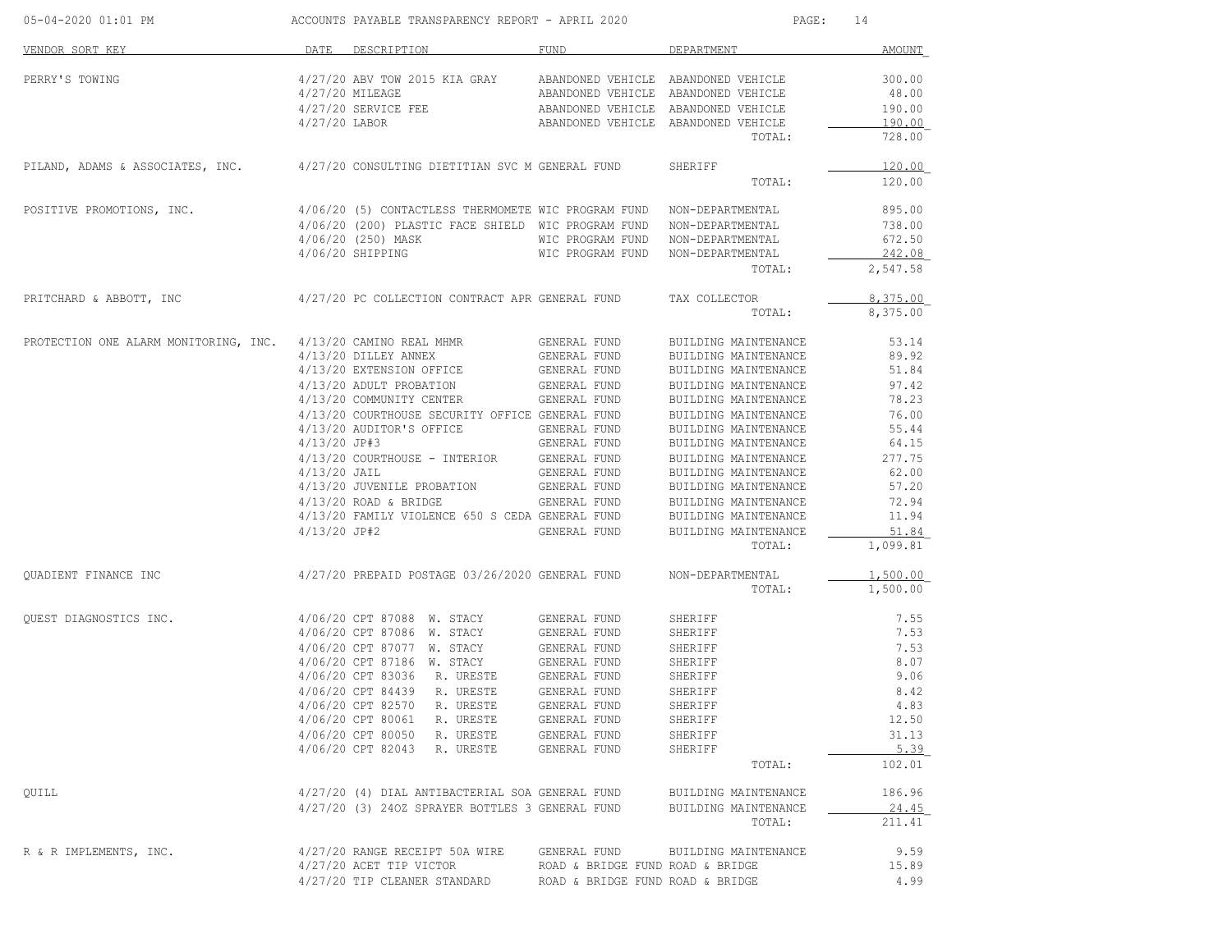| 05-04-2020 01:01 PM                                                                            |                | ACCOUNTS PAYABLE TRANSPARENCY REPORT - APRIL 2020                                                                                                                          |                                   |                                              | PAGE: 14       |
|------------------------------------------------------------------------------------------------|----------------|----------------------------------------------------------------------------------------------------------------------------------------------------------------------------|-----------------------------------|----------------------------------------------|----------------|
| VENDOR SORT KEY                                                                                | DATE           | DESCRIPTION                                                                                                                                                                | FUND                              | DEPARTMENT                                   | <b>AMOUNT</b>  |
| PERRY'S TOWING                                                                                 |                | 4/27/20 ABV TOW 2015 KIA GRAY ABANDONED VEHICLE ABANDONED VEHICLE                                                                                                          |                                   |                                              | 300.00         |
|                                                                                                |                | 4/27/20 MILEAGE                                                                                                                                                            |                                   | ABANDONED VEHICLE ABANDONED VEHICLE          | 48.00          |
|                                                                                                |                | 4/27/20 SERVICE FEE                                                                                                                                                        |                                   | ABANDONED VEHICLE ABANDONED VEHICLE          | 190.00         |
|                                                                                                | 4/27/20 LABOR  |                                                                                                                                                                            |                                   | ABANDONED VEHICLE ABANDONED VEHICLE          | 190.00         |
|                                                                                                |                |                                                                                                                                                                            |                                   | TOTAL:                                       | 728.00         |
| PILAND, ADAMS & ASSOCIATES, INC. 4/27/20 CONSULTING DIETITIAN SVC M GENERAL FUND SHERIFF       |                |                                                                                                                                                                            |                                   |                                              | 120.00         |
|                                                                                                |                |                                                                                                                                                                            |                                   | TOTAL:                                       | 120.00         |
| POSITIVE PROMOTIONS, INC. 4/06/20 (5) CONTACTLESS THERMOMETE WIC PROGRAM FUND NON-DEPARTMENTAL |                |                                                                                                                                                                            |                                   |                                              | 895.00         |
|                                                                                                |                | 4/06/20 (200) PLASTIC FACE SHIELD WIC PROGRAM FUND NON-DEPARTMENTAL                                                                                                        |                                   |                                              | 738.00         |
|                                                                                                |                | 4/06/20 (250) MASK WIC PROGRAM FUND NON-DEPARTMENTAL                                                                                                                       |                                   |                                              | 672.50         |
|                                                                                                |                | 4/06/20 SHIPPING                                                                                                                                                           | WIC PROGRAM FUND NON-DEPARTMENTAL |                                              | 242.08         |
|                                                                                                |                |                                                                                                                                                                            |                                   | TOTAL:                                       | 2,547.58       |
| PRITCHARD & ABBOTT, INC                                                                        |                | 4/27/20 PC COLLECTION CONTRACT APR GENERAL FUND                                                                                                                            |                                   | TAX COLLECTOR                                | 8,375.00       |
|                                                                                                |                |                                                                                                                                                                            |                                   | TOTAL:                                       | 8,375.00       |
| PROTECTION ONE ALARM MONITORING, INC. 4/13/20 CAMINO REAL MHMR                                 |                |                                                                                                                                                                            | GENERAL FUND                      | BUILDING MAINTENANCE                         | 53.14          |
|                                                                                                |                | 4/13/20 DILLEY ANNEX<br>4/13/20 EXTENSION OFFICE                                                                                                                           | GENERAL FUND                      | BUILDING MAINTENANCE                         | 89.92          |
|                                                                                                |                |                                                                                                                                                                            | GENERAL FUND                      | BUILDING MAINTENANCE                         | 51.84          |
|                                                                                                |                | 4/13/20 ADULT PROBATION GENERAL FUND                                                                                                                                       |                                   | BUILDING MAINTENANCE                         | 97.42          |
|                                                                                                |                | 4/13/20 COMMUNITY CENTER                                                                                                                                                   | GENERAL FUND                      | BUILDING MAINTENANCE                         | 78.23          |
|                                                                                                |                | 4/13/20 COURTHOUSE SECURITY OFFICE GENERAL FUND                                                                                                                            |                                   | BUILDING MAINTENANCE                         | 76.00          |
|                                                                                                |                | 4/13/20 AUDITOR'S OFFICE                                                                                                                                                   | GENERAL FUND                      | BUILDING MAINTENANCE                         | 55.44          |
|                                                                                                | $4/13/20$ JP#3 |                                                                                                                                                                            | GENERAL FUND                      | BUILDING MAINTENANCE                         | 64.15          |
|                                                                                                |                | $4/13/20$ COURTHOUSE - INTERIOR GENERAL FUND                                                                                                                               |                                   | BUILDING MAINTENANCE                         | 277.75         |
|                                                                                                | $4/13/20$ JAIL |                                                                                                                                                                            | GENERAL FUND                      | BUILDING MAINTENANCE<br>BUILDING MAINTENANCE | 62.00<br>57.20 |
|                                                                                                |                | $4/13/20$ JUVENILE PROBATION GENERAL FUND<br>$4/13/20$ ROAD & BRIDGE                                                                                                       | GENERAL FUND                      | BUILDING MAINTENANCE                         | 72.94          |
|                                                                                                |                | 4/13/20 FAMILY VIOLENCE 650 S CEDA GENERAL FUND                                                                                                                            |                                   | BUILDING MAINTENANCE                         | 11.94          |
|                                                                                                | 4/13/20 JP#2   |                                                                                                                                                                            | GENERAL FUND                      | BUILDING MAINTENANCE                         | 51.84          |
|                                                                                                |                |                                                                                                                                                                            |                                   | TOTAL:                                       | 1,099.81       |
| OUADIENT FINANCE INC                                                                           |                | 4/27/20 PREPAID POSTAGE 03/26/2020 GENERAL FUND                                                                                                                            |                                   | NON-DEPARTMENTAL                             | 1,500.00       |
|                                                                                                |                |                                                                                                                                                                            |                                   | TOTAL:                                       | 1,500.00       |
| QUEST DIAGNOSTICS INC.                                                                         |                | 4/06/20 CPT 87088 W. STACY                                                                                                                                                 | GENERAL FUND                      | SHERIFF                                      | 7.55           |
|                                                                                                |                | 4/06/20 CPT 87086 W. STACY                                                                                                                                                 | GENERAL FUND                      | SHERIFF                                      | 7.53           |
|                                                                                                |                | $4/06/20 \text{ CPT } 87077 \quad \text{W. STACY} \qquad \qquad \text{GENERAL FUND} \\ 4/06/20 \text{ CPT } 87186 \quad \text{W. STACY} \qquad \qquad \text{GENERAL FUND}$ |                                   | SHERIFF                                      | 7.53           |
|                                                                                                |                |                                                                                                                                                                            |                                   | SHERIFF                                      | 8.07           |
|                                                                                                |                | 4/06/20 CPT 83036 R. URESTE                                                                                                                                                | GENERAL FUND                      | SHERIFF                                      | 9.06           |
|                                                                                                |                | 4/06/20 CPT 84439 R. URESTE                                                                                                                                                | GENERAL FUND                      | <b>SHERTFF</b>                               | 8.42           |
|                                                                                                |                | 4/06/20 CPT 82570 R. URESTE                                                                                                                                                | <b>GENERAL FUND</b>               | SHERIFF                                      | 4.83           |
|                                                                                                |                | 4/06/20 CPT 80061 R. URESTE<br>4/06/20 CPT 80050 R. URESTE                                                                                                                 | GENERAL FUND<br>GENERAL FUND      | SHERIFF<br>SHERIFF                           | 12.50<br>31.13 |
|                                                                                                |                | 4/06/20 CPT 82043 R. URESTE GENERAL FUND                                                                                                                                   |                                   | SHERIFF                                      | 5.39           |
|                                                                                                |                |                                                                                                                                                                            |                                   | TOTAL:                                       | 102.01         |
| QUILL                                                                                          |                | 4/27/20 (4) DIAL ANTIBACTERIAL SOA GENERAL FUND                                                                                                                            |                                   | BUILDING MAINTENANCE                         | 186.96         |
|                                                                                                |                | 4/27/20 (3) 240Z SPRAYER BOTTLES 3 GENERAL FUND                                                                                                                            |                                   | BUILDING MAINTENANCE                         | 24.45          |
|                                                                                                |                |                                                                                                                                                                            |                                   | TOTAL:                                       | 211.41         |
| R & R IMPLEMENTS, INC.                                                                         |                | 4/27/20 RANGE RECEIPT 50A WIRE                                                                                                                                             | GENERAL FUND                      | BUILDING MAINTENANCE                         | 9.59           |
|                                                                                                |                | 4/27/20 ACET TIP VICTOR ROAD & BRIDGE FUND ROAD & BRIDGE                                                                                                                   |                                   |                                              | 15.89          |
|                                                                                                |                | 4/27/20 TIP CLEANER STANDARD                                                                                                                                               | ROAD & BRIDGE FUND ROAD & BRIDGE  |                                              | 4.99           |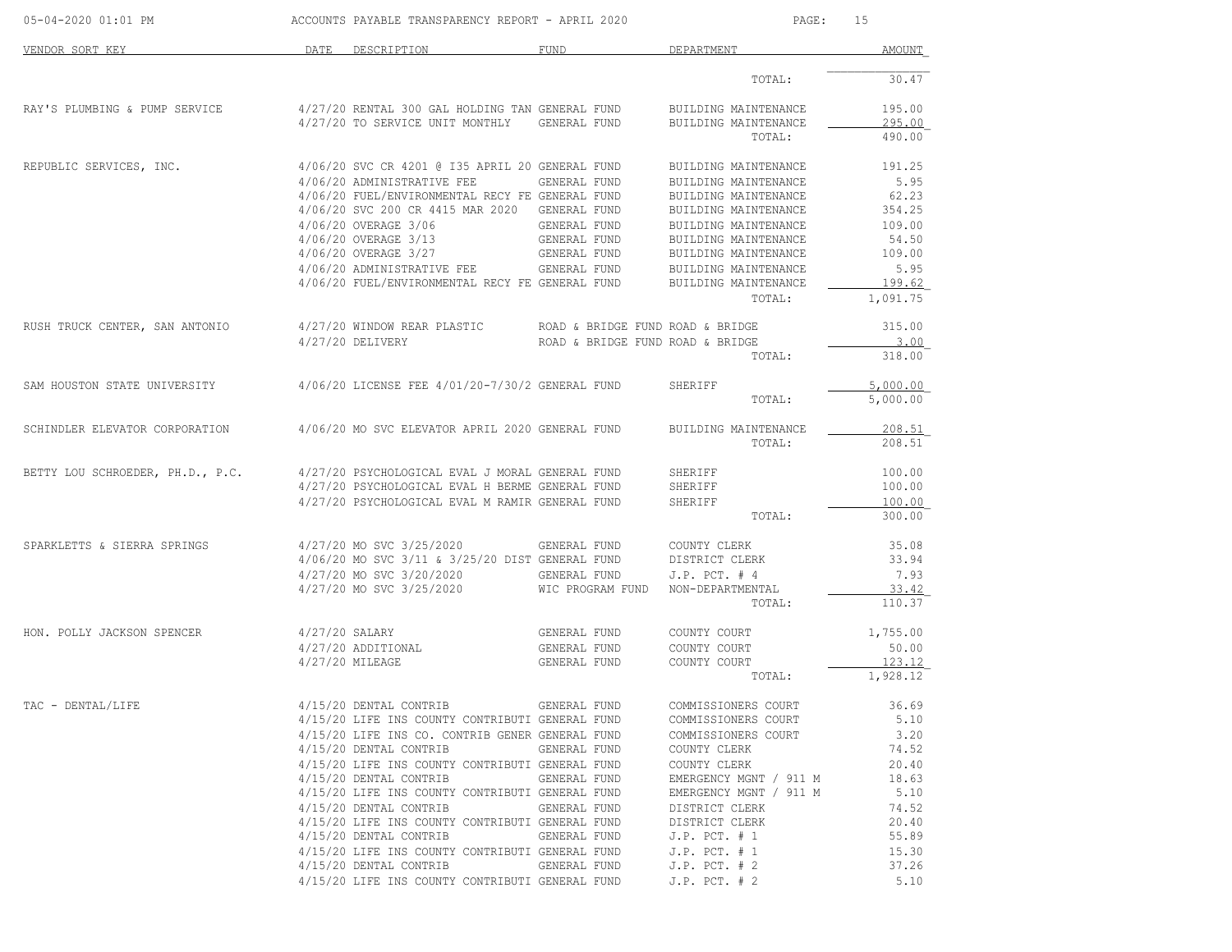| 05-04-2020 01:01 PM              |                | ACCOUNTS PAYABLE TRANSPARENCY REPORT - APRIL 2020                         |                                  | PAGE:                                        | 15               |
|----------------------------------|----------------|---------------------------------------------------------------------------|----------------------------------|----------------------------------------------|------------------|
| VENDOR SORT KEY                  |                | DATE DESCRIPTION                                                          | <b>FUND</b>                      | DEPARTMENT                                   | AMOUNT           |
|                                  |                |                                                                           |                                  | TOTAL:                                       | 30.47            |
| RAY'S PLUMBING & PUMP SERVICE    |                | 4/27/20 RENTAL 300 GAL HOLDING TAN GENERAL FUND                           |                                  | BUILDING MAINTENANCE                         | 195.00<br>295.00 |
|                                  |                | 4/27/20 TO SERVICE UNIT MONTHLY                                           | GENERAL FUND                     | BUILDING MAINTENANCE<br>TOTAL:               | 490.00           |
| REPUBLIC SERVICES, INC.          |                | 4/06/20 SVC CR 4201 @ I35 APRIL 20 GENERAL FUND                           |                                  | BUILDING MAINTENANCE                         | 191.25           |
|                                  |                | 4/06/20 ADMINISTRATIVE FEE                                                | GENERAL FUND                     | BUILDING MAINTENANCE                         | 5.95             |
|                                  |                | 4/06/20 FUEL/ENVIRONMENTAL RECY FE GENERAL FUND                           |                                  | BUILDING MAINTENANCE                         | 62.23<br>354.25  |
|                                  |                | 4/06/20 SVC 200 CR 4415 MAR 2020 GENERAL FUND<br>4/06/20 OVERAGE 3/06     | GENERAL FUND                     | BUILDING MAINTENANCE<br>BUILDING MAINTENANCE | 109.00           |
|                                  |                | 4/06/20 OVERAGE 3/13                                                      | GENERAL FUND                     | BUILDING MAINTENANCE                         | 54.50            |
|                                  |                | 4/06/20 OVERAGE 3/27                                                      | GENERAL FUND                     | BUILDING MAINTENANCE                         | 109.00           |
|                                  |                | 4/06/20 ADMINISTRATIVE FEE                                                | GENERAL FUND                     | BUILDING MAINTENANCE                         | 5.95             |
|                                  |                | 4/06/20 FUEL/ENVIRONMENTAL RECY FE GENERAL FUND                           |                                  | BUILDING MAINTENANCE                         | 199.62           |
|                                  |                |                                                                           |                                  | TOTAL:                                       | 1,091.75         |
| RUSH TRUCK CENTER, SAN ANTONIO   |                | $4/27/20$ WINDOW REAR PLASTIC $\qquad$ ROAD & BRIDGE FUND ROAD & BRIDGE   |                                  |                                              | 315.00           |
|                                  |                | $4/27/20$ DELIVERY                                                        | ROAD & BRIDGE FUND ROAD & BRIDGE |                                              | 3.00             |
|                                  |                |                                                                           |                                  | TOTAL:                                       | 318.00           |
| SAM HOUSTON STATE UNIVERSITY     |                | 4/06/20 LICENSE FEE 4/01/20-7/30/2 GENERAL FUND                           |                                  | SHERIFF                                      | 5,000.00         |
|                                  |                |                                                                           |                                  | TOTAL:                                       | 5,000.00         |
| SCHINDLER ELEVATOR CORPORATION   |                | 4/06/20 MO SVC ELEVATOR APRIL 2020 GENERAL FUND                           |                                  | BUILDING MAINTENANCE                         | 208.51           |
|                                  |                |                                                                           |                                  | TOTAL:                                       | 208.51           |
| BETTY LOU SCHROEDER, PH.D., P.C. |                | 4/27/20 PSYCHOLOGICAL EVAL J MORAL GENERAL FUND                           |                                  | SHERIFF                                      | 100.00           |
|                                  |                | 4/27/20 PSYCHOLOGICAL EVAL H BERME GENERAL FUND                           |                                  | SHERIFF                                      | 100.00           |
|                                  |                | 4/27/20 PSYCHOLOGICAL EVAL M RAMIR GENERAL FUND                           |                                  | SHERIFF<br>TOTAL:                            | 100.00<br>300.00 |
|                                  |                | 4/27/20 MO SVC 3/25/2020                                                  | GENERAL FUND                     | COUNTY CLERK                                 | 35.08            |
| SPARKLETTS & SIERRA SPRINGS      |                | 4/06/20 MO SVC 3/11 & 3/25/20 DIST GENERAL FUND                           |                                  | DISTRICT CLERK                               | 33.94            |
|                                  |                | 4/27/20 MO SVC 3/20/2020                                                  | GENERAL FUND                     | $J.P.$ PCT. $#4$                             | 7.93             |
|                                  |                | 4/27/20 MO SVC 3/25/2020                                                  | WIC PROGRAM FUND                 | NON-DEPARTMENTAL                             | 33.42            |
|                                  |                |                                                                           |                                  | TOTAL:                                       | 110.37           |
| HON. POLLY JACKSON SPENCER       | 4/27/20 SALARY |                                                                           | GENERAL FUND                     | COUNTY COURT                                 | 1,755.00         |
|                                  |                | 4/27/20 ADDITIONAL                                                        | GENERAL FUND                     | COUNTY COURT                                 | 50.00            |
|                                  |                | 4/27/20 MILEAGE                                                           | GENERAL FUND                     | COUNTY COURT                                 | 123.12           |
|                                  |                |                                                                           |                                  | TOTAL:                                       | 1,928.12         |
| TAC - DENTAL/LIFE                |                | 4/15/20 DENTAL CONTRIB                                                    | GENERAL FUND                     | COMMISSIONERS COURT                          | 36.69            |
|                                  |                | 4/15/20 LIFE INS COUNTY CONTRIBUTI GENERAL FUND                           |                                  | COMMISSIONERS COURT                          | 5.10             |
|                                  |                | 4/15/20 LIFE INS CO. CONTRIB GENER GENERAL FUND                           |                                  | COMMISSIONERS COURT                          | 3.20             |
|                                  |                | 4/15/20 DENTAL CONTRIB                                                    | GENERAL FUND                     | COUNTY CLERK                                 | 74.52            |
|                                  |                | 4/15/20 LIFE INS COUNTY CONTRIBUTI GENERAL FUND                           |                                  | COUNTY CLERK                                 | 20.40            |
|                                  |                | 4/15/20 DENTAL CONTRIB                                                    | GENERAL FUND                     | EMERGENCY MGNT / 911 M                       | 18.63            |
|                                  |                | 4/15/20 LIFE INS COUNTY CONTRIBUTI GENERAL FUND                           |                                  | EMERGENCY MGNT / 911 M                       | 5.10             |
|                                  |                | 4/15/20 DENTAL CONTRIB<br>4/15/20 LIFE INS COUNTY CONTRIBUTI GENERAL FUND | GENERAL FUND                     | DISTRICT CLERK<br>DISTRICT CLERK             | 74.52<br>20.40   |
|                                  |                | 4/15/20 DENTAL CONTRIB                                                    | GENERAL FUND                     | $J.P.$ PCT. $# 1$                            | 55.89            |
|                                  |                | 4/15/20 LIFE INS COUNTY CONTRIBUTI GENERAL FUND                           |                                  | $J.P.$ PCT. $# 1$                            | 15.30            |
|                                  |                | 4/15/20 DENTAL CONTRIB                                                    | GENERAL FUND                     | $J.P.$ PCT. $# 2$                            | 37.26            |
|                                  |                | 4/15/20 LIFE INS COUNTY CONTRIBUTI GENERAL FUND                           |                                  | $J.P.$ PCT. $# 2$                            | 5.10             |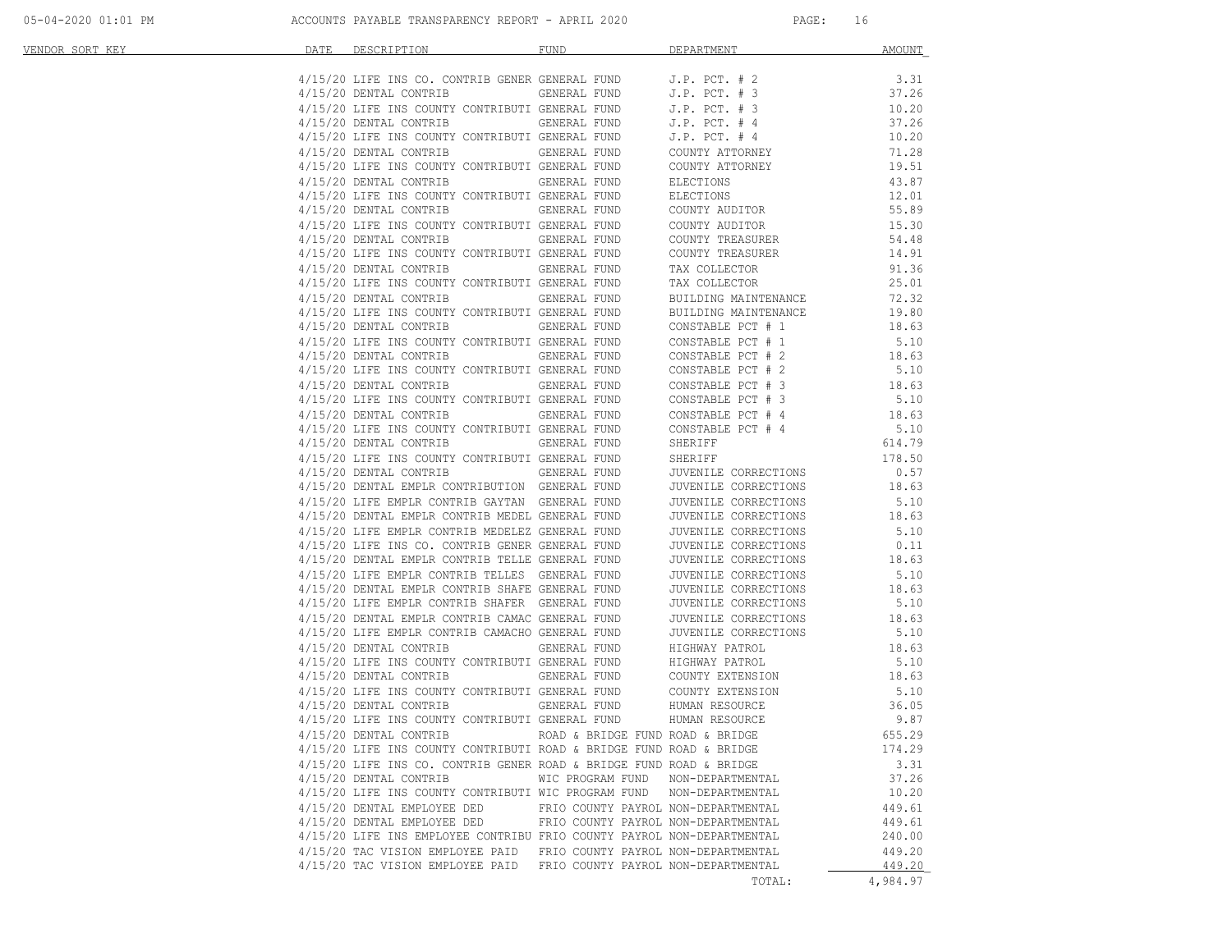| VENDOR SORT KEY | DATE DESCRIPTION                                                                      | FUND FUND                           | DEPARTMENT                                                                              | AMOUNT   |
|-----------------|---------------------------------------------------------------------------------------|-------------------------------------|-----------------------------------------------------------------------------------------|----------|
|                 | 4/15/20 LIFE INS CO. CONTRIB GENER GENERAL FUND                                       |                                     | $J.P.$ $PCT.$ $# 2$                                                                     | 3.31     |
|                 | 4/15/20 DENTAL CONTRIB                                                                | GENERAL FUND                        | $J.P.$ PCT. $# 3$                                                                       | 37.26    |
|                 | 4/15/20 DENTAL CONTRIAL<br>4/15/20 LIFE INS COUNTY CONTRIBUTI GENERAL FUND            |                                     | $J.P.$ PCT. $# 3$                                                                       | 10.20    |
|                 |                                                                                       |                                     | $J.P.$ PCT. $#4$                                                                        | 37.26    |
|                 | 4/15/20 LIFE INS COUNTY CONTRIBUTI GENERAL FUND                                       |                                     | $J.P.$ PCT. $#4$                                                                        | 10.20    |
|                 | 4/15/20 DENTAL CONTRIB                                                                | GENERAL FUND                        | COUNTY ATTORNEY                                                                         | 71.28    |
|                 | 4/15/20 LIFE INS COUNTY CONTRIBUTI GENERAL FUND                                       |                                     | COUNTY ATTORNEY                                                                         | 19.51    |
|                 | 4/15/20 DENTAL CONTRIB                                                                | GENERAL FUND                        | ELECTIONS                                                                               | 43.87    |
|                 | 4/15/20 LIFE INS COUNTY CONTRIBUTI GENERAL FUND                                       |                                     | ELECTIONS                                                                               | 12.01    |
|                 | 4/15/20 DENTAL CONTRIB                                                                | GENERAL FUND                        | COUNTY AUDITOR                                                                          | 55.89    |
|                 | 4/15/20 LIFE INS COUNTY CONTRIBUTI GENERAL FUND                                       |                                     | COUNTY AUDITOR                                                                          | 15.30    |
|                 | 4/15/20 DENTAL CONTRIB                                                                | GENERAL FUND                        |                                                                                         | 54.48    |
|                 | 4/15/20 LIFE INS COUNTY CONTRIBUTI GENERAL FUND                                       |                                     | COUNTY TREASURER<br>COUNTY TREASURER                                                    | 14.91    |
|                 | 4/15/20 DENTAL CONTRIB                                                                |                                     |                                                                                         | 91.36    |
|                 | 4/15/20 LIFE INS COUNTY CONTRIBUTI GENERAL FUND                                       | GENERAL FUND                        | TAX COLLECTOR                                                                           | 25.01    |
|                 |                                                                                       |                                     | TAX COLLECTOR                                                                           |          |
|                 | 4/15/20 DENTAL CONTRIB                                                                | GENERAL FUND                        | BUILDING MAINTENANCE                                                                    | 72.32    |
|                 | 4/15/20 LIFE INS COUNTY CONTRIBUTI GENERAL FUND                                       |                                     | BUILDING MAINTENANCE                                                                    | 19.80    |
|                 | 4/15/20 DENTAL CONTRIB                                                                | GENERAL FUND                        | CONSTABLE PCT # 1                                                                       | 18.63    |
|                 | 4/15/20 LIFE INS COUNTY CONTRIBUTI GENERAL FUND                                       |                                     | CONSTABLE PCT # 1<br>$\begin{array}{cccc}\n\text{CONSTABLE } PCT & \# & 2\n\end{array}$ | 5.10     |
|                 | 4/15/20 DENTAL CONTRIB                                                                | GENERAL FUND                        |                                                                                         | 18.63    |
|                 | 4/15/20 LIFE INS COUNTY CONTRIBUTI GENERAL FUND                                       |                                     | CONSTABLE PCT # 2<br>CONSTABLE PCT # 3                                                  | 5.10     |
|                 | 4/15/20 DENTAL CONTRIB                                                                | GENERAL FUND                        |                                                                                         | 18.63    |
|                 | 4/15/20 LIFE INS COUNTY CONTRIBUTI GENERAL FUND                                       |                                     | CONSTABLE PCT # 3                                                                       | 5.10     |
|                 | 4/15/20 DENTAL CONTRIB                                                                | GENERAL FUND                        | CONSTABLE PCT # 4                                                                       | 18.63    |
|                 | 4/15/20 LIFE INS COUNTY CONTRIBUTI GENERAL FUND                                       |                                     | CONSTABLE PCT # 4                                                                       | 5.10     |
|                 | 4/15/20 DENTAL CONTRIB                                                                | GENERAL FUND                        | SHERIFF                                                                                 | 614.79   |
|                 | 4/15/20 LIFE INS COUNTY CONTRIBUTI GENERAL FUND                                       |                                     | SHERIFF                                                                                 | 178.50   |
|                 | 4/15/20 DENTAL CONTRIB GENERAL FUND<br>4/15/20 DENTAL EMPLR CONTRIBUTION GENERAL FUND |                                     | JUVENILE CORRECTIONS                                                                    | 0.57     |
|                 |                                                                                       |                                     | JUVENILE CORRECTIONS                                                                    | 18.63    |
|                 | 4/15/20 LIFE EMPLR CONTRIB GAYTAN GENERAL FUND                                        |                                     | JUVENILE CORRECTIONS                                                                    | 5.10     |
|                 | 4/15/20 DENTAL EMPLR CONTRIB MEDEL GENERAL FUND                                       |                                     | JUVENILE CORRECTIONS                                                                    | 18.63    |
|                 | 4/15/20 LIFE EMPLR CONTRIB MEDELEZ GENERAL FUND                                       |                                     | JUVENILE CORRECTIONS                                                                    | 5.10     |
|                 | 4/15/20 LIFE INS CO. CONTRIB GENER GENERAL FUND                                       |                                     | JUVENILE CORRECTIONS                                                                    | 0.11     |
|                 | 4/15/20 DENTAL EMPLR CONTRIB TELLE GENERAL FUND                                       |                                     | JUVENILE CORRECTIONS                                                                    | 18.63    |
|                 | 4/15/20 LIFE EMPLR CONTRIB TELLES GENERAL FUND                                        |                                     | JUVENILE CORRECTIONS                                                                    | 5.10     |
|                 | 4/15/20 DENTAL EMPLR CONTRIB SHAFE GENERAL FUND                                       |                                     | JUVENILE CORRECTIONS                                                                    | 18.63    |
|                 | 4/15/20 LIFE EMPLR CONTRIB SHAFER GENERAL FUND                                        |                                     | JUVENILE CORRECTIONS                                                                    | 5.10     |
|                 | 4/15/20 DENTAL EMPLR CONTRIB CAMAC GENERAL FUND                                       |                                     | JUVENILE CORRECTIONS                                                                    | 18.63    |
|                 | 4/15/20 LIFE EMPLR CONTRIB CAMACHO GENERAL FUND                                       |                                     | JUVENILE CORRECTIONS                                                                    | 5.10     |
|                 | 4/15/20 DENTAL CONTRIB                                                                | GENERAL FUND                        | HIGHWAY PATROL                                                                          | 18.63    |
|                 | 4/15/20 LIFE INS COUNTY CONTRIBUTI GENERAL FUND                                       |                                     | HIGHWAY PATROL                                                                          | 5.10     |
|                 | 4/15/20 DENTAL CONTRIB                                                                | GENERAL FUND                        | COUNTY EXTENSION                                                                        | 18.63    |
|                 | 4/15/20 LIFE INS COUNTY CONTRIBUTI GENERAL FUND                                       |                                     | COUNTY EXTENSION                                                                        | 5.10     |
|                 | 4/15/20 DENTAL CONTRIB                                                                | GENERAL FUND                        | HUMAN RESOURCE                                                                          | 36.05    |
|                 | 4/15/20 LIFE INS COUNTY CONTRIBUTI GENERAL FUND                                       |                                     | HUMAN RESOURCE                                                                          | 9.87     |
|                 | 4/15/20 DENTAL CONTRIB                                                                | ROAD & BRIDGE FUND ROAD & BRIDGE    |                                                                                         | 655.29   |
|                 | 4/15/20 LIFE INS COUNTY CONTRIBUTI ROAD & BRIDGE FUND ROAD & BRIDGE                   |                                     |                                                                                         | 174.29   |
|                 | 4/15/20 LIFE INS CO. CONTRIB GENER ROAD & BRIDGE FUND ROAD & BRIDGE                   |                                     |                                                                                         | 3.31     |
|                 | 4/15/20 DENTAL CONTRIB                                                                | WIC PROGRAM FUND                    | NON-DEPARTMENTAL                                                                        | 37.26    |
|                 | 4/15/20 LIFE INS COUNTY CONTRIBUTI WIC PROGRAM FUND NON-DEPARTMENTAL                  |                                     |                                                                                         | 10.20    |
|                 |                                                                                       |                                     |                                                                                         |          |
|                 | 4/15/20 DENTAL EMPLOYEE DED                                                           | FRIO COUNTY PAYROL NON-DEPARTMENTAL |                                                                                         | 449.61   |
|                 | 4/15/20 DENTAL EMPLOYEE DED                                                           | FRIO COUNTY PAYROL NON-DEPARTMENTAL |                                                                                         | 449.61   |
|                 | 4/15/20 LIFE INS EMPLOYEE CONTRIBU FRIO COUNTY PAYROL NON-DEPARTMENTAL                |                                     |                                                                                         | 240.00   |
|                 | 4/15/20 TAC VISION EMPLOYEE PAID FRIO COUNTY PAYROL NON-DEPARTMENTAL                  |                                     |                                                                                         | 449.20   |
|                 | 4/15/20 TAC VISION EMPLOYEE PAID FRIO COUNTY PAYROL NON-DEPARTMENTAL                  |                                     |                                                                                         | 449.20   |
|                 |                                                                                       |                                     | TOTAL:                                                                                  | 4,984.97 |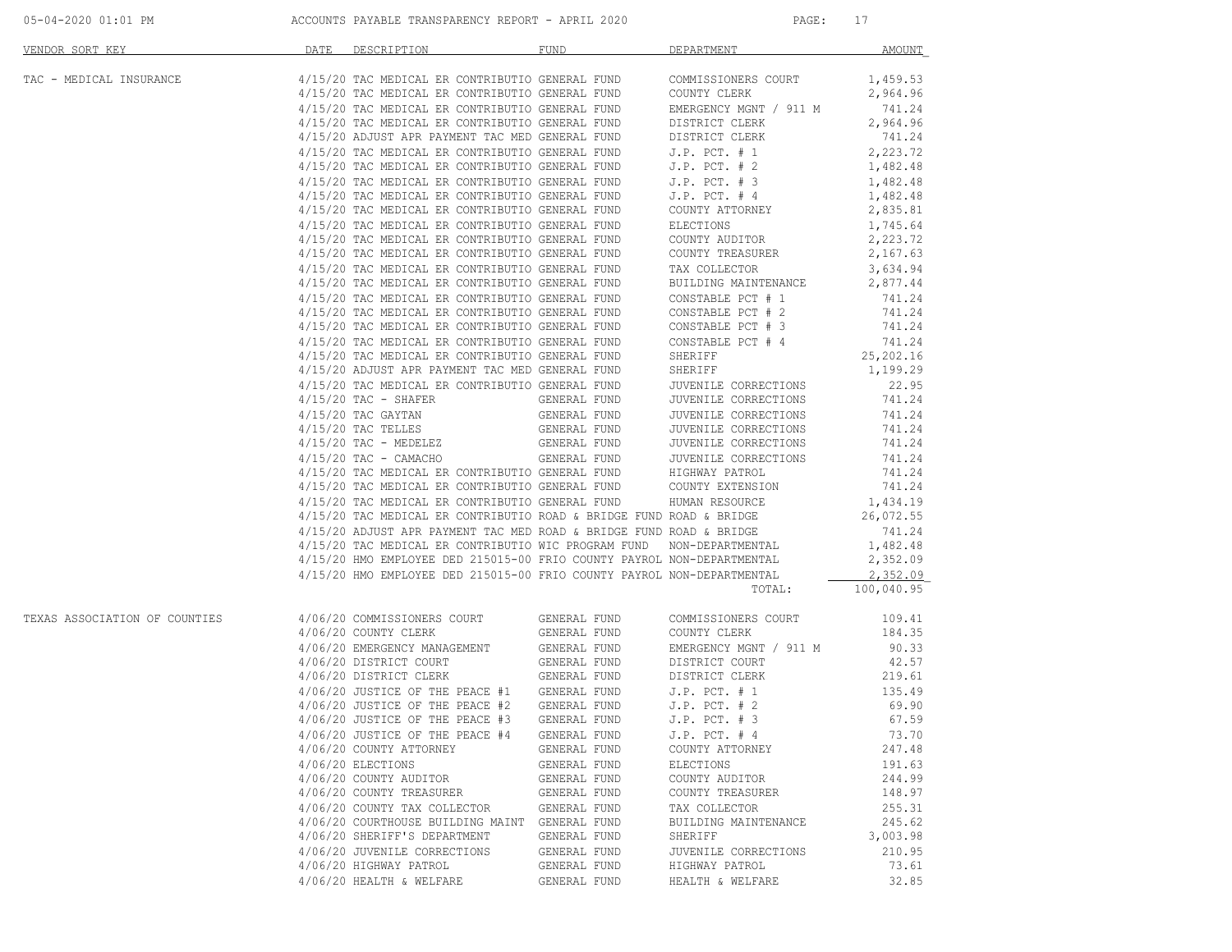| 05-04-2020 01:01 PM ACCOUNTS PAYABLE TRANSPARENCY REPORT - APRIL 2020 |      |                                                                                                                                                                                                                                  |                              | PAGE:                                                                      | 17         |
|-----------------------------------------------------------------------|------|----------------------------------------------------------------------------------------------------------------------------------------------------------------------------------------------------------------------------------|------------------------------|----------------------------------------------------------------------------|------------|
| VENDOR SORT KEY                                                       | DATE | DESCRIPTION                                                                                                                                                                                                                      | FUND                         | DEPARTMENT                                                                 | AMOUNT     |
| TAC - MEDICAL INSURANCE                                               |      | $4/15/20$ TAC MEDICAL ER CONTRIBUTIO GENERAL FUND COMMISSIONERS COURT $4/15/20$ TAC MEDICAL ER CONTRIBUTIO GENERAL FUND COUNTY CLERK $4/15/20$ TAC MEDICAL ER CONTRIBUTIO GENERAL FUND EMERGENCY MGNT / 911 M<br>$4/15/20$ TAC M |                              | COMMISSIONERS COURT                                                        | 1,459.53   |
|                                                                       |      |                                                                                                                                                                                                                                  |                              |                                                                            | 2,964.96   |
|                                                                       |      |                                                                                                                                                                                                                                  |                              |                                                                            | 741.24     |
|                                                                       |      |                                                                                                                                                                                                                                  |                              |                                                                            | 2,964.96   |
|                                                                       |      |                                                                                                                                                                                                                                  |                              |                                                                            | 741.24     |
|                                                                       |      | 4/15/20 TAC MEDICAL ER CONTRIBUTIO GENERAL FUND<br>4/15/20 TAC MEDICAL ER CONTRIBUTIO GENERAL FUND                                                                                                                               |                              | $J.P.$ PCT. $# 1$                                                          | 2,223.72   |
|                                                                       |      |                                                                                                                                                                                                                                  |                              | $J.P.$ PCT. $# 2$                                                          | 1,482.48   |
|                                                                       |      | 4/15/20 TAC MEDICAL ER CONTRIBUTIO GENERAL FUND                                                                                                                                                                                  |                              | $J.P.$ PCT. $# 3$                                                          | 1,482.48   |
|                                                                       |      | 4/15/20 TAC MEDICAL ER CONTRIBUTIO GENERAL FUND                                                                                                                                                                                  |                              | $J.P.$ PCT. $#4$                                                           | 1,482.48   |
|                                                                       |      | 4/15/20 TAC MEDICAL ER CONTRIBUTIO GENERAL FUND                                                                                                                                                                                  |                              | COUNTY ATTORNEY                                                            | 2,835.81   |
|                                                                       |      | 4/15/20 TAC MEDICAL ER CONTRIBUTIO GENERAL FUND                                                                                                                                                                                  |                              | ELECTIONS                                                                  | 1,745.64   |
|                                                                       |      | 4/15/20 TAC MEDICAL ER CONTRIBUTIO GENERAL FUND                                                                                                                                                                                  |                              | COUNTY AUDITOR                                                             | 2,223.72   |
|                                                                       |      | 4/15/20 TAC MEDICAL ER CONTRIBUTIO GENERAL FUND                                                                                                                                                                                  |                              | COUNTY TREASURER                                                           | 2,167.63   |
|                                                                       |      | 4/15/20 TAC MEDICAL ER CONTRIBUTIO GENERAL FUND                                                                                                                                                                                  |                              | TAX COLLECTOR                                                              | 3,634.94   |
|                                                                       |      | 4/15/20 TAC MEDICAL ER CONTRIBUTIO GENERAL FUND                                                                                                                                                                                  |                              | BUILDING MAINTENANCE 2,877.44                                              |            |
|                                                                       |      | 4/15/20 TAC MEDICAL ER CONTRIBUTIO GENERAL FUND                                                                                                                                                                                  |                              | CONSTABLE PCT # 1                                                          | 741.24     |
|                                                                       |      | 4/15/20 TAC MEDICAL ER CONTRIBUTIO GENERAL FUND                                                                                                                                                                                  |                              | CONSTABLE PCT # 2                                                          | 741.24     |
|                                                                       |      | 4/15/20 TAC MEDICAL ER CONTRIBUTIO GENERAL FUND                                                                                                                                                                                  |                              | CONSTABLE PCT # 3                                                          | 741.24     |
|                                                                       |      | 4/15/20 TAC MEDICAL ER CONTRIBUTIO GENERAL FUND                                                                                                                                                                                  |                              | CONSTABLE PCT # 4                                                          | 741.24     |
|                                                                       |      | 4/15/20 TAC MEDICAL ER CONTRIBUTIO GENERAL FUND                                                                                                                                                                                  |                              | SHERIFF                                                                    | 25,202.16  |
|                                                                       |      | 4/15/20 TAC MEDICAL ER CONTRIBUTIO GENERAL FUND<br>4/15/20 ADJUST APR PAYMENT TAC MED GENERAL FUND                                                                                                                               |                              | SHERIFF                                                                    | 1,199.29   |
|                                                                       |      |                                                                                                                                                                                                                                  |                              | JUVENILE CORRECTIONS                                                       | 22.95      |
|                                                                       |      | $4/15/20$ TAC MEDICAL ER CONTRIBUTIO GENERAL FUND $4/15/20$ TAC - SHAFER GENERAL FUND                                                                                                                                            |                              | JUVENILE CORRECTIONS                                                       | 741.24     |
|                                                                       |      | $4/15/20$ TAC GAYTAN                                                                                                                                                                                                             | GENERAL FUND<br>GENERAL FUND | JUVENILE CORRECTIONS                                                       | 741.24     |
|                                                                       |      | $4/15/20$ TAC TELLES                                                                                                                                                                                                             |                              | JUVENILE CORRECTIONS                                                       | 741.24     |
|                                                                       |      | $4/15/20$ TAC - MEDELEZ                                                                                                                                                                                                          | GENERAL FUND                 | JUVENILE CORRECTIONS                                                       | 741.24     |
|                                                                       |      |                                                                                                                                                                                                                                  |                              |                                                                            | 741.24     |
|                                                                       |      |                                                                                                                                                                                                                                  |                              |                                                                            | 741.24     |
|                                                                       |      |                                                                                                                                                                                                                                  |                              |                                                                            | 741.24     |
|                                                                       |      |                                                                                                                                                                                                                                  |                              |                                                                            | 1,434.19   |
|                                                                       |      | $4/15/20$ TAC MEDICAL ER CONTRIBUTIO ROAD & BRIDGE FUND ROAD & BRIDGE                                                                                                                                                            |                              |                                                                            | 26,072.55  |
|                                                                       |      | 4/15/20 ADJUST APR PAYMENT TAC MED ROAD & BRIDGE FUND ROAD & BRIDGE                                                                                                                                                              |                              |                                                                            | 741.24     |
|                                                                       |      | 4/15/20 TAC MEDICAL ER CONTRIBUTIO WIC PROGRAM FUND NON-DEPARTMENTAL                                                                                                                                                             |                              |                                                                            | 1,482.48   |
|                                                                       |      | 4/15/20 HMO EMPLOYEE DED 215015-00 FRIO COUNTY PAYROL NON-DEPARTMENTAL                                                                                                                                                           |                              |                                                                            | 2,352.09   |
|                                                                       |      | 4/15/20 HMO EMPLOYEE DED 215015-00 FRIO COUNTY PAYROL NON-DEPARTMENTAL                                                                                                                                                           |                              |                                                                            | 2,352.09   |
|                                                                       |      |                                                                                                                                                                                                                                  |                              | TOTAL:                                                                     | 100,040.95 |
| TEXAS ASSOCIATION OF COUNTIES                                         |      | 4/06/20 COMMISSIONERS COURT                                                                                                                                                                                                      |                              | GENERAL FUND       COMMISSIONERS COURT<br>GENERAL FUND        COUNTY CLERK | 109.41     |
|                                                                       |      | 4/06/20 COUNTY CLERK                                                                                                                                                                                                             |                              |                                                                            | 184.35     |
|                                                                       |      |                                                                                                                                                                                                                                  |                              |                                                                            | 90.33      |
|                                                                       |      | 4/06/20 EMERGENCY MANAGEMENT<br>4/06/20 DISTRICT COURT GENERAL FUND EMERGENCY MGNT / 911 M<br>4/06/20 DISTRICT COURT GENERAL FUND DISTRICT COURT<br>4/06/20 DISTRICT CLERK GENERAL FUND DISTRICT CLERK                           |                              |                                                                            | 42.57      |
|                                                                       |      |                                                                                                                                                                                                                                  |                              |                                                                            | 219.61     |
|                                                                       |      | 4/06/20 JUSTICE OF THE PEACE #1                                                                                                                                                                                                  | GENERAL FUND                 | $J.P.$ PCT. $# 1$                                                          | 135.49     |
|                                                                       |      | 4/06/20 JUSTICE OF THE PEACE #2 GENERAL FUND                                                                                                                                                                                     |                              | $J.P.$ PCT. $# 2$                                                          | 69.90      |
|                                                                       |      | 4/06/20 JUSTICE OF THE PEACE #3                                                                                                                                                                                                  | GENERAL FUND                 | $J.P.$ PCT. $# 3$                                                          | 67.59      |
|                                                                       |      | 4/06/20 JUSTICE OF THE PEACE #4                                                                                                                                                                                                  | GENERAL FUND                 | $J.P.$ PCT. $#4$                                                           | 73.70      |
|                                                                       |      | 4/06/20 COUNTY ATTORNEY                                                                                                                                                                                                          | GENERAL FUND                 | COUNTY ATTORNEY                                                            | 247.48     |
|                                                                       |      | 4/06/20 ELECTIONS                                                                                                                                                                                                                | GENERAL FUND                 | ELECTIONS                                                                  | 191.63     |
|                                                                       |      | 4/06/20 COUNTY AUDITOR                                                                                                                                                                                                           | GENERAL FUND                 | COUNTY AUDITOR                                                             | 244.99     |
|                                                                       |      | 4/06/20 COUNTY TREASURER                                                                                                                                                                                                         | GENERAL FUND                 | COUNTY TREASURER                                                           | 148.97     |
|                                                                       |      | 4/06/20 COUNTY TAX COLLECTOR                                                                                                                                                                                                     | GENERAL FUND                 | TAX COLLECTOR                                                              | 255.31     |
|                                                                       |      | 4/06/20 COURTHOUSE BUILDING MAINT GENERAL FUND                                                                                                                                                                                   |                              | BUILDING MAINTENANCE                                                       | 245.62     |
|                                                                       |      | 4/06/20 SHERIFF'S DEPARTMENT                                                                                                                                                                                                     | GENERAL FUND                 | SHERIFF                                                                    | 3,003.98   |
|                                                                       |      | 4/06/20 JUVENILE CORRECTIONS                                                                                                                                                                                                     | GENERAL FUND                 | JUVENILE CORRECTIONS                                                       | 210.95     |
|                                                                       |      | 4/06/20 HIGHWAY PATROL                                                                                                                                                                                                           | GENERAL FUND                 | HIGHWAY PATROL                                                             | 73.61      |

4/06/20 HEALTH & WELFARE GENERAL FUND HEALTH & WELFARE 32.85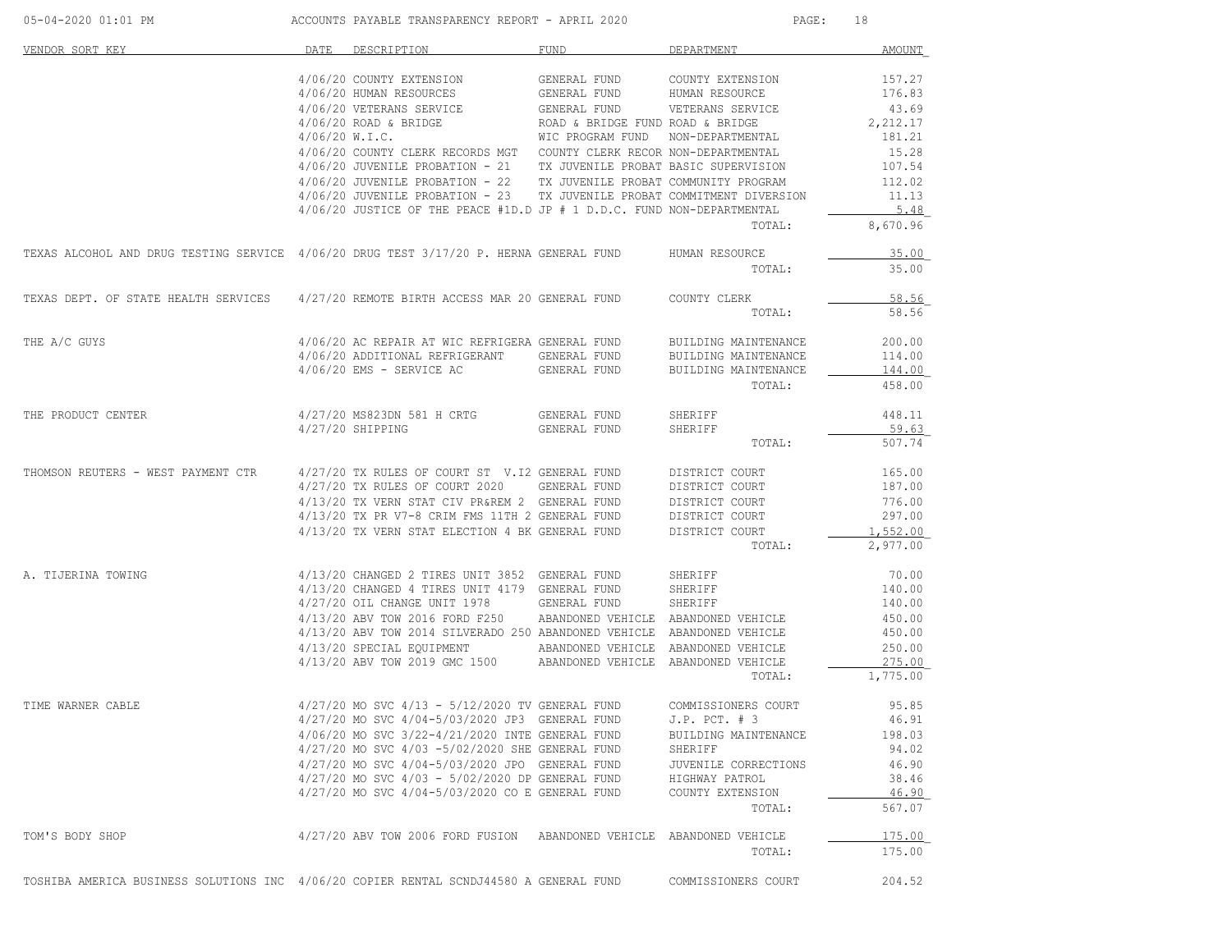| 05-04-2020 01:01 PM                                                                    |                  | ACCOUNTS PAYABLE TRANSPARENCY REPORT - APRIL 2020                                                                                             |                                     | PAGE:                              | 18               |
|----------------------------------------------------------------------------------------|------------------|-----------------------------------------------------------------------------------------------------------------------------------------------|-------------------------------------|------------------------------------|------------------|
| VENDOR SORT KEY                                                                        | DATE.            | DESCRIPTION                                                                                                                                   | FUND                                | DEPARTMENT                         | <b>AMOUNT</b>    |
|                                                                                        |                  | 4/06/20 COUNTY EXTENSION                                                                                                                      | GENERAL FUND                        | COUNTY EXTENSION                   | 157.27           |
|                                                                                        |                  | 4/06/20 HUMAN RESOURCES                                                                                                                       | GENERAL FUND                        | HUMAN RESOURCE                     | 176.83           |
|                                                                                        |                  | 4/06/20 VETERANS SERVICE                                                                                                                      | GENERAL FUND                        | VETERANS SERVICE                   | 43.69            |
|                                                                                        |                  | 4/06/20 ROAD & BRIDGE                                                                                                                         | ROAD & BRIDGE FUND ROAD & BRIDGE    |                                    | 2,212.17         |
|                                                                                        | $4/06/20$ W.I.C. |                                                                                                                                               | WIC PROGRAM FUND NON-DEPARTMENTAL   |                                    | 181.21<br>15.28  |
|                                                                                        |                  | 4/06/20 COUNTY CLERK RECORDS MGT  COUNTY CLERK RECOR NON-DEPARTMENTAL<br>4/06/20 JUVENILE PROBATION - 21 TX JUVENILE PROBAT BASIC SUPERVISION |                                     |                                    | 107.54           |
|                                                                                        |                  | 4/06/20 JUVENILE PROBATION - 22 TX JUVENILE PROBAT COMMUNITY PROGRAM                                                                          |                                     |                                    | 112.02           |
|                                                                                        |                  | 4/06/20 JUVENILE PROBATION - 23 TX JUVENILE PROBAT COMMITMENT DIVERSION                                                                       |                                     |                                    | 11.13            |
|                                                                                        |                  | 4/06/20 JUSTICE OF THE PEACE #1D.D JP # 1 D.D.C. FUND NON-DEPARTMENTAL                                                                        |                                     |                                    | 5.48             |
|                                                                                        |                  |                                                                                                                                               |                                     | TOTAL:                             | 8,670.96         |
| TEXAS ALCOHOL AND DRUG TESTING SERVICE 4/06/20 DRUG TEST 3/17/20 P. HERNA GENERAL FUND |                  |                                                                                                                                               |                                     | HUMAN RESOURCE                     | 35.00            |
|                                                                                        |                  |                                                                                                                                               |                                     | TOTAL:                             | 35.00            |
| TEXAS DEPT. OF STATE HEALTH SERVICES 4/27/20 REMOTE BIRTH ACCESS MAR 20 GENERAL FUND   |                  |                                                                                                                                               |                                     | COUNTY CLERK                       | 58.56            |
|                                                                                        |                  |                                                                                                                                               |                                     | TOTAL:                             | 58.56            |
| THE A/C GUYS                                                                           |                  | 4/06/20 AC REPAIR AT WIC REFRIGERA GENERAL FUND                                                                                               |                                     | BUILDING MAINTENANCE               | 200.00           |
|                                                                                        |                  | $4/06/20$ AC KEFAIR AT WIS ACTIONAL REPRIGERANT GENERAL FUND<br>$4/06/20$ ADDITIONAL REFRIGERANT GENERAL FUND                                 |                                     | BUILDING MAINTENANCE               | 114.00           |
|                                                                                        |                  | $4/06/20$ EMS - SERVICE AC                                                                                                                    | GENERAL FUND                        | BUILDING MAINTENANCE               | 144.00           |
|                                                                                        |                  |                                                                                                                                               |                                     | TOTAL:                             | 458.00           |
| THE PRODUCT CENTER                                                                     |                  | 4/27/20 MS823DN 581 H CRTG                                                                                                                    | GENERAL FUND                        | SHERIFF                            | 448.11           |
|                                                                                        |                  | 4/27/20 SHIPPING                                                                                                                              | GENERAL FUND                        | SHERIFF                            | 59.63            |
|                                                                                        |                  |                                                                                                                                               |                                     | TOTAL:                             | 507.74           |
| THOMSON REUTERS - WEST PAYMENT CTR                                                     |                  | 4/27/20 TX RULES OF COURT ST V.I2 GENERAL FUND                                                                                                |                                     | DISTRICT COURT                     | 165.00           |
|                                                                                        |                  | 4/27/20 TX RULES OF COURT 2020                                                                                                                | GENERAL FUND                        | DISTRICT COURT                     | 187.00           |
|                                                                                        |                  | 4/13/20 TX VERN STAT CIV PR&REM 2 GENERAL FUND<br>4/13/20 TX PR V7-8 CRIM FMS 11TH 2 GENERAL FUND                                             |                                     | DISTRICT COURT<br>DISTRICT COURT   | 776.00<br>297.00 |
|                                                                                        |                  | 4/13/20 TX VERN STAT ELECTION 4 BK GENERAL FUND                                                                                               |                                     | DISTRICT COURT                     | 1,552.00         |
|                                                                                        |                  |                                                                                                                                               |                                     | TOTAL:                             | 2,977.00         |
| A. TIJERINA TOWING                                                                     |                  | 4/13/20 CHANGED 2 TIRES UNIT 3852 GENERAL FUND                                                                                                |                                     | SHERIFF                            | 70.00            |
|                                                                                        |                  | 4/13/20 CHANGED 4 TIRES UNIT 4179 GENERAL FUND                                                                                                |                                     | SHERIFF                            | 140.00           |
|                                                                                        |                  | 4/27/20 OIL CHANGE UNIT 1978                                                                                                                  | GENERAL FUND                        | SHERIFF                            | 140.00           |
|                                                                                        |                  | 4/13/20 ABV TOW 2016 FORD F250                                                                                                                | ABANDONED VEHICLE ABANDONED VEHICLE |                                    | 450.00           |
|                                                                                        |                  | 4/13/20 ABV TOW 2014 SILVERADO 250 ABANDONED VEHICLE ABANDONED VEHICLE                                                                        |                                     |                                    | 450.00           |
|                                                                                        |                  | 4/13/20 SPECIAL EQUIPMENT<br>4/13/20 ABV TOW 2019 GMC 1500 ABANDONED VEHICLE ABANDONED VEHICLE                                                | ABANDONED VEHICLE ABANDONED VEHICLE |                                    | 250.00<br>275.00 |
|                                                                                        |                  |                                                                                                                                               |                                     | TOTAL:                             | 1,775.00         |
| TIME WARNER CABLE                                                                      |                  | 4/27/20 MO SVC 4/13 - 5/12/2020 TV GENERAL FUND                                                                                               |                                     | COMMISSIONERS COURT                | 95.85            |
|                                                                                        |                  | 4/27/20 MO SVC 4/04-5/03/2020 JP3 GENERAL FUND                                                                                                |                                     | $J.P.$ PCT. $# 3$                  | 46.91            |
|                                                                                        |                  | 4/06/20 MO SVC 3/22-4/21/2020 INTE GENERAL FUND                                                                                               |                                     | BUILDING MAINTENANCE               | 198.03           |
|                                                                                        |                  | 4/27/20 MO SVC 4/03 -5/02/2020 SHE GENERAL FUND                                                                                               |                                     | SHERIFF                            | 94.02            |
|                                                                                        |                  | 4/27/20 MO SVC 4/04-5/03/2020 JPO GENERAL FUND                                                                                                |                                     | JUVENILE CORRECTIONS               | 46.90            |
|                                                                                        |                  | $4/27/20$ MO SVC $4/03 - 5/02/2020$ DP GENERAL FUND<br>4/27/20 MO SVC 4/04-5/03/2020 CO E GENERAL FUND                                        |                                     | HIGHWAY PATROL<br>COUNTY EXTENSION | 38.46<br>46.90   |
|                                                                                        |                  |                                                                                                                                               |                                     | TOTAL:                             | 567.07           |
| TOM'S BODY SHOP                                                                        |                  | 4/27/20 ABV TOW 2006 FORD FUSION ABANDONED VEHICLE ABANDONED VEHICLE                                                                          |                                     |                                    | 175.00           |
|                                                                                        |                  |                                                                                                                                               |                                     | TOTAL:                             | 175.00           |
| TOSHIBA AMERICA BUSINESS SOLUTIONS INC 4/06/20 COPIER RENTAL SCNDJ44580 A GENERAL FUND |                  |                                                                                                                                               |                                     | COMMISSIONERS COURT                | 204.52           |
|                                                                                        |                  |                                                                                                                                               |                                     |                                    |                  |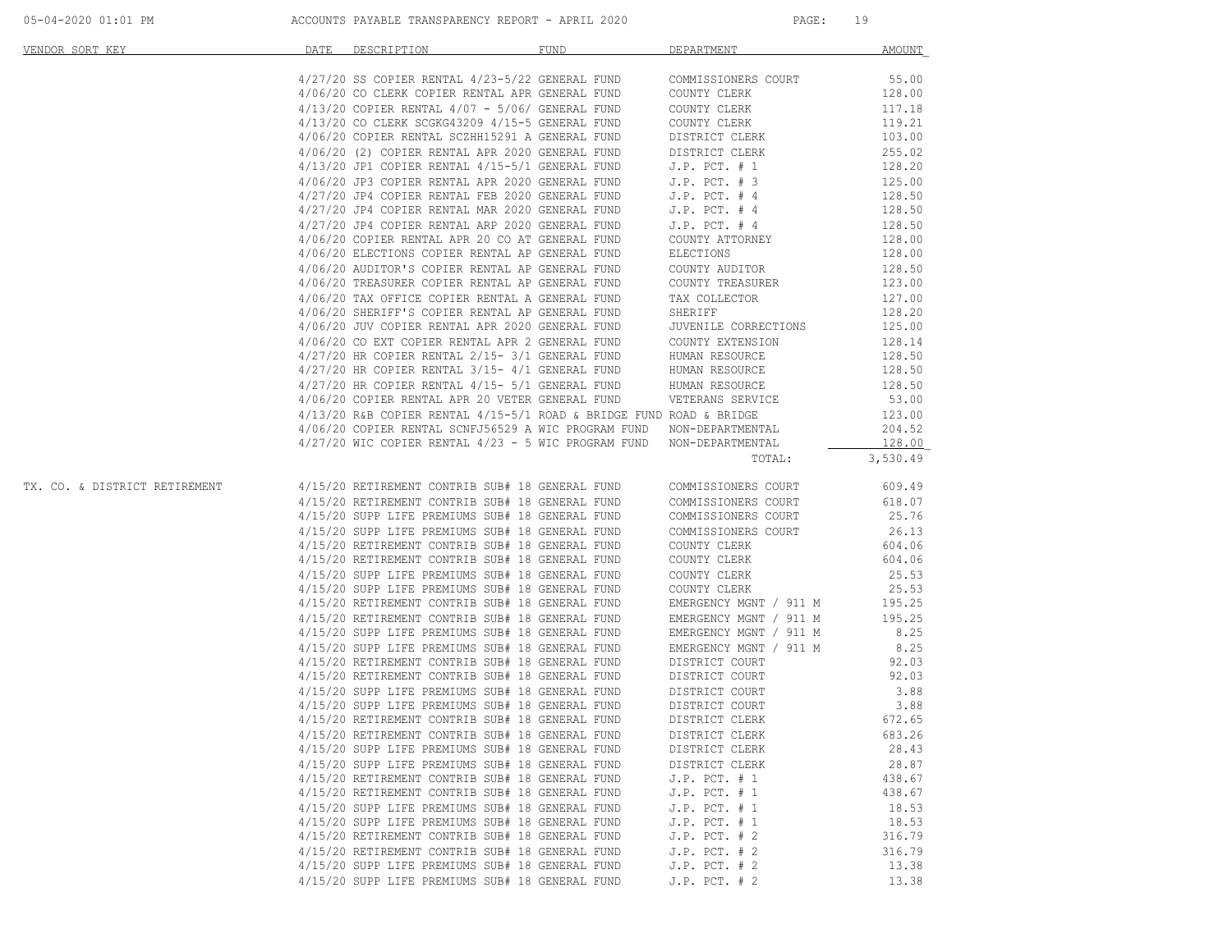| 05-04-2020 01:01 PM |  |
|---------------------|--|
|                     |  |

| VENDOR SORT KEY               | DATE | DESCRIPTION                                                                                                                                                                                                                                                                                                                                                                                                                                                                                                                                            | FUND | DEPARTMENT                                         | AMOUNT           |
|-------------------------------|------|--------------------------------------------------------------------------------------------------------------------------------------------------------------------------------------------------------------------------------------------------------------------------------------------------------------------------------------------------------------------------------------------------------------------------------------------------------------------------------------------------------------------------------------------------------|------|----------------------------------------------------|------------------|
|                               |      | 4/27/20 SS COPIER RENTAL 4/23-5/22 GENERAL FUND                                                                                                                                                                                                                                                                                                                                                                                                                                                                                                        |      | COMMISSIONERS COURT                                | 55.00            |
|                               |      | 4/06/20 CO CLERK COPIER RENTAL APR GENERAL FUND                                                                                                                                                                                                                                                                                                                                                                                                                                                                                                        |      | COUNTY CLERK<br>COUNTY CLERK                       | 128.00           |
|                               |      | $4/13/20$ COPIER RENTAL $4/07 - 5/06/$ GENERAL FUND                                                                                                                                                                                                                                                                                                                                                                                                                                                                                                    |      | COUNTY CLERK                                       | 117.18           |
|                               |      | 4/13/20 CO CLERK SCGKG43209 4/15-5 GENERAL FUND                                                                                                                                                                                                                                                                                                                                                                                                                                                                                                        |      | COUNTY CLERK                                       | 119.21           |
|                               |      | 4/06/20 COPIER RENTAL SCZHH15291 A GENERAL FUND                                                                                                                                                                                                                                                                                                                                                                                                                                                                                                        |      | DISTRICT CLERK                                     | 103.00           |
|                               |      | 4/06/20 (2) COPIER RENTAL APR 2020 GENERAL FUND                                                                                                                                                                                                                                                                                                                                                                                                                                                                                                        |      | DISTRICT CLERK<br>J.P. PCT. # 1<br>J.P. PCT. # 3   | 255.02           |
|                               |      | 4/13/20 JP1 COPIER RENTAL 4/15-5/1 GENERAL FUND                                                                                                                                                                                                                                                                                                                                                                                                                                                                                                        |      | $J.P.$ PCT. $# 1$                                  | 128.20           |
|                               |      | 4/06/20 JP3 COPIER RENTAL APR 2020 GENERAL FUND                                                                                                                                                                                                                                                                                                                                                                                                                                                                                                        |      |                                                    | 125.00           |
|                               |      | 4/27/20 JP4 COPIER RENTAL FEB 2020 GENERAL FUND<br>4/27/20 JP4 COPIER RENTAL MAR 2020 GENERAL FUND                                                                                                                                                                                                                                                                                                                                                                                                                                                     |      | J.P. PCT. # 4<br>J.P. PCT. # 4                     | 128.50           |
|                               |      |                                                                                                                                                                                                                                                                                                                                                                                                                                                                                                                                                        |      | J.P. PCT. # 4                                      | 128.50<br>128.50 |
|                               |      | 4/27/20 JP4 COPIER RENTAL ARP 2020 GENERAL FUND<br>4/06/20 COPIER RENTAL APR 20 CO AT GENERAL FUND                                                                                                                                                                                                                                                                                                                                                                                                                                                     |      | COUNTY ATTORNEY                                    | 128.00           |
|                               |      | 4/06/20 ELECTIONS COPIER RENTAL AP GENERAL FUND                                                                                                                                                                                                                                                                                                                                                                                                                                                                                                        |      | ELECTIONS                                          | 128.00           |
|                               |      | 4/06/20 AUDITOR'S COPIER RENTAL AP GENERAL FUND                                                                                                                                                                                                                                                                                                                                                                                                                                                                                                        |      | COUNTY AUDITOR                                     | 128.50           |
|                               |      | 4/06/20 TREASURER COPIER RENTAL AP GENERAL FUND                                                                                                                                                                                                                                                                                                                                                                                                                                                                                                        |      | COUNTY TREASURER                                   | 123.00           |
|                               |      |                                                                                                                                                                                                                                                                                                                                                                                                                                                                                                                                                        |      |                                                    | 127.00           |
|                               |      |                                                                                                                                                                                                                                                                                                                                                                                                                                                                                                                                                        |      |                                                    | 128.20           |
|                               |      |                                                                                                                                                                                                                                                                                                                                                                                                                                                                                                                                                        |      | JUVENILE CORRECTIONS                               | 125.00           |
|                               |      |                                                                                                                                                                                                                                                                                                                                                                                                                                                                                                                                                        |      |                                                    | 128.14           |
|                               |      |                                                                                                                                                                                                                                                                                                                                                                                                                                                                                                                                                        |      |                                                    | 128.50           |
|                               |      |                                                                                                                                                                                                                                                                                                                                                                                                                                                                                                                                                        |      |                                                    | 128.50           |
|                               |      |                                                                                                                                                                                                                                                                                                                                                                                                                                                                                                                                                        |      |                                                    | 128.50           |
|                               |      | $4/06/20 \text{ TAX OFFICE COPIER RENTAL AP GENERAL FUND}$<br>$4/06/20 \text{ JUV COPIER RENTAL APR } 2020 \text{ GENERERL FUND}$<br>$4/06/20 \text{ JUV COPIER RENTAL APR } 2020 \text{ GENERAL FUND}$<br>$4/06/20 \text{ CO EXT COPIER RENTAL APR } 2 \text{ GENERAL FUND}$<br>$4/27/20 \text{ HR COPIER RENTAL } 2/15-3/1 \text{ GENERAL FUND}$ $5/1 \text{ GENERAL FUND}$ HUMAN RESOURCE<br>$4/27/2$<br>$4/06/20$ COPIER RENTAL APR 20 VETER GENERAL FUND VETERANS SERVICE $4/13/20$ R&B COPIER RENTAL $4/15-5/1$ ROAD & BRIDGE FUND ROAD & BRIDGE |      |                                                    | 53.00            |
|                               |      |                                                                                                                                                                                                                                                                                                                                                                                                                                                                                                                                                        |      |                                                    | 123.00           |
|                               |      | 4/06/20 COPIER RENTAL SCNFJ56529 A WIC PROGRAM FUND NON-DEPARTMENTAL                                                                                                                                                                                                                                                                                                                                                                                                                                                                                   |      |                                                    | 204.52           |
|                               |      | $4/27/20$ WIC COPIER RENTAL $4/23$ - 5 WIC PROGRAM FUND NON-DEPARTMENTAL                                                                                                                                                                                                                                                                                                                                                                                                                                                                               |      |                                                    | 128.00           |
|                               |      |                                                                                                                                                                                                                                                                                                                                                                                                                                                                                                                                                        |      | TOTAL:                                             | 3,530.49         |
| TX. CO. & DISTRICT RETIREMENT |      | 4/15/20 RETIREMENT CONTRIB SUB# 18 GENERAL FUND                                                                                                                                                                                                                                                                                                                                                                                                                                                                                                        |      | COMMISSIONERS COURT                                | 609.49           |
|                               |      | 4/15/20 RETIREMENT CONTRIB SUB# 18 GENERAL FUND                                                                                                                                                                                                                                                                                                                                                                                                                                                                                                        |      | COMMISSIONERS COURT                                | 618.07           |
|                               |      | 4/15/20 SUPP LIFE PREMIUMS SUB# 18 GENERAL FUND                                                                                                                                                                                                                                                                                                                                                                                                                                                                                                        |      | COMMISSIONERS COURT                                | 25.76            |
|                               |      | 4/15/20 SUPP LIFE PREMIUMS SUB# 18 GENERAL FUND                                                                                                                                                                                                                                                                                                                                                                                                                                                                                                        |      | COMMISSIONERS COURT                                | 26.13            |
|                               |      | 4/15/20 RETIREMENT CONTRIB SUB# 18 GENERAL FUND                                                                                                                                                                                                                                                                                                                                                                                                                                                                                                        |      | COUNTY CLERK                                       | 604.06           |
|                               |      | 4/15/20 RETIREMENT CONTRIB SUB# 18 GENERAL FUND                                                                                                                                                                                                                                                                                                                                                                                                                                                                                                        |      | COUNTY CLERK                                       | 604.06           |
|                               |      | 4/15/20 SUPP LIFE PREMIUMS SUB# 18 GENERAL FUND<br>4/15/20 SUPP LIFE PREMIUMS SUB# 18 GENERAL FUND                                                                                                                                                                                                                                                                                                                                                                                                                                                     |      | COUNTY CLERK                                       | 25.53<br>25.53   |
|                               |      | 4/15/20 RETIREMENT CONTRIB SUB# 18 GENERAL FUND                                                                                                                                                                                                                                                                                                                                                                                                                                                                                                        |      | COUNTY CLERK<br>EMERGENCY MGNT / 911 M             | 195.25           |
|                               |      | 4/15/20 RETIREMENT CONTRIB SUB# 18 GENERAL FUND                                                                                                                                                                                                                                                                                                                                                                                                                                                                                                        |      | EMERGENCY MGNT / 911 M                             | 195.25           |
|                               |      | 4/15/20 SUPP LIFE PREMIUMS SUB# 18 GENERAL FUND                                                                                                                                                                                                                                                                                                                                                                                                                                                                                                        |      | EMERGENCY MGNT / 911 M                             | 8.25             |
|                               |      | 4/15/20 SUPP LIFE PREMIUMS SUB# 18 GENERAL FUND                                                                                                                                                                                                                                                                                                                                                                                                                                                                                                        |      | EMERGENCY MGNT / 911 M                             | 8.25             |
|                               |      | 4/15/20 RETIREMENT CONTRIB SUB# 18 GENERAL FUND                                                                                                                                                                                                                                                                                                                                                                                                                                                                                                        |      | DISTRICT COURT                                     | 92.03            |
|                               |      | 4/15/20 RETIREMENT CONTRIB SUB# 18 GENERAL FUND                                                                                                                                                                                                                                                                                                                                                                                                                                                                                                        |      | DISTRICT COURT                                     | 92.03            |
|                               |      | 4/15/20 SUPP LIFE PREMIUMS SUB# 18 GENERAL FUND                                                                                                                                                                                                                                                                                                                                                                                                                                                                                                        |      | DISTRICT COURT<br>DISTRICT COURT<br>DISTRICT CLERK | 3.88             |
|                               |      | 4/15/20 SUPP LIFE PREMIUMS SUB# 18 GENERAL FUND                                                                                                                                                                                                                                                                                                                                                                                                                                                                                                        |      |                                                    | 3.88             |
|                               |      | 4/15/20 RETIREMENT CONTRIB SUB# 18 GENERAL FUND                                                                                                                                                                                                                                                                                                                                                                                                                                                                                                        |      |                                                    | 672.65           |
|                               |      | 4/15/20 RETIREMENT CONTRIB SUB# 18 GENERAL FUND                                                                                                                                                                                                                                                                                                                                                                                                                                                                                                        |      | DISTRICT CLERK                                     | 683.26           |
|                               |      | 4/15/20 SUPP LIFE PREMIUMS SUB# 18 GENERAL FUND                                                                                                                                                                                                                                                                                                                                                                                                                                                                                                        |      | DISTRICT CLERK                                     | 28.43            |
|                               |      | 4/15/20 SUPP LIFE PREMIUMS SUB# 18 GENERAL FUND                                                                                                                                                                                                                                                                                                                                                                                                                                                                                                        |      | DISTRICT CLERK                                     | 28.87            |
|                               |      | 4/15/20 RETIREMENT CONTRIB SUB# 18 GENERAL FUND                                                                                                                                                                                                                                                                                                                                                                                                                                                                                                        |      | $J.P.$ PCT. $# 1$                                  | 438.67           |
|                               |      | 4/15/20 RETIREMENT CONTRIB SUB# 18 GENERAL FUND                                                                                                                                                                                                                                                                                                                                                                                                                                                                                                        |      | $J.P.$ PCT. $# 1$                                  | 438.67           |
|                               |      | 4/15/20 SUPP LIFE PREMIUMS SUB# 18 GENERAL FUND                                                                                                                                                                                                                                                                                                                                                                                                                                                                                                        |      | $J.P.$ PCT. $# 1$                                  | 18.53            |
|                               |      | 4/15/20 SUPP LIFE PREMIUMS SUB# 18 GENERAL FUND                                                                                                                                                                                                                                                                                                                                                                                                                                                                                                        |      | J.P. PCT. # 1                                      | 18.53            |
|                               |      | 4/15/20 RETIREMENT CONTRIB SUB# 18 GENERAL FUND<br>4/15/20 RETIREMENT CONTRIB SUB# 18 GENERAL FUND                                                                                                                                                                                                                                                                                                                                                                                                                                                     |      | $J.P.$ PCT. $# 2$<br>$J.P.$ PCT. $# 2$             | 316.79           |
|                               |      | 4/15/20 SUPP LIFE PREMIUMS SUB# 18 GENERAL FUND                                                                                                                                                                                                                                                                                                                                                                                                                                                                                                        |      | $J.P.$ PCT. $# 2$                                  | 316.79<br>13.38  |
|                               |      | 4/15/20 SUPP LIFE PREMIUMS SUB# 18 GENERAL FUND                                                                                                                                                                                                                                                                                                                                                                                                                                                                                                        |      | $J.P.$ PCT. $# 2$                                  | 13.38            |
|                               |      |                                                                                                                                                                                                                                                                                                                                                                                                                                                                                                                                                        |      |                                                    |                  |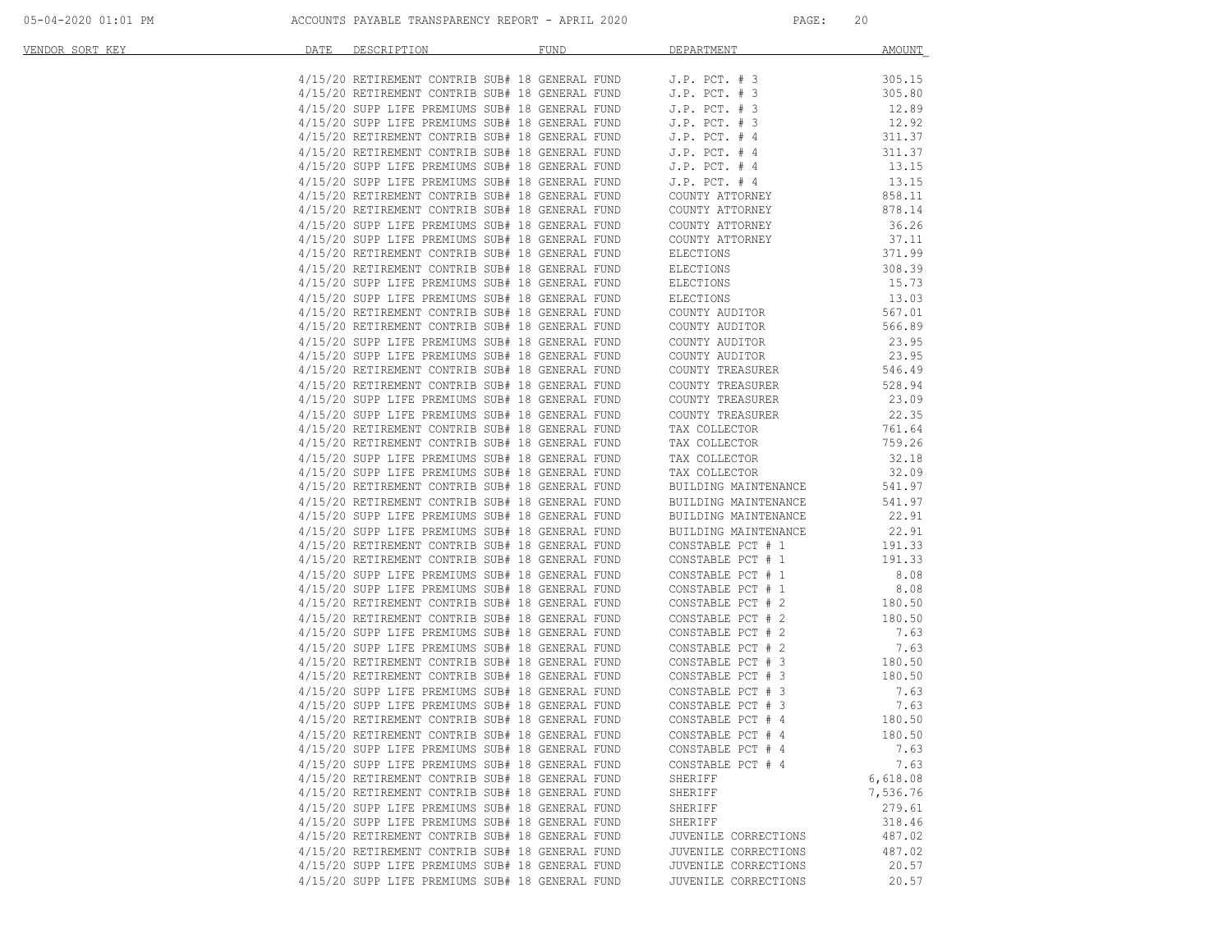| VENDOR SORT KEY | <b>DATE DESCRIPTION</b>                                                                            | FUND | DEPARTMENT                                                                                                                                                                                                                            | AMOUNT           |
|-----------------|----------------------------------------------------------------------------------------------------|------|---------------------------------------------------------------------------------------------------------------------------------------------------------------------------------------------------------------------------------------|------------------|
|                 |                                                                                                    |      | 4/15/20 RETIREMENT CONTRIB SUB# 18 GENERAL FUND J.P. PCT. # 3<br>4/15/20 RETIREMENT CONTRIB SUB# 18 GENERAL FUND J.P. PCT. # 3<br>4/15/20 SUPP LIFE PREMIUMS SUB# 18 GENERAL FUND J.P. PCT. # 3<br>4/15/20 RETIREMENT CONTRIB SUB# 18 | 305.15           |
|                 |                                                                                                    |      |                                                                                                                                                                                                                                       | 305.80           |
|                 |                                                                                                    |      |                                                                                                                                                                                                                                       | 12.89            |
|                 |                                                                                                    |      |                                                                                                                                                                                                                                       | 12.92            |
|                 |                                                                                                    |      |                                                                                                                                                                                                                                       | 311.37           |
|                 |                                                                                                    |      |                                                                                                                                                                                                                                       | 311.37           |
|                 |                                                                                                    |      |                                                                                                                                                                                                                                       | 13.15            |
|                 |                                                                                                    |      |                                                                                                                                                                                                                                       | 13.15            |
|                 | 4/15/20 RETIREMENT CONTRIB SUB# 18 GENERAL FUND                                                    |      | COUNTY ATTORNEY<br>COUNTY ATTORNEY                                                                                                                                                                                                    | 858.11           |
|                 | 4/15/20 RETIREMENT CONTRIB SUB# 18 GENERAL FUND                                                    |      |                                                                                                                                                                                                                                       | 878.14           |
|                 | 4/15/20 SUPP LIFE PREMIUMS SUB# 18 GENERAL FUND                                                    |      | COUNTY ATTORNEY<br>COUNTY ATTORNEY<br>ELECTIONS                                                                                                                                                                                       | 36.26            |
|                 | 4/15/20 SUPP LIFE PREMIUMS SUB# 18 GENERAL FUND                                                    |      |                                                                                                                                                                                                                                       | 37.11            |
|                 | 4/15/20 RETIREMENT CONTRIB SUB# 18 GENERAL FUND                                                    |      |                                                                                                                                                                                                                                       | 371.99           |
|                 | 4/15/20 RETIREMENT CONTRIB SUB# 18 GENERAL FUND                                                    |      | LILONS<br>ELECTIONS<br>ELECTIONS<br>COUNTY AUDITOR<br>COUNTY AUDITOR                                                                                                                                                                  | 308.39           |
|                 | 4/15/20 SUPP LIFE PREMIUMS SUB# 18 GENERAL FUND                                                    |      |                                                                                                                                                                                                                                       | 15.73            |
|                 | 4/15/20 SUPP LIFE PREMIUMS SUB# 18 GENERAL FUND                                                    |      |                                                                                                                                                                                                                                       | 13.03            |
|                 | 4/15/20 RETIREMENT CONTRIB SUB# 18 GENERAL FUND                                                    |      |                                                                                                                                                                                                                                       | 567.01           |
|                 | 4/15/20 RETIREMENT CONTRIB SUB# 18 GENERAL FUND                                                    |      | COUNTY AUDITOR<br>COUNTY AUDITOR<br>COUNTY AUDITOR<br>COUNTY AUDITOR<br>COUNTY TREASURED                                                                                                                                              | 566.89           |
|                 | 4/15/20 SUPP LIFE PREMIUMS SUB# 18 GENERAL FUND<br>4/15/20 SUPP LIFE PREMIUMS SUB# 18 GENERAL FUND |      |                                                                                                                                                                                                                                       | 23.95<br>23.95   |
|                 | 4/15/20 RETIREMENT CONTRIB SUB# 18 GENERAL FUND                                                    |      |                                                                                                                                                                                                                                       | 546.49           |
|                 | 4/15/20 RETIREMENT CONTRIB SUB# 18 GENERAL FUND                                                    |      | COUNTY TREASURER                                                                                                                                                                                                                      | 528.94           |
|                 | 4/15/20 SUPP LIFE PREMIUMS SUB# 18 GENERAL FUND                                                    |      | COUNTY TREASURER                                                                                                                                                                                                                      | 23.09            |
|                 | 4/15/20 SUPP LIFE PREMIUMS SUB# 18 GENERAL FUND                                                    |      | COUNTY TREASURER                                                                                                                                                                                                                      | 22.35            |
|                 | 4/15/20 RETIREMENT CONTRIB SUB# 18 GENERAL FUND                                                    |      | TAX COLLECTOR                                                                                                                                                                                                                         | 761.64           |
|                 | 4/15/20 RETIREMENT CONTRIB SUB# 18 GENERAL FUND                                                    |      | TAX COLLECTOR                                                                                                                                                                                                                         | 759.26           |
|                 | 4/15/20 SUPP LIFE PREMIUMS SUB# 18 GENERAL FUND                                                    |      |                                                                                                                                                                                                                                       | 32.18            |
|                 | 4/15/20 SUPP LIFE PREMIUMS SUB# 18 GENERAL FUND                                                    |      | TAX COLLECTOR<br>TAX COLLECTOR                                                                                                                                                                                                        | 32.09            |
|                 | 4/15/20 RETIREMENT CONTRIB SUB# 18 GENERAL FUND                                                    |      | BUILDING MAINTENANCE                                                                                                                                                                                                                  | 541.97           |
|                 | 4/15/20 RETIREMENT CONTRIB SUB# 18 GENERAL FUND                                                    |      |                                                                                                                                                                                                                                       | 541.97           |
|                 | 4/15/20 SUPP LIFE PREMIUMS SUB# 18 GENERAL FUND                                                    |      |                                                                                                                                                                                                                                       | 22.91            |
|                 | 4/15/20 SUPP LIFE PREMIUMS SUB# 18 GENERAL FUND                                                    |      | BUILDING MAINTENANCE                                                                                                                                                                                                                  | 22.91            |
|                 | 4/15/20 RETIREMENT CONTRIB SUB# 18 GENERAL FUND                                                    |      | CONSTABLE PCT # 1                                                                                                                                                                                                                     | 191.33           |
|                 | 4/15/20 RETIREMENT CONTRIB SUB# 18 GENERAL FUND                                                    |      | CONSTABLE PCT # 1<br>CONSTABLE PCT # 1                                                                                                                                                                                                | 191.33           |
|                 | 4/15/20 SUPP LIFE PREMIUMS SUB# 18 GENERAL FUND                                                    |      | CONSTABLE PCT # 1<br>CONSTABLE PCT # 1                                                                                                                                                                                                | 8.08             |
|                 | 4/15/20 SUPP LIFE PREMIUMS SUB# 18 GENERAL FUND                                                    |      |                                                                                                                                                                                                                                       | 8.08             |
|                 | 4/15/20 RETIREMENT CONTRIB SUB# 18 GENERAL FUND                                                    |      | CONSTABLE PCT # 2                                                                                                                                                                                                                     | 180.50           |
|                 | 4/15/20 RETIREMENT CONTRIB SUB# 18 GENERAL FUND                                                    |      | CONSTABLE PCT # 2                                                                                                                                                                                                                     | 180.50           |
|                 | 4/15/20 SUPP LIFE PREMIUMS SUB# 18 GENERAL FUND                                                    |      | CONSTABLE PCT # 2<br>CONSTABLE PCT # 2                                                                                                                                                                                                | 7.63             |
|                 | 4/15/20 SUPP LIFE PREMIUMS SUB# 18 GENERAL FUND                                                    |      |                                                                                                                                                                                                                                       | 7.63             |
|                 | 4/15/20 RETIREMENT CONTRIB SUB# 18 GENERAL FUND                                                    |      | CONSTABLE PCT # 3<br>CONSTABLE PCT # 3                                                                                                                                                                                                | 180.50           |
|                 | 4/15/20 RETIREMENT CONTRIB SUB# 18 GENERAL FUND                                                    |      |                                                                                                                                                                                                                                       | 180.50           |
|                 | 4/15/20 SUPP LIFE PREMIUMS SUB# 18 GENERAL FUND                                                    |      | CONSTABLE PCT # 3<br>CONSTABLE PCT # 3                                                                                                                                                                                                | 7.63             |
|                 | 4/15/20 SUPP LIFE PREMIUMS SUB# 18 GENERAL FUND                                                    |      |                                                                                                                                                                                                                                       | 7.63             |
|                 | 4/15/20 RETIREMENT CONTRIB SUB# 18 GENERAL FUND                                                    |      | CONSTABLE PCT # 4                                                                                                                                                                                                                     | 180.50           |
|                 | 4/15/20 RETIREMENT CONTRIB SUB# 18 GENERAL FUND                                                    |      | CONSTABLE PCT # 4                                                                                                                                                                                                                     | 180.50           |
|                 | 4/15/20 SUPP LIFE PREMIUMS SUB# 18 GENERAL FUND                                                    |      | CONSTABLE PCT # 4                                                                                                                                                                                                                     | 7.63             |
|                 | 4/15/20 SUPP LIFE PREMIUMS SUB# 18 GENERAL FUND                                                    |      | CONSTABLE PCT # 4                                                                                                                                                                                                                     | 7.63             |
|                 | 4/15/20 RETIREMENT CONTRIB SUB# 18 GENERAL FUND<br>4/15/20 RETIREMENT CONTRIB SUB# 18 GENERAL FUND |      | SHERIFF                                                                                                                                                                                                                               | 6,618.08         |
|                 |                                                                                                    |      | SHERIFF                                                                                                                                                                                                                               | 7,536.76         |
|                 | 4/15/20 SUPP LIFE PREMIUMS SUB# 18 GENERAL FUND                                                    |      | SHERIFF                                                                                                                                                                                                                               | 279.61           |
|                 | 4/15/20 SUPP LIFE PREMIUMS SUB# 18 GENERAL FUND<br>4/15/20 RETIREMENT CONTRIB SUB# 18 GENERAL FUND |      | SHERIFF<br>JUVENILE CORRECTIONS                                                                                                                                                                                                       | 318.46<br>487.02 |
|                 | 4/15/20 RETIREMENT CONTRIB SUB# 18 GENERAL FUND                                                    |      | JUVENILE CORRECTIONS                                                                                                                                                                                                                  | 487.02           |
|                 | 4/15/20 SUPP LIFE PREMIUMS SUB# 18 GENERAL FUND                                                    |      | JUVENILE CORRECTIONS                                                                                                                                                                                                                  | 20.57            |
|                 | 4/15/20 SUPP LIFE PREMIUMS SUB# 18 GENERAL FUND                                                    |      | JUVENILE CORRECTIONS                                                                                                                                                                                                                  | 20.57            |
|                 |                                                                                                    |      |                                                                                                                                                                                                                                       |                  |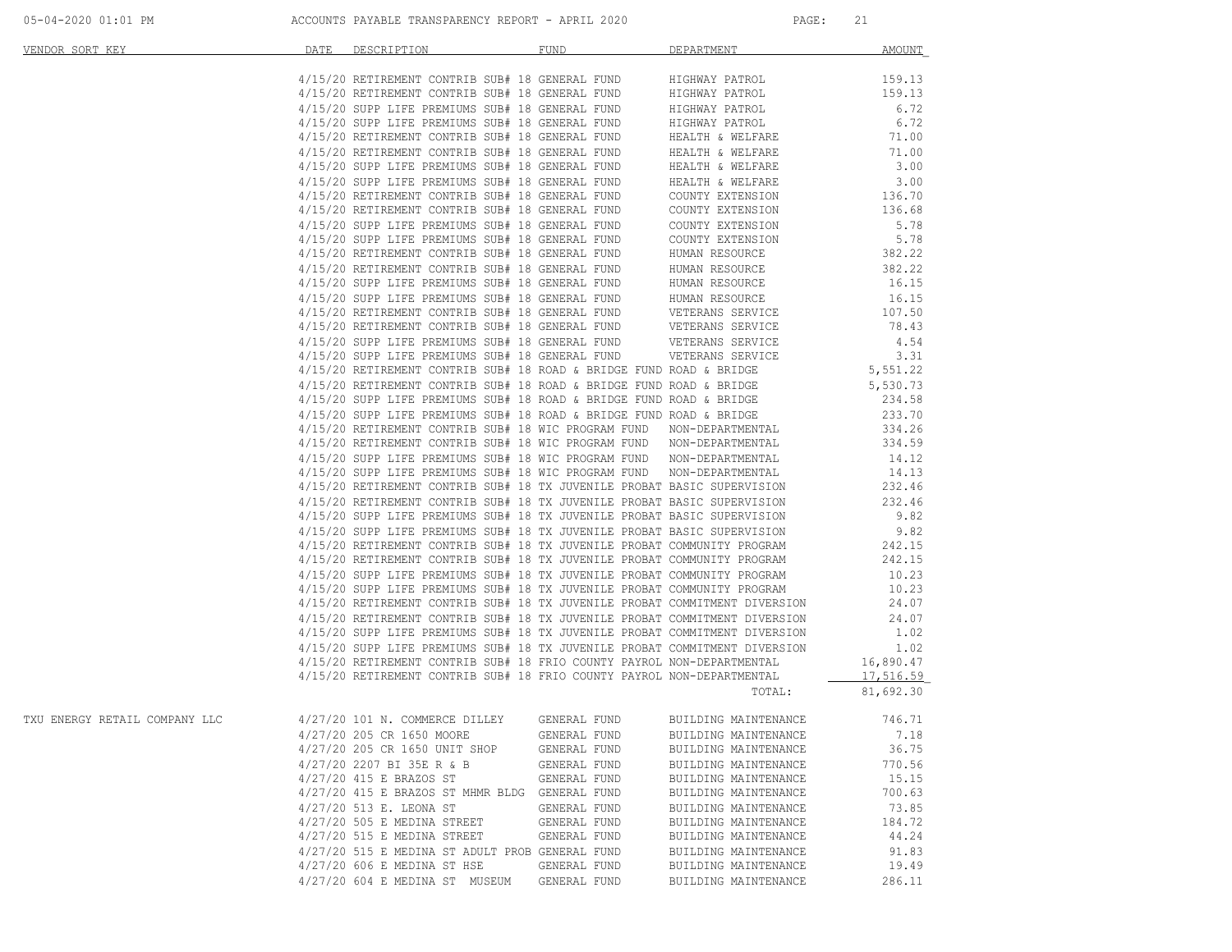| VENDOR SORT KEY               | DATE | DESCRIPTION                                                                                                                                 | FUND         | DEPARTMENT                                                                                                                                                                                                                             | <b>AMOUNT</b>      |
|-------------------------------|------|---------------------------------------------------------------------------------------------------------------------------------------------|--------------|----------------------------------------------------------------------------------------------------------------------------------------------------------------------------------------------------------------------------------------|--------------------|
|                               |      |                                                                                                                                             |              |                                                                                                                                                                                                                                        |                    |
|                               |      | $4/15/20$ RETIREMENT CONTRIB SUB# 18 GENERAL FUND HIGHWAY PATROL $4/15/20$ RETIREMENT CONTRIB SUB# 18 GENERAL FUND HIGHWAY PATROL           |              |                                                                                                                                                                                                                                        | 159.13             |
|                               |      |                                                                                                                                             |              |                                                                                                                                                                                                                                        | 159.13             |
|                               |      |                                                                                                                                             |              |                                                                                                                                                                                                                                        |                    |
|                               |      |                                                                                                                                             |              |                                                                                                                                                                                                                                        |                    |
|                               |      |                                                                                                                                             |              |                                                                                                                                                                                                                                        |                    |
|                               |      |                                                                                                                                             |              | $4/15/20$ RETIREMENT CONTRIB SUB# 18 GENERAL FUND HEALTH & WELFARE $4/15/20$ SUPP LIFE PREMIUMS SUB# 18 GENERAL FUND HEALTH & WELFARE                                                                                                  | $71.00$<br>$3.00$  |
|                               |      |                                                                                                                                             |              |                                                                                                                                                                                                                                        |                    |
|                               |      |                                                                                                                                             |              | $4/15/20$ SUPP LIFE PREMIUMS SUB# 18 GENERAL FUND HEALTH & WELFARE 3.00 4/15/20 RETIREMENT CONTRIB SUB# 18 GENERAL FUND COUNTY EXTENSION 136.70                                                                                        |                    |
|                               |      |                                                                                                                                             |              | 4/15/20 RETIREMENT CONTRIB SUB# 18 GENERAL FUND COUNTY EXTENSION 136.68                                                                                                                                                                |                    |
|                               |      | 4/15/20 SUPP LIFE PREMIUMS SUB# 18 GENERAL FUND                                                                                             |              | COUNTY EXTENSION                                                                                                                                                                                                                       | 5.78               |
|                               |      |                                                                                                                                             |              | 4/15/20 SUPP LIFE PREMIUMS SUB# 18 GENERAL FUND COUNTY EXTENSION                                                                                                                                                                       | 5.78               |
|                               |      |                                                                                                                                             |              |                                                                                                                                                                                                                                        | 382.22             |
|                               |      | $4/15/20$ RETIREMENT CONTRIB SUB# 18 GENERAL FUND HUMAN RESOURCE $4/15/20$ RETIREMENT CONTRIB SUB# 18 GENERAL FUND HUMAN RESOURCE           |              |                                                                                                                                                                                                                                        | 382.22             |
|                               |      |                                                                                                                                             |              |                                                                                                                                                                                                                                        | 16.15              |
|                               |      | 4/15/20 SUPP LIFE PREMIUMS SUB# 18 GENERAL FUND HUMAN RESOURCE<br>4/15/20 SUPP LIFE PREMIUMS SUB# 18 GENERAL FUND HUMAN RESOURCE            |              |                                                                                                                                                                                                                                        | 16.15              |
|                               |      |                                                                                                                                             |              |                                                                                                                                                                                                                                        | 107.50             |
|                               |      |                                                                                                                                             |              | $4/15/20$ RETIREMENT CONTRIB SUB# 18 GENERAL FUND VETERANS SERVICE $4/15/20$ RETIREMENT CONTRIB SUB# 18 GENERAL FUND VETERANS SERVICE                                                                                                  | 78.43              |
|                               |      |                                                                                                                                             |              | 4/15/20 SUPP LIFE PREMIUMS SUB# 18 GENERAL FUND VETERANS SERVICE                                                                                                                                                                       | 4.54               |
|                               |      |                                                                                                                                             |              |                                                                                                                                                                                                                                        |                    |
|                               |      |                                                                                                                                             |              | $4/15/20$ SUPP LIFE PREMIUMS SUB# 18 GENERAL FUND VETERANS SERVICE 3.31 $4/15/20$ RETIREMENT CONTRIB SUB# 18 ROAD & BRIDGE FUND ROAD & BRIDGE 5,551.22                                                                                 |                    |
|                               |      | $4/15/20$ RETIREMENT CONTRIB SUB# 18 ROAD & BRIDGE FUND ROAD & BRIDGE $4/15/20$ SUPP LIFE PREMIUMS SUB# 18 ROAD & BRIDGE FUND ROAD & BRIDGE |              |                                                                                                                                                                                                                                        |                    |
|                               |      |                                                                                                                                             |              |                                                                                                                                                                                                                                        | 5,530.73<br>234.58 |
|                               |      |                                                                                                                                             |              | 4/15/20 SUPP LIFE PREMIUMS SUB# 18 ROAD & BRIDGE FUND ROAD & BRIDGE                                                                                                                                                                    | 233.70             |
|                               |      |                                                                                                                                             |              | 4/15/20 RETIREMENT CONTRIB SUB# 18 WIC PROGRAM FUND NON-DEPARTMENTAL                                                                                                                                                                   | 334.26             |
|                               |      |                                                                                                                                             |              | 4/15/20 RETIREMENT CONTRIB SUB# 18 WIC PROGRAM FUND NON-DEPARTMENTAL 334.59                                                                                                                                                            |                    |
|                               |      |                                                                                                                                             |              | 4/15/20 SUPP LIFE PREMIUMS SUB# 18 WIC PROGRAM FUND NON-DEPARTMENTAL 14.12<br>4/15/20 SUPP LIFE PREMIUMS SUB# 18 WIC PROGRAM FUND NON-DEPARTMENTAL 14.13                                                                               |                    |
|                               |      |                                                                                                                                             |              |                                                                                                                                                                                                                                        |                    |
|                               |      |                                                                                                                                             |              | 4/15/20 SUPP LIFE PREMIUMS SUB# 18 TX JUVENILE PROBAT BASIC SUPERVISION<br>4/15/20 RETIREMENT CONTRIB SUB# 18 TX JUVENILE PROBAT BASIC SUPERVISION<br>4/15/20 SUPP LIFE PREMIUMS SUB# 18 TX JUVENILE PROBAT BASIC SUPERVISION<br>4/15/ |                    |
|                               |      |                                                                                                                                             |              |                                                                                                                                                                                                                                        |                    |
|                               |      |                                                                                                                                             |              |                                                                                                                                                                                                                                        |                    |
|                               |      |                                                                                                                                             |              |                                                                                                                                                                                                                                        |                    |
|                               |      |                                                                                                                                             |              |                                                                                                                                                                                                                                        |                    |
|                               |      |                                                                                                                                             |              |                                                                                                                                                                                                                                        |                    |
|                               |      |                                                                                                                                             |              | 4/15/20 SUPP LIFE PREMIUMS SUB# 18 TX JUVENILE PROBAT COMMUNITY PROGRAM                                                                                                                                                                |                    |
|                               |      |                                                                                                                                             |              | 4/15/20 RETIREMENT CONTRIB SUB# 18 TX JUVENILE PROBAT COMMITMENT DIVERSION 24.07                                                                                                                                                       | 10.23              |
|                               |      |                                                                                                                                             |              |                                                                                                                                                                                                                                        |                    |
|                               |      |                                                                                                                                             |              | $4/15/20$ RETIREMENT CONTRIB SUB# 18 TX JUVENILE PROBAT COMMITMENT DIVERSION 24.07 4/15/20 SUPP LIFE PREMIUMS SUB# 18 TX JUVENILE PROBAT COMMITMENT DIVERSION 1.02                                                                     |                    |
|                               |      |                                                                                                                                             |              |                                                                                                                                                                                                                                        |                    |
|                               |      |                                                                                                                                             |              | $4/15/20$ SUPP LIFE PREMIUMS SUB# 18 TX JUVENILE FROBAT COMMITMENT DIVERSION $1.02$<br>$4/15/20$ SUPP LIFE PREMIUMS SUB# 18 TX JUVENILE PROBAT COMMITMENT DIVERSION $16,890.47$                                                        |                    |
|                               |      |                                                                                                                                             |              | 4/15/20 RETIREMENT CONTRIB SUB# 18 FRIO COUNTY PAYROL NON-DEPARTMENTAL                                                                                                                                                                 | 17,516.59          |
|                               |      |                                                                                                                                             |              | TOTAL:                                                                                                                                                                                                                                 | 81,692.30          |
|                               |      |                                                                                                                                             |              |                                                                                                                                                                                                                                        |                    |
| TXU ENERGY RETAIL COMPANY LLC |      | 4/27/20 101 N. COMMERCE DILLEY                                                                                                              |              | GENERAL FUND BUILDING MAINTENANCE                                                                                                                                                                                                      | 746.71             |
|                               |      | 4/27/20 205 CR 1650 MOORE                                                                                                                   | GENERAL FUND | BUILDING MAINTENANCE 7.18                                                                                                                                                                                                              |                    |
|                               |      | 4/27/20 205 CR 1650 UNIT SHOP                                                                                                               | GENERAL FUND | BUILDING MAINTENANCE                                                                                                                                                                                                                   | 36.75              |
|                               |      | 4/27/20 2207 BI 35E R & B                                                                                                                   | GENERAL FUND | BUILDING MAINTENANCE                                                                                                                                                                                                                   | 770.56             |
|                               |      | 4/27/20 415 E BRAZOS ST                                                                                                                     | GENERAL FUND | BUILDING MAINTENANCE                                                                                                                                                                                                                   | 15.15              |
|                               |      | 4/27/20 415 E BRAZOS ST MHMR BLDG GENERAL FUND                                                                                              |              | BUILDING MAINTENANCE                                                                                                                                                                                                                   | 700.63             |
|                               |      | 4/27/20 513 E. LEONA ST                                                                                                                     | GENERAL FUND | BUILDING MAINTENANCE                                                                                                                                                                                                                   | 73.85              |
|                               |      | 4/27/20 505 E MEDINA STREET                                                                                                                 | GENERAL FUND | BUILDING MAINTENANCE                                                                                                                                                                                                                   | 184.72             |
|                               |      | 4/27/20 515 E MEDINA STREET                                                                                                                 | GENERAL FUND | BUILDING MAINTENANCE                                                                                                                                                                                                                   | 44.24              |
|                               |      | 4/27/20 515 E MEDINA ST ADULT PROB GENERAL FUND                                                                                             |              | BUILDING MAINTENANCE                                                                                                                                                                                                                   | 91.83              |
|                               |      | 4/27/20 606 E MEDINA ST HSE                                                                                                                 | GENERAL FUND | BUILDING MAINTENANCE                                                                                                                                                                                                                   | 19.49              |
|                               |      | 4/27/20 604 E MEDINA ST MUSEUM                                                                                                              | GENERAL FUND | BUILDING MAINTENANCE                                                                                                                                                                                                                   | 286.11             |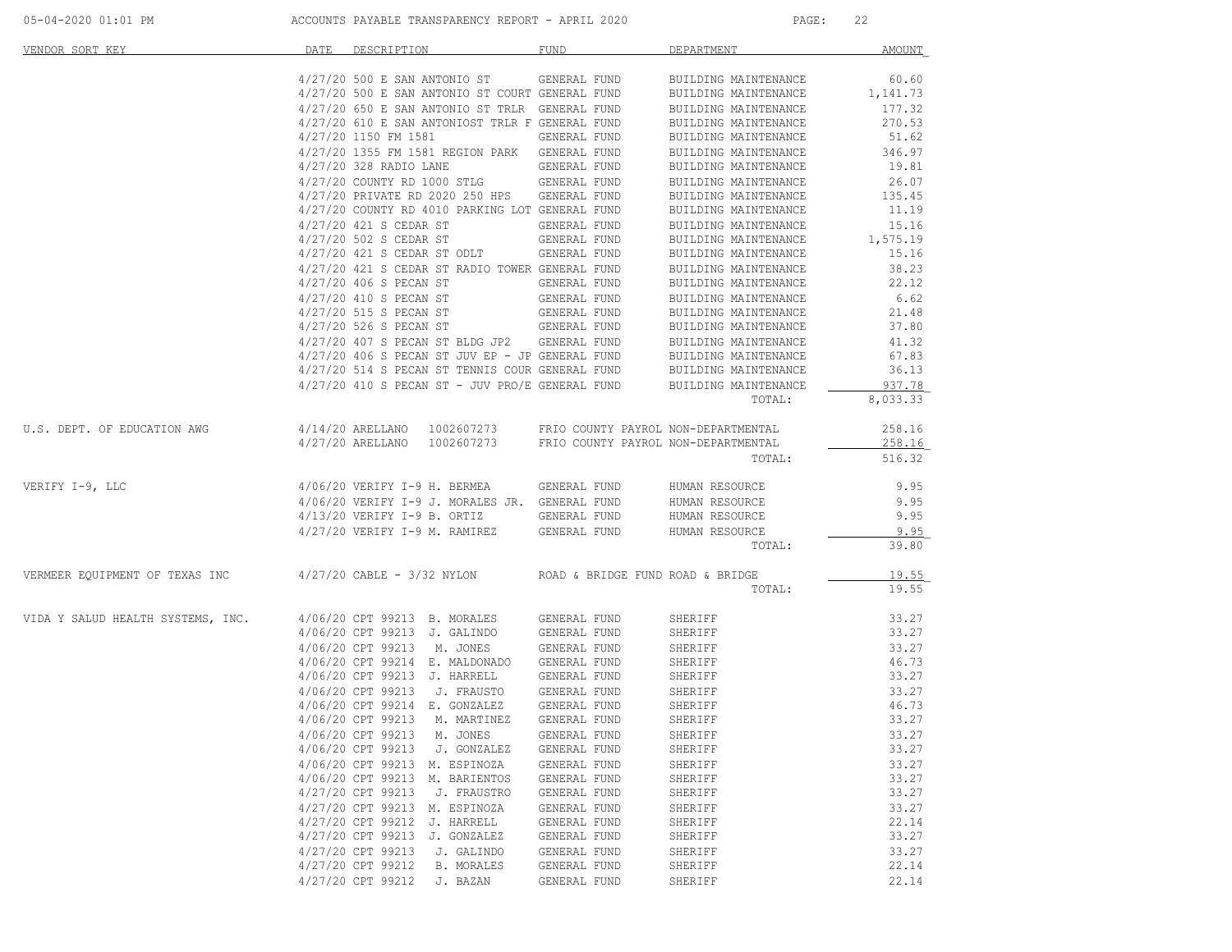| 05-04-2020 01:01 PM                                                                        |      | ACCOUNTS PAYABLE TRANSPARENCY REPORT - APRIL 2020               |                                                | PAGE:                                        | 22                |
|--------------------------------------------------------------------------------------------|------|-----------------------------------------------------------------|------------------------------------------------|----------------------------------------------|-------------------|
| VENDOR SORT KEY                                                                            | DATE | DESCRIPTION                                                     | FUND                                           | DEPARTMENT                                   | <b>AMOUNT</b>     |
|                                                                                            |      | 4/27/20 500 E SAN ANTONIO ST                                    | GENERAL FUND                                   | BUILDING MAINTENANCE                         | 60.60             |
|                                                                                            |      | 4/27/20 500 E SAN ANTONIO ST COURT GENERAL FUND                 |                                                | BUILDING MAINTENANCE                         | 1,141.73          |
|                                                                                            |      | 4/27/20 650 E SAN ANTONIO ST TRLR GENERAL FUND                  |                                                | BUILDING MAINTENANCE                         | 177.32            |
|                                                                                            |      | 4/27/20 610 E SAN ANTONIOST TRLR F GENERAL FUND                 |                                                | BUILDING MAINTENANCE                         | 270.53            |
|                                                                                            |      | 4/27/20 1150 FM 1581                                            | GENERAL FUND                                   | BUILDING MAINTENANCE                         | 51.62             |
|                                                                                            |      | 4/27/20 1355 FM 1581 REGION PARK GENERAL FUND                   |                                                | BUILDING MAINTENANCE                         | 346.97            |
|                                                                                            |      | 4/27/20 328 RADIO LANE                                          | GENERAL FUND                                   | BUILDING MAINTENANCE                         | 19.81             |
|                                                                                            |      | 4/27/20 COUNTY RD 1000 STLG GENERAL FUND                        |                                                | BUILDING MAINTENANCE                         | 26.07             |
|                                                                                            |      | 4/27/20 PRIVATE RD 2020 250 HPS GENERAL FUND                    |                                                | BUILDING MAINTENANCE                         | 135.45            |
|                                                                                            |      | 4/27/20 COUNTY RD 4010 PARKING LOT GENERAL FUND                 |                                                | BUILDING MAINTENANCE                         | 11.19             |
|                                                                                            |      | 4/27/20 421 S CEDAR ST<br>4/27/20 502 S CEDAR ST                | GENERAL FUND                                   | BUILDING MAINTENANCE                         | 15.16             |
|                                                                                            |      | 4/27/20 421 S CEDAR ST ODLT                                     | GENERAL FUND<br>GENERAL FUND                   | BUILDING MAINTENANCE<br>BUILDING MAINTENANCE | 1,575.19<br>15.16 |
|                                                                                            |      | 4/27/20 421 S CEDAR ST RADIO TOWER GENERAL FUND                 |                                                | BUILDING MAINTENANCE                         | 38.23             |
|                                                                                            |      | 4/27/20 406 S PECAN ST                                          | GENERAL FUND                                   | BUILDING MAINTENANCE                         | 22.12             |
|                                                                                            |      | 4/27/20 410 S PECAN ST                                          | GENERAL FUND                                   | BUILDING MAINTENANCE                         | 6.62              |
|                                                                                            |      | 4/27/20 515 S PECAN ST                                          | GENERAL FUND                                   | BUILDING MAINTENANCE                         | 21.48             |
|                                                                                            |      | 4/27/20 526 S PECAN ST                                          | GENERAL FUND                                   | BUILDING MAINTENANCE                         | 37.80             |
|                                                                                            |      | 4/27/20 407 S PECAN ST BLDG JP2 GENERAL FUND                    |                                                | BUILDING MAINTENANCE                         | 41.32             |
|                                                                                            |      | 4/27/20 406 S PECAN ST JUV EP - JP GENERAL FUND                 |                                                | BUILDING MAINTENANCE                         | 67.83             |
|                                                                                            |      | 4/27/20 514 S PECAN ST TENNIS COUR GENERAL FUND                 |                                                | BUILDING MAINTENANCE                         | 36.13             |
|                                                                                            |      | $4/27/20$ 410 S PECAN ST - JUV PRO/E GENERAL FUND               |                                                | BUILDING MAINTENANCE                         | 937.78            |
|                                                                                            |      |                                                                 |                                                | TOTAL:                                       | 8,033.33          |
| U.S. DEPT. OF EDUCATION AWG                                                                |      | 4/14/20 ARELLANO 1002607273 FRIO COUNTY PAYROL NON-DEPARTMENTAL |                                                |                                              | 258.16            |
|                                                                                            |      | $4/27/20$ ARELLANO                                              | 1002607273 FRIO COUNTY PAYROL NON-DEPARTMENTAL |                                              | 258.16            |
|                                                                                            |      |                                                                 |                                                | TOTAL:                                       | 516.32            |
| VERIFY I-9, LLC                                                                            |      | 4/06/20 VERIFY I-9 H. BERMEA                                    | GENERAL FUND                                   | HUMAN RESOURCE                               | 9.95              |
|                                                                                            |      | 4/06/20 VERIFY I-9 J. MORALES JR. GENERAL FUND                  |                                                | HUMAN RESOURCE                               | 9.95              |
|                                                                                            |      | 4/13/20 VERIFY I-9 B. ORTIZ                                     | GENERAL FUND                                   | HUMAN RESOURCE                               | 9.95              |
|                                                                                            |      | 4/27/20 VERIFY I-9 M. RAMIREZ                                   | GENERAL FUND                                   | HUMAN RESOURCE                               | 9.95              |
|                                                                                            |      |                                                                 |                                                | TOTAL:                                       | 39.80             |
| VERMEER EQUIPMENT OF TEXAS INC 4/27/20 CABLE - 3/32 NYLON ROAD & BRIDGE FUND ROAD & BRIDGE |      |                                                                 |                                                |                                              | 19.55             |
|                                                                                            |      |                                                                 |                                                | TOTAL:                                       | 19.55             |
| VIDA Y SALUD HEALTH SYSTEMS, INC.                                                          |      | 4/06/20 CPT 99213 B. MORALES                                    | GENERAL FUND                                   | SHERIFF                                      | 33.27             |
|                                                                                            |      | 4/06/20 CPT 99213 J. GALINDO                                    | GENERAL FUND                                   | SHERIFF                                      | 33.27             |
|                                                                                            |      | 4/06/20 CPT 99213 M. JONES<br>4/06/20 CPT 99214 E. MALDONADO    | GENERAL FUND<br>GENERAL FUND                   | SHERIFF<br>SHERIFF                           | 33.27<br>46.73    |
|                                                                                            |      | 4/06/20 CPT 99213 J. HARRELL                                    | GENERAL FUND                                   | SHERIFF                                      | 33.27             |
|                                                                                            |      | 4/06/20 CPT 99213 J. FRAUSTO                                    | GENERAL FUND                                   | SHERIFF                                      | 33.27             |
|                                                                                            |      | 4/06/20 CPT 99214 E. GONZALEZ                                   | GENERAL FUND                                   | SHERIFF                                      | 46.73             |
|                                                                                            |      | 4/06/20 CPT 99213 M. MARTINEZ                                   | GENERAL FUND                                   | SHERIFF                                      | 33.27             |
|                                                                                            |      | 4/06/20 CPT 99213 M. JONES                                      | GENERAL FUND                                   | SHERIFF                                      | 33.27             |
|                                                                                            |      | 4/06/20 CPT 99213<br>J. GONZALEZ                                | GENERAL FUND                                   | SHERIFF                                      | 33.27             |
|                                                                                            |      | 4/06/20 CPT 99213 M. ESPINOZA                                   | GENERAL FUND                                   | SHERIFF                                      | 33.27             |
|                                                                                            |      | 4/06/20 CPT 99213 M. BARIENTOS                                  | GENERAL FUND                                   | SHERIFF                                      | 33.27             |
|                                                                                            |      | 4/27/20 CPT 99213<br>J. FRAUSTRO                                | GENERAL FUND                                   | SHERIFF                                      | 33.27             |
|                                                                                            |      | 4/27/20 CPT 99213 M. ESPINOZA                                   | GENERAL FUND                                   | SHERIFF                                      | 33.27             |
|                                                                                            |      | 4/27/20 CPT 99212<br>J. HARRELL                                 | GENERAL FUND                                   | SHERIFF                                      | 22.14             |
|                                                                                            |      | 4/27/20 CPT 99213 J. GONZALEZ                                   | GENERAL FUND                                   | SHERIFF                                      | 33.27             |
|                                                                                            |      | 4/27/20 CPT 99213<br>J. GALINDO                                 | GENERAL FUND                                   | SHERIFF                                      | 33.27             |
|                                                                                            |      | 4/27/20 CPT 99212<br>B. MORALES                                 | GENERAL FUND                                   | SHERIFF                                      | 22.14             |
|                                                                                            |      | 4/27/20 CPT 99212<br>J. BAZAN                                   | GENERAL FUND                                   | SHERIFF                                      | 22.14             |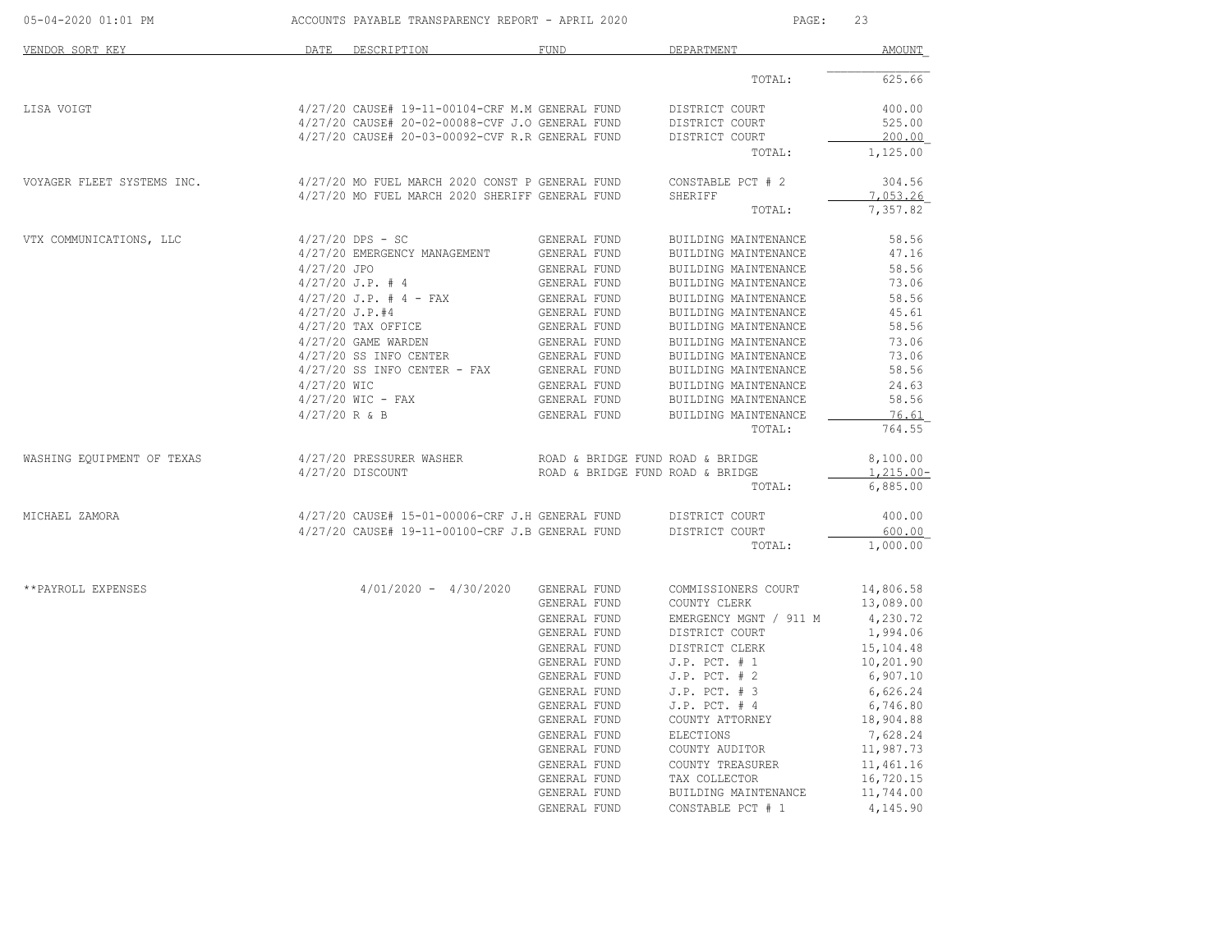| 05-04-2020 01:01 PM        |                  | ACCOUNTS PAYABLE TRANSPARENCY REPORT - APRIL 2020 |                                  | PAGE:                             | 23                   |  |
|----------------------------|------------------|---------------------------------------------------|----------------------------------|-----------------------------------|----------------------|--|
| VENDOR SORT KEY            | DATE             | DESCRIPTION                                       | <b>FUND</b>                      | DEPARTMENT                        | AMOUNT               |  |
|                            |                  |                                                   |                                  | TOTAL:                            | 625.66               |  |
| LISA VOIGT                 |                  | 4/27/20 CAUSE# 19-11-00104-CRF M.M GENERAL FUND   |                                  | DISTRICT COURT                    | 400.00               |  |
|                            |                  | 4/27/20 CAUSE# 20-02-00088-CVF J.O GENERAL FUND   |                                  | DISTRICT COURT                    | 525.00               |  |
|                            |                  | 4/27/20 CAUSE# 20-03-00092-CVF R.R GENERAL FUND   |                                  | DISTRICT COURT                    | 200.00               |  |
|                            |                  |                                                   |                                  | TOTAL:                            | 1,125.00             |  |
| VOYAGER FLEET SYSTEMS INC. |                  | 4/27/20 MO FUEL MARCH 2020 CONST P GENERAL FUND   |                                  | CONSTABLE PCT # 2                 | 304.56               |  |
|                            |                  | 4/27/20 MO FUEL MARCH 2020 SHERIFF GENERAL FUND   |                                  | SHERIFF                           | 7,053.26             |  |
|                            |                  |                                                   |                                  | TOTAL:                            | 7,357.82             |  |
| VTX COMMUNICATIONS, LLC    |                  | $4/27/20$ DPS - SC                                | GENERAL FUND                     | BUILDING MAINTENANCE              | 58.56                |  |
|                            |                  | 4/27/20 EMERGENCY MANAGEMENT                      | GENERAL FUND                     | BUILDING MAINTENANCE              | 47.16                |  |
|                            | 4/27/20 JPO      |                                                   | GENERAL FUND                     | BUILDING MAINTENANCE              | 58.56                |  |
|                            |                  | $4/27/20$ J.P. # 4                                | GENERAL FUND                     | BUILDING MAINTENANCE              | 73.06                |  |
|                            |                  | $4/27/20$ J.P. # 4 - FAX                          | GENERAL FUND                     | BUILDING MAINTENANCE              | 58.56                |  |
|                            | $4/27/20$ J.P.#4 |                                                   | GENERAL FUND                     | BUILDING MAINTENANCE              | 45.61                |  |
|                            |                  | 4/27/20 TAX OFFICE                                | GENERAL FUND                     | BUILDING MAINTENANCE              | 58.56                |  |
|                            |                  | 4/27/20 GAME WARDEN                               | GENERAL FUND                     | BUILDING MAINTENANCE              | 73.06                |  |
|                            |                  | $4/27/20$ SS INFO CENTER                          | GENERAL FUND                     | BUILDING MAINTENANCE              | 73.06                |  |
|                            |                  | $4/27/20$ SS INFO CENTER - FAX                    | GENERAL FUND                     | BUILDING MAINTENANCE              | 58.56                |  |
|                            | 4/27/20 WIC      | $4/27/20$ WIC - FAX                               | GENERAL FUND<br>GENERAL FUND     | BUILDING MAINTENANCE              | 24.63<br>58.56       |  |
|                            |                  |                                                   |                                  | BUILDING MAINTENANCE              | 76.61                |  |
|                            | $4/27/20$ R & B  |                                                   | GENERAL FUND                     | BUILDING MAINTENANCE<br>TOTAL:    | 764.55               |  |
| WASHING EQUIPMENT OF TEXAS |                  | 4/27/20 PRESSURER WASHER                          | ROAD & BRIDGE FUND ROAD & BRIDGE |                                   | 8,100.00             |  |
|                            |                  | 4/27/20 DISCOUNT                                  | ROAD & BRIDGE FUND ROAD & BRIDGE |                                   | $1,215.00 -$         |  |
|                            |                  |                                                   |                                  | TOTAL:                            | 6,885.00             |  |
| MICHAEL ZAMORA             |                  | 4/27/20 CAUSE# 15-01-00006-CRF J.H GENERAL FUND   |                                  | DISTRICT COURT                    | 400.00               |  |
|                            |                  | 4/27/20 CAUSE# 19-11-00100-CRF J.B GENERAL FUND   |                                  | DISTRICT COURT                    | 600.00               |  |
|                            |                  |                                                   |                                  | TOTAL:                            | 1,000.00             |  |
|                            |                  |                                                   |                                  |                                   |                      |  |
| **PAYROLL EXPENSES         |                  | $4/01/2020 - 4/30/2020$                           | GENERAL FUND                     | COMMISSIONERS COURT               | 14,806.58            |  |
|                            |                  |                                                   | GENERAL FUND                     | COUNTY CLERK                      | 13,089.00            |  |
|                            |                  |                                                   | GENERAL FUND                     | EMERGENCY MGNT / 911 M            | 4,230.72             |  |
|                            |                  |                                                   | GENERAL FUND                     | DISTRICT COURT                    | 1,994.06             |  |
|                            |                  |                                                   | GENERAL FUND                     | DISTRICT CLERK                    | 15,104.48            |  |
|                            |                  |                                                   | GENERAL FUND                     | $J.P.$ PCT. # 1                   | 10,201.90            |  |
|                            |                  |                                                   | GENERAL FUND                     | $J.P.$ PCT. # 2                   | 6,907.10             |  |
|                            |                  |                                                   | GENERAL FUND<br>GENERAL FUND     | J.P. PCT. # 3<br>$J.P.$ PCT. $#4$ | 6,626.24<br>6,746.80 |  |
|                            |                  |                                                   | GENERAL FUND                     | COUNTY ATTORNEY                   | 18,904.88            |  |
|                            |                  |                                                   | GENERAL FUND                     | ELECTIONS                         | 7,628.24             |  |
|                            |                  |                                                   | GENERAL FUND                     | COUNTY AUDITOR                    | 11,987.73            |  |
|                            |                  |                                                   | GENERAL FUND                     | COUNTY TREASURER                  | 11,461.16            |  |
|                            |                  |                                                   | GENERAL FUND                     | TAX COLLECTOR                     | 16,720.15            |  |
|                            |                  |                                                   | GENERAL FUND                     | BUILDING MAINTENANCE              | 11,744.00            |  |
|                            |                  |                                                   | GENERAL FUND                     | CONSTABLE PCT # 1                 | 4,145.90             |  |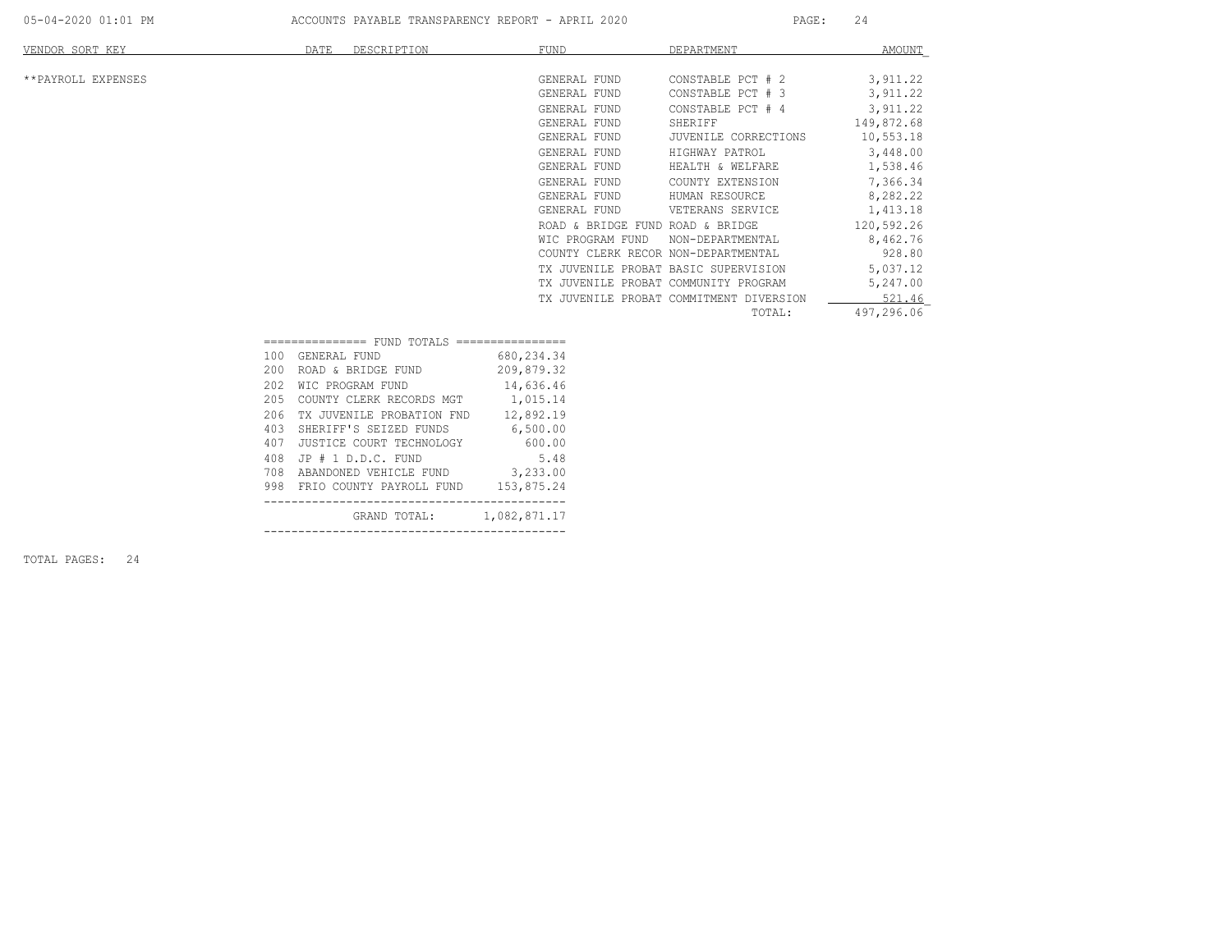TOTAL PAGES: 24

05-04-2020 01:01 PM ACCOUNTS PAYABLE TRANSPARENCY REPORT - APRIL 2020 PAGE: 24

| VENDOR SORT KEY    |     | DATE<br>DESCRIPTION                             | <b>FUND</b>                          | DEPARTMENT                              | <b>AMOUNT</b> |
|--------------------|-----|-------------------------------------------------|--------------------------------------|-----------------------------------------|---------------|
|                    |     |                                                 |                                      |                                         |               |
| **PAYROLL EXPENSES |     |                                                 | GENERAL FUND                         | CONSTABLE PCT # 2                       | 3,911.22      |
|                    |     |                                                 | GENERAL FUND                         | CONSTABLE PCT # 3                       | 3,911.22      |
|                    |     |                                                 | GENERAL FUND                         | CONSTABLE PCT # 4                       | 3,911.22      |
|                    |     |                                                 | GENERAL FUND                         | SHERIFF                                 | 149,872.68    |
|                    |     |                                                 | GENERAL FUND                         | JUVENILE CORRECTIONS                    | 10,553.18     |
|                    |     |                                                 | GENERAL FUND                         | HIGHWAY PATROL                          | 3,448.00      |
|                    |     |                                                 | GENERAL FUND                         | HEALTH & WELFARE                        | 1,538.46      |
|                    |     |                                                 | GENERAL FUND                         | COUNTY EXTENSION                        | 7,366.34      |
|                    |     |                                                 | GENERAL FUND                         | HUMAN RESOURCE                          | 8,282.22      |
|                    |     |                                                 | GENERAL FUND                         | VETERANS SERVICE                        | 1,413.18      |
|                    |     |                                                 | ROAD & BRIDGE FUND ROAD & BRIDGE     |                                         | 120,592.26    |
|                    |     |                                                 | WIC PROGRAM FUND                     | NON-DEPARTMENTAL                        | 8,462.76      |
|                    |     |                                                 | COUNTY CLERK RECOR NON-DEPARTMENTAL  |                                         | 928.80        |
|                    |     |                                                 | TX JUVENILE PROBAT BASIC SUPERVISION |                                         | 5,037.12      |
|                    |     |                                                 |                                      | TX JUVENILE PROBAT COMMUNITY PROGRAM    | 5,247.00      |
|                    |     |                                                 |                                      | TX JUVENILE PROBAT COMMITMENT DIVERSION | 521.46        |
|                    |     |                                                 |                                      | TOTAL:                                  | 497,296.06    |
|                    |     | FUND TOTALS ================<br>=============== |                                      |                                         |               |
|                    | 100 | GENERAL FUND                                    | 680,234.34                           |                                         |               |
|                    | 200 | ROAD & BRIDGE FUND                              | 209,879.32                           |                                         |               |
|                    | 202 | WIC PROGRAM FUND                                | 14,636.46                            |                                         |               |
|                    | 205 | COUNTY CLERK RECORDS MGT                        | 1,015.14                             |                                         |               |

206 TX JUVENILE PROBATION FND 12,892.19<br>403 SHERIFF'S SEIZED FUNDS 6,500.00 403 SHERIFF'S SEIZED FUNDS 6,500.00<br>407 JUSTICE COURT TECHNOLOGY 600.00

408 JP # 1 D.D.C. FUND 5.48 708 ABANDONED VEHICLE FUND 3,233.00 998 FRIO COUNTY PAYROLL FUND 153,875.24 --------------------------------------------

--------------------------------------------

GRAND TOTAL: 1,082,871.17

407 JUSTICE COURT TECHNOLOGY